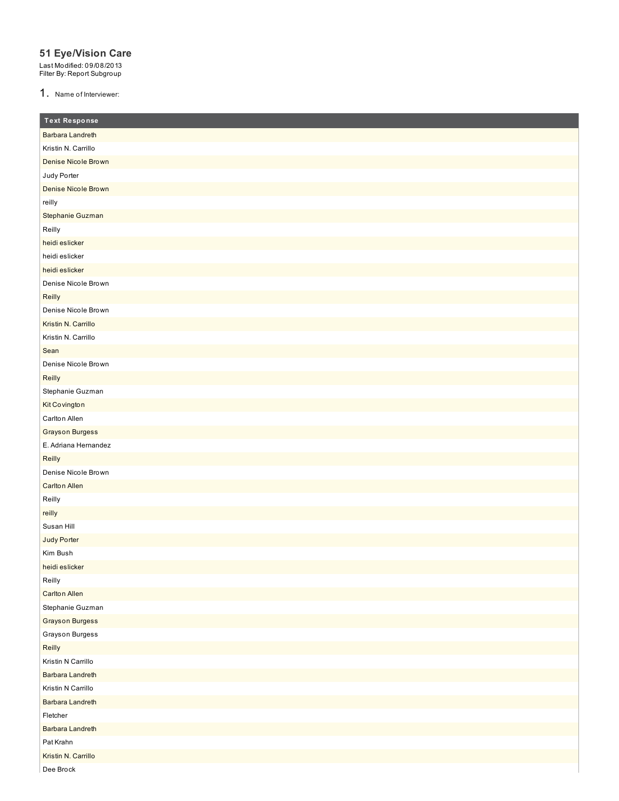## **51 Eye/Vision Care**

Last Modified: 09/08/2013 Filter By: Report Subgroup

1. Name of Interviewer:

| <b>Text Response</b>    |
|-------------------------|
| <b>Barbara Landreth</b> |
| Kristin N. Carrillo     |
| Denise Nicole Brown     |
| Judy Porter             |
| Denise Nicole Brown     |
| reilly                  |
| Stephanie Guzman        |
| Reilly                  |
| heidi eslicker          |
| heidi eslicker          |
| heidi eslicker          |
| Denise Nicole Brown     |
| Reilly                  |
| Denise Nicole Brown     |
| Kristin N. Carrillo     |
| Kristin N. Carrillo     |
| Sean                    |
| Denise Nicole Brown     |
| Reilly                  |
| Stephanie Guzman        |
| Kit Covington           |
| Carlton Allen           |
| <b>Grayson Burgess</b>  |
| E. Adriana Hernandez    |
| Reilly                  |
| Denise Nicole Brown     |
| <b>Carlton Allen</b>    |
| Reilly                  |
| reilly                  |
| Susan Hill              |
| Judy Porter             |
| Kim Bush                |
| heidi eslicker          |
| Reilly                  |
| <b>Carlton Allen</b>    |
| Stephanie Guzman        |
| <b>Grayson Burgess</b>  |
| Grayson Burgess         |
| Reilly                  |
| Kristin N Carrillo      |
| <b>Barbara Landreth</b> |
| Kristin N Carrillo      |
| <b>Barbara Landreth</b> |
| Fletcher                |
| <b>Barbara Landreth</b> |
| Pat Krahn               |
| Kristin N. Carrillo     |
| Dee Brock               |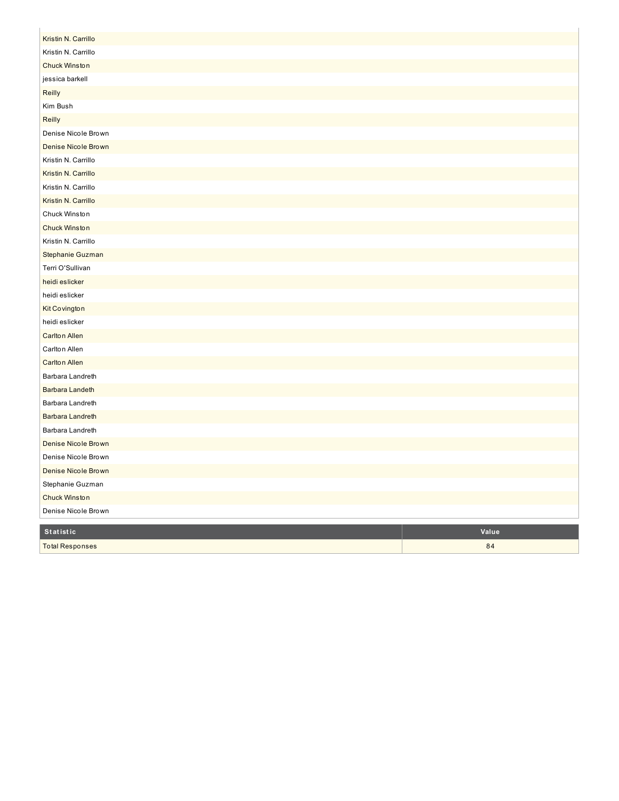| Kristin N. Carrillo<br>Kristin N. Carrillo<br><b>Chuck Winston</b><br>jessica barkell<br>Reilly<br>Kim Bush<br>Reilly<br>Denise Nicole Brown<br><b>Denise Nicole Brown</b><br>Kristin N. Carrillo<br>Kristin N. Carrillo<br>Kristin N. Carrillo<br>Kristin N. Carrillo<br>Chuck Winston<br><b>Chuck Winston</b><br>Kristin N. Carrillo<br>Stephanie Guzman<br>Terri O'Sullivan<br>heidi eslicker<br>heidi eslicker |
|--------------------------------------------------------------------------------------------------------------------------------------------------------------------------------------------------------------------------------------------------------------------------------------------------------------------------------------------------------------------------------------------------------------------|
|                                                                                                                                                                                                                                                                                                                                                                                                                    |
|                                                                                                                                                                                                                                                                                                                                                                                                                    |
|                                                                                                                                                                                                                                                                                                                                                                                                                    |
|                                                                                                                                                                                                                                                                                                                                                                                                                    |
|                                                                                                                                                                                                                                                                                                                                                                                                                    |
|                                                                                                                                                                                                                                                                                                                                                                                                                    |
|                                                                                                                                                                                                                                                                                                                                                                                                                    |
|                                                                                                                                                                                                                                                                                                                                                                                                                    |
|                                                                                                                                                                                                                                                                                                                                                                                                                    |
|                                                                                                                                                                                                                                                                                                                                                                                                                    |
|                                                                                                                                                                                                                                                                                                                                                                                                                    |
|                                                                                                                                                                                                                                                                                                                                                                                                                    |
|                                                                                                                                                                                                                                                                                                                                                                                                                    |
|                                                                                                                                                                                                                                                                                                                                                                                                                    |
|                                                                                                                                                                                                                                                                                                                                                                                                                    |
|                                                                                                                                                                                                                                                                                                                                                                                                                    |
|                                                                                                                                                                                                                                                                                                                                                                                                                    |
|                                                                                                                                                                                                                                                                                                                                                                                                                    |
|                                                                                                                                                                                                                                                                                                                                                                                                                    |
| Kit Covington                                                                                                                                                                                                                                                                                                                                                                                                      |
| heidi eslicker                                                                                                                                                                                                                                                                                                                                                                                                     |
| <b>Carlton Allen</b>                                                                                                                                                                                                                                                                                                                                                                                               |
| Carlton Allen                                                                                                                                                                                                                                                                                                                                                                                                      |
| <b>Carlton Allen</b>                                                                                                                                                                                                                                                                                                                                                                                               |
| Barbara Landreth                                                                                                                                                                                                                                                                                                                                                                                                   |
| <b>Barbara Landeth</b>                                                                                                                                                                                                                                                                                                                                                                                             |
| Barbara Landreth                                                                                                                                                                                                                                                                                                                                                                                                   |
| <b>Barbara Landreth</b>                                                                                                                                                                                                                                                                                                                                                                                            |
| Barbara Landreth                                                                                                                                                                                                                                                                                                                                                                                                   |
| Denise Nicole Brown                                                                                                                                                                                                                                                                                                                                                                                                |
| Denise Nicole Brown                                                                                                                                                                                                                                                                                                                                                                                                |
| Denise Nicole Brown                                                                                                                                                                                                                                                                                                                                                                                                |
| Stephanie Guzman                                                                                                                                                                                                                                                                                                                                                                                                   |
| Chuck Winston                                                                                                                                                                                                                                                                                                                                                                                                      |
| Denise Nicole Brown                                                                                                                                                                                                                                                                                                                                                                                                |
| Value<br>Statistic                                                                                                                                                                                                                                                                                                                                                                                                 |
| 84<br><b>Total Responses</b>                                                                                                                                                                                                                                                                                                                                                                                       |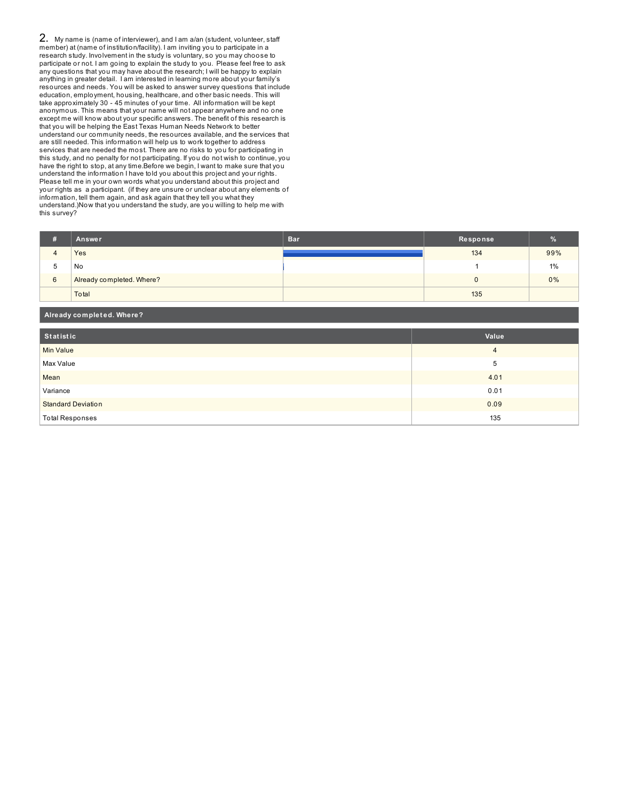2. My name is (name of interviewer), and I am a/an (student, volunteer, staff member) at (name of institution/facility). I am inviting you to participate in a research study. Involvement in the study is voluntary, so you may choose to participate or not. I am going to explain the study to you. Please feel free to ask any questions that you may have about the research; I will be happy to explain anything in greater detail. I am interested in learning more about your family's resources and needs. You will be asked to answer survey questions that include education, employment, housing, healthcare, and other basic needs. This will take approximately 30 - 45 minutes of your time. All information will be kept anonymous. This means that your name will not appear anywhere and no one except me will know about your specific answers. The benefit of this research is that you will be helping the East Texas Human Needs Network to better understand our community needs, the resources available, and the services that are still needed. This information will help us to work together to address services that are needed the most. There are no risks to you for participating in this study, and no penalty for not participating. If you do not wish to continue, you have the right to stop, at any time.Before we begin, I want to make sure that you understand the information I have told you about this project and your rights. Please tell me in your own words what you understand about this project and your rights as a participant. (if they are unsure or unclear about any elements of information, tell them again, and ask again that they tell you what they understand.)Now that you understand the study, are you willing to help me with this survey?

| Ħ | Answer                    | Bar <sup>'</sup> | Response | $\%$  |
|---|---------------------------|------------------|----------|-------|
|   | Yes                       |                  | 134      | 99%   |
| b | No                        |                  |          | 1%    |
| 6 | Already completed. Where? |                  |          | $0\%$ |
|   | Total                     |                  | 135      |       |

| Already completed. Where? |                |  |  |
|---------------------------|----------------|--|--|
| Statistic                 | Value          |  |  |
| <b>Min Value</b>          | $\overline{4}$ |  |  |
| Max Value                 | 5              |  |  |
| Mean                      | 4.01           |  |  |
| Variance                  | 0.01           |  |  |
| <b>Standard Deviation</b> | 0.09           |  |  |
| <b>Total Responses</b>    | 135            |  |  |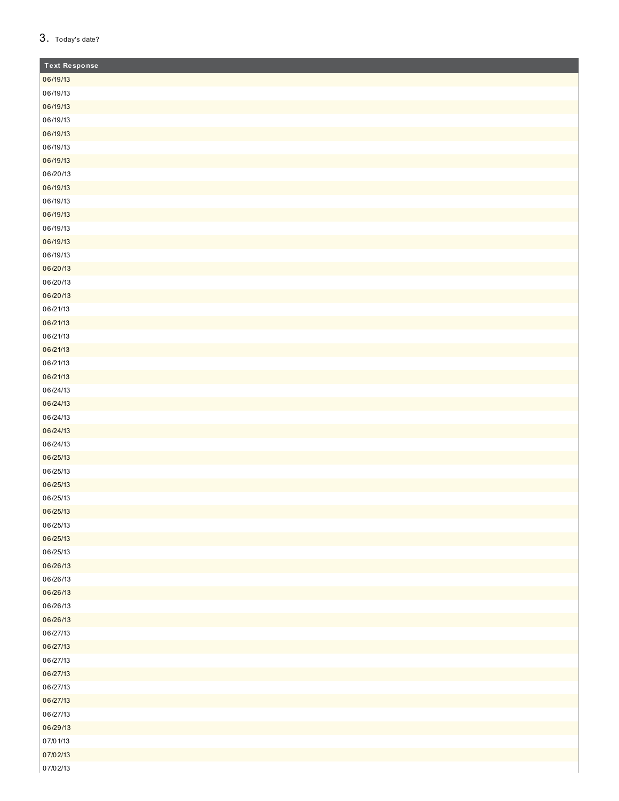## 3. Today's date?

| <b>Text Response</b> |
|----------------------|
| 06/19/13             |
| 06/19/13             |
| 06/19/13             |
| 06/19/13             |
| 06/19/13             |
| 06/19/13             |
| 06/19/13             |
| 06/20/13             |
| 06/19/13             |
| 06/19/13             |
| 06/19/13             |
| 06/19/13             |
| 06/19/13             |
| 06/19/13             |
| 06/20/13             |
| 06/20/13             |
| 06/20/13             |
| 06/21/13             |
| 06/21/13             |
| 06/21/13             |
| 06/21/13             |
| 06/21/13             |
| 06/21/13             |
| 06/24/13             |
| 06/24/13             |
| 06/24/13             |
| 06/24/13             |
| 06/24/13             |
| 06/25/13             |
| 06/25/13             |
| 06/25/13             |
| 06/25/13             |
| 06/25/13             |
| 06/25/13             |
| 06/25/13             |
| 06/25/13             |
| 06/26/13             |
| 06/26/13             |
| 06/26/13             |
| 06/26/13             |
| 06/26/13             |
| 06/27/13             |
| 06/27/13             |
| 06/27/13             |
| 06/27/13             |
| 06/27/13             |
| 06/27/13             |
| 06/27/13             |
| 06/29/13             |
| 07/01/13             |
| 07/02/13             |
| 07/02/13             |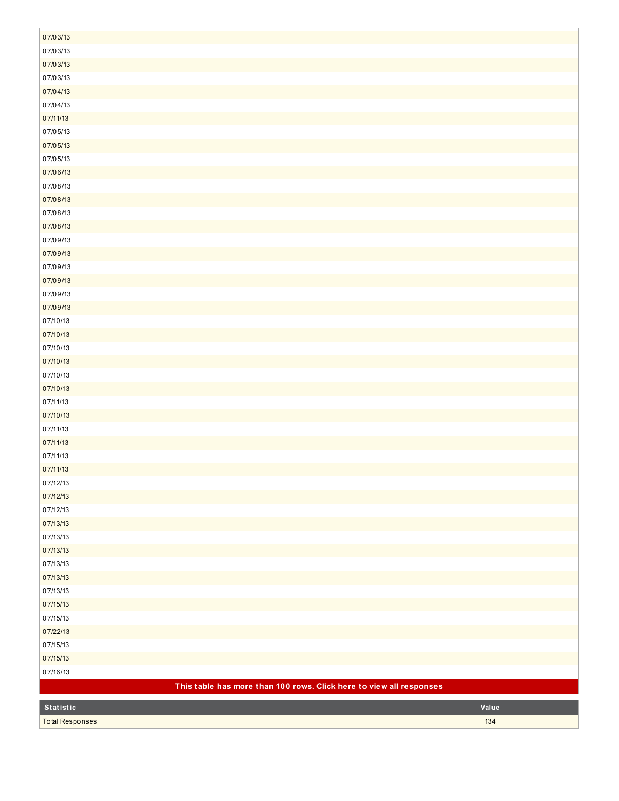| 07/03/13                                                            |       |
|---------------------------------------------------------------------|-------|
| 07/03/13                                                            |       |
| 07/03/13                                                            |       |
| 07/03/13                                                            |       |
| 07/04/13                                                            |       |
| 07/04/13                                                            |       |
| 07/11/13                                                            |       |
| 07/05/13                                                            |       |
| 07/05/13                                                            |       |
| 07/05/13                                                            |       |
| 07/06/13                                                            |       |
| 07/08/13                                                            |       |
| 07/08/13                                                            |       |
| 07/08/13                                                            |       |
| 07/08/13                                                            |       |
| 07/09/13                                                            |       |
| 07/09/13                                                            |       |
| 07/09/13                                                            |       |
| 07/09/13                                                            |       |
| 07/09/13                                                            |       |
| 07/09/13                                                            |       |
| 07/10/13                                                            |       |
| 07/10/13                                                            |       |
| 07/10/13                                                            |       |
| 07/10/13                                                            |       |
| 07/10/13                                                            |       |
| 07/10/13                                                            |       |
| 07/11/13                                                            |       |
| 07/10/13                                                            |       |
| 07/11/13                                                            |       |
| 07/11/13                                                            |       |
| 07/11/13                                                            |       |
| 07/11/13                                                            |       |
| 07/12/13                                                            |       |
| 07/12/13                                                            |       |
| 07/12/13                                                            |       |
| 07/13/13                                                            |       |
| 07/13/13                                                            |       |
| 07/13/13                                                            |       |
| 07/13/13                                                            |       |
| 07/13/13                                                            |       |
| 07/13/13                                                            |       |
| 07/15/13                                                            |       |
| 07/15/13                                                            |       |
| 07/22/13                                                            |       |
| 07/15/13                                                            |       |
| 07/15/13                                                            |       |
| 07/16/13                                                            |       |
| This table has more than 100 rows. Click here to view all responses |       |
| Statistic                                                           | Value |
| <b>Total Responses</b>                                              | 134   |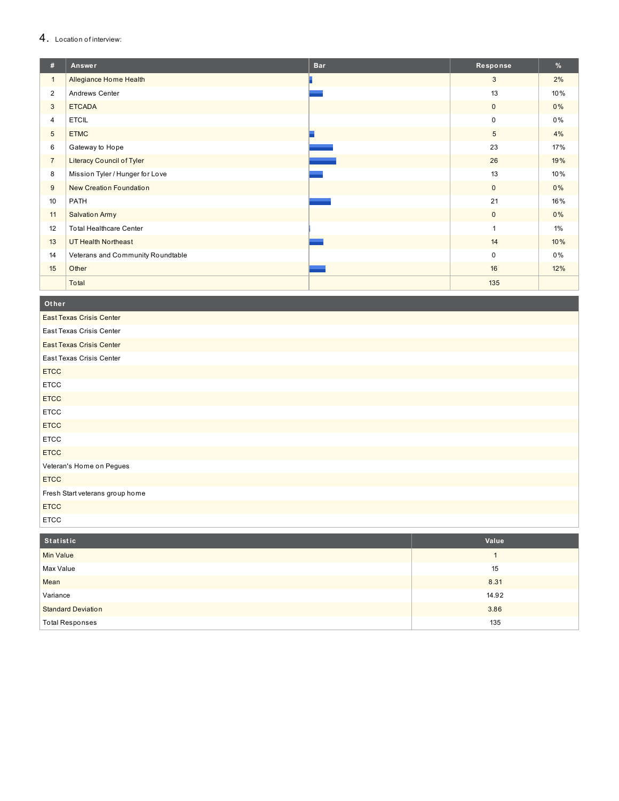## 4. Location of interview:

| #              | Answer                            | <b>Bar</b> | Response        | %     |
|----------------|-----------------------------------|------------|-----------------|-------|
| $\mathbf{1}$   | Allegiance Home Health            |            | 3               | 2%    |
| $\overline{2}$ | Andrews Center                    |            | 13              | 10%   |
| 3              | <b>ETCADA</b>                     |            | $\mathbf 0$     | 0%    |
| $\overline{4}$ | <b>ETCIL</b>                      |            | $\mathbf 0$     | $0\%$ |
| 5              | <b>ETMC</b>                       |            | $5\phantom{.0}$ | 4%    |
| 6              | Gateway to Hope                   |            | 23              | 17%   |
| $\overline{7}$ | <b>Literacy Council of Tyler</b>  |            | 26              | 19%   |
| 8              | Mission Tyler / Hunger for Love   |            | 13              | 10%   |
| 9              | New Creation Foundation           |            | $\mathbf{0}$    | $0\%$ |
| 10             | PATH                              |            | 21              | 16%   |
| 11             | <b>Salvation Army</b>             |            | $\mathbf{0}$    | $0\%$ |
| 12             | <b>Total Healthcare Center</b>    |            |                 | $1\%$ |
| 13             | <b>UT Health Northeast</b>        |            | 14              | 10%   |
| 14             | Veterans and Community Roundtable |            | $\mathbf 0$     | 0%    |
| 15             | Other                             |            | 16              | 12%   |
|                | Total                             |            | 135             |       |

Other

| <b>East Texas Crisis Center</b> |
|---------------------------------|
| East Texas Crisis Center        |
| <b>East Texas Crisis Center</b> |
| East Texas Crisis Center        |
| <b>ETCC</b>                     |
| <b>ETCC</b>                     |
| <b>ETCC</b>                     |
| <b>ETCC</b>                     |
| <b>ETCC</b>                     |
| <b>ETCC</b>                     |
| <b>ETCC</b>                     |
| Veteran's Home on Pegues        |
| <b>ETCC</b>                     |
| Fresh Start veterans group home |
| <b>ETCC</b>                     |
| <b>ETCC</b>                     |

| Statistic                 | Value |
|---------------------------|-------|
| <b>Min Value</b>          |       |
| Max Value                 | 15    |
| Mean                      | 8.31  |
| Variance                  | 14.92 |
| <b>Standard Deviation</b> | 3.86  |
| <b>Total Responses</b>    | 135   |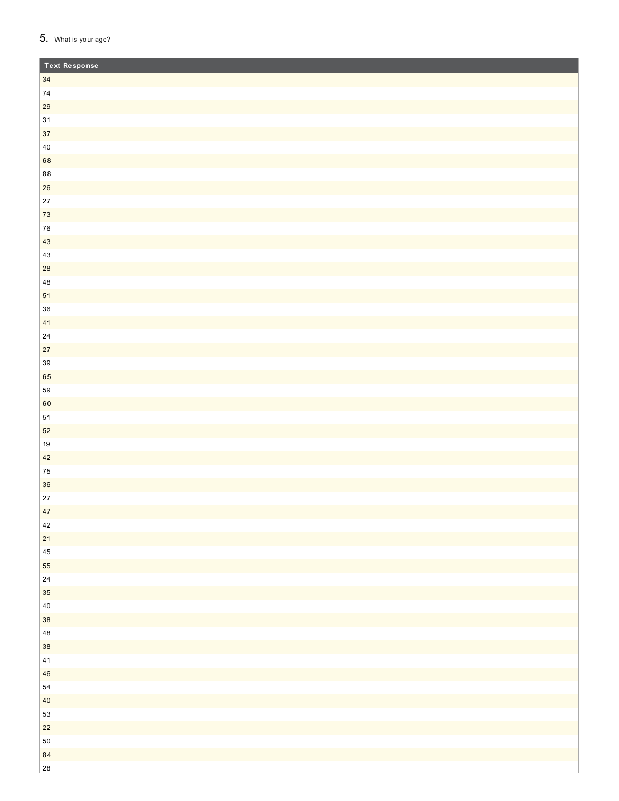## 5. What is your age?

| <b>Text Response</b> |  |
|----------------------|--|
| 34                   |  |
| ${\bf 74}$           |  |
| 29                   |  |
| $31$                 |  |
| 37                   |  |
| $40\,$               |  |
| 68                   |  |
| $8\,8$               |  |
| 26                   |  |
| $27\,$               |  |
| $73\,$               |  |
| ${\bf 76}$           |  |
| $43\,$               |  |
| $43\,$               |  |
| ${\bf 28}$           |  |
| $\bf 48$             |  |
| $51\,$               |  |
| $36\,$               |  |
| 41                   |  |
| ${\bf 24}$           |  |
| $27\,$               |  |
| $39\,$               |  |
| 65                   |  |
| ${\bf 59}$           |  |
| 60                   |  |
| ${\bf 51}$           |  |
| $52\,$               |  |
| $19$                 |  |
| 42                   |  |
| ${\bf 75}$<br>36     |  |
| $27\,$               |  |
| 47                   |  |
| $42\,$               |  |
| $21$                 |  |
| $\bf 45$             |  |
| 55                   |  |
| ${\bf 24}$           |  |
| $35\,$               |  |
| $40\,$               |  |
| 38                   |  |
| $\bf 48$             |  |
| 38                   |  |
| $41\,$               |  |
| 46                   |  |
| 54                   |  |
| $40\,$               |  |
| ${\bf 53}$           |  |
| $22\,$               |  |
| ${\bf 50}$           |  |
| 84                   |  |
| ${\bf 28}$           |  |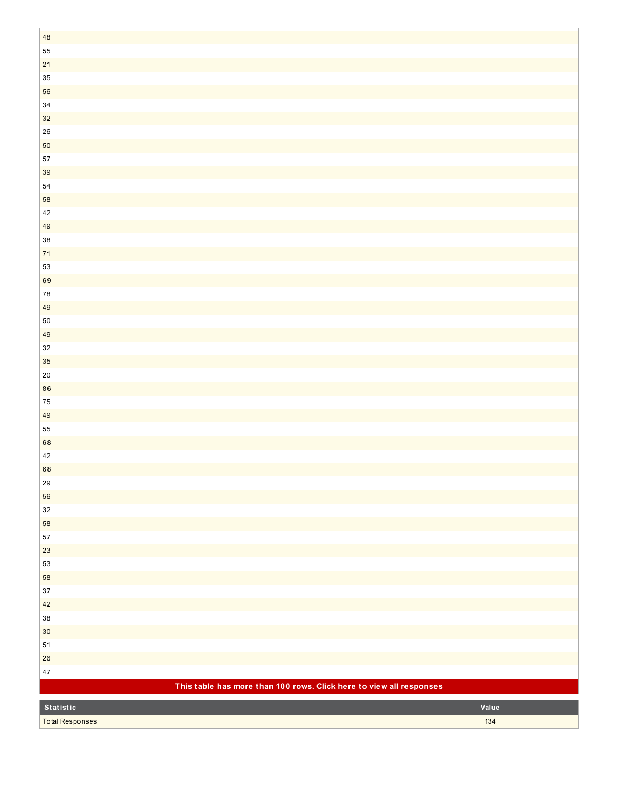| $\bf 48$                                                            |       |
|---------------------------------------------------------------------|-------|
| 55                                                                  |       |
| $21$                                                                |       |
| $35\,$                                                              |       |
| 56                                                                  |       |
| $34\,$                                                              |       |
| $32\,$                                                              |       |
| ${\bf 26}$                                                          |       |
| ${\bf 50}$                                                          |       |
| $57\,$                                                              |       |
| $39\,$                                                              |       |
| ${\bf 54}$                                                          |       |
| 58                                                                  |       |
| 42                                                                  |       |
| 49                                                                  |       |
| $38\,$                                                              |       |
| $71$                                                                |       |
| 53                                                                  |       |
| 69                                                                  |       |
| ${\bf 78}$                                                          |       |
| 49                                                                  |       |
| $50\,$                                                              |       |
| 49                                                                  |       |
| 32                                                                  |       |
| 35                                                                  |       |
| $20\,$                                                              |       |
| 86                                                                  |       |
| ${\bf 75}$                                                          |       |
| $49\,$                                                              |       |
| 55                                                                  |       |
| 68                                                                  |       |
| $42\,$                                                              |       |
| 68                                                                  |       |
| 29                                                                  |       |
| 56                                                                  |       |
| $32\,$                                                              |       |
| 58                                                                  |       |
| ${\bf 57}$                                                          |       |
| $23\,$                                                              |       |
| 53                                                                  |       |
| 58                                                                  |       |
| $37\,$                                                              |       |
| 42                                                                  |       |
| $38\,$                                                              |       |
| $30\,$                                                              |       |
| ${\bf 51}$                                                          |       |
| ${\bf 26}$                                                          |       |
| $47\,$                                                              |       |
| This table has more than 100 rows. Click here to view all responses |       |
| Statistic                                                           | Value |
| <b>Total Responses</b>                                              | 134   |
|                                                                     |       |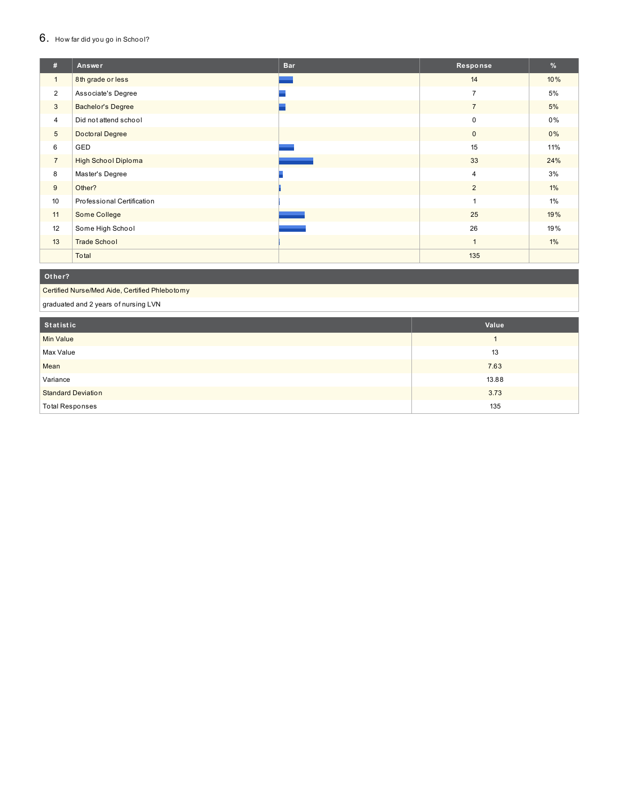#### $6.$  How far did you go in School?

| #                | Answer                     | <b>Bar</b> | Response       | %     |
|------------------|----------------------------|------------|----------------|-------|
| $\mathbf{1}$     | 8th grade or less          |            | 14             | 10%   |
| $\overline{2}$   | Associate's Degree         |            | $\overline{7}$ | 5%    |
| 3                | <b>Bachelor's Degree</b>   |            | $\overline{7}$ | 5%    |
| $\overline{4}$   | Did not attend school      |            | $\mathbf 0$    | $0\%$ |
| $5\phantom{.0}$  | Doctoral Degree            |            | $\mathbf{0}$   | $0\%$ |
| 6                | GED                        |            | 15             | 11%   |
| $\overline{7}$   | <b>High School Diploma</b> |            | 33             | 24%   |
| 8                | Master's Degree            |            | $\overline{4}$ | 3%    |
| 9                | Other?                     |            | $\overline{2}$ | $1\%$ |
| 10 <sup>10</sup> | Professional Certification |            | $\overline{1}$ | 1%    |
| 11               | Some College               |            | 25             | 19%   |
| 12               | Some High School           |            | 26             | 19%   |
| 13               | <b>Trade School</b>        |            | $\overline{1}$ | $1\%$ |
|                  | Total                      |            | 135            |       |

#### **O t h e r ?**

Certified Nurse/Med Aide, Certified Phlebotomy

graduated and 2 years of nursing LVN

| Statistic                 | Value |
|---------------------------|-------|
| <b>Min Value</b>          |       |
| Max Value                 | 13    |
| Mean                      | 7.63  |
| Variance                  | 13.88 |
| <b>Standard Deviation</b> | 3.73  |
| <b>Total Responses</b>    | 135   |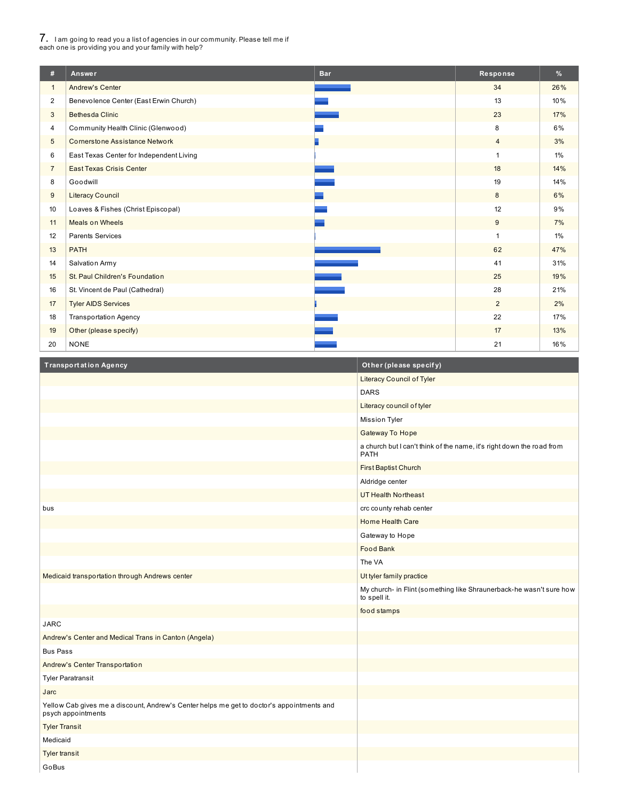# 7. <sup>I</sup> am going to read you <sup>a</sup> list of agencies in our community. Please tell me if each one is providing you and your family with help?

| #               | Answer                                   | <b>Bar</b> | Response       | %     |
|-----------------|------------------------------------------|------------|----------------|-------|
| $\mathbf{1}$    | <b>Andrew's Center</b>                   |            | 34             | 26%   |
| $\overline{2}$  | Benevolence Center (East Erwin Church)   |            | 13             | 10%   |
| 3               | <b>Bethesda Clinic</b>                   |            | 23             | 17%   |
| 4               | Community Health Clinic (Glenwood)       |            | 8              | 6%    |
| $5\phantom{.0}$ | <b>Cornerstone Assistance Network</b>    |            | $\overline{4}$ | 3%    |
| 6               | East Texas Center for Independent Living |            | $\mathbf{1}$   | $1\%$ |
| $\overline{7}$  | <b>East Texas Crisis Center</b>          |            | 18             | 14%   |
| 8               | Goodwill                                 |            | 19             | 14%   |
| 9               | <b>Literacy Council</b>                  |            | 8              | 6%    |
| 10              | Loaves & Fishes (Christ Episcopal)       |            | 12             | 9%    |
| 11              | Meals on Wheels                          |            | 9              | 7%    |
| 12              | <b>Parents Services</b>                  |            | 1              | 1%    |
| 13              | <b>PATH</b>                              |            | 62             | 47%   |
| 14              | Salvation Army                           |            | 41             | 31%   |
| 15              | St. Paul Children's Foundation           |            | 25             | 19%   |
| 16              | St. Vincent de Paul (Cathedral)          |            | 28             | 21%   |
| 17              | <b>Tyler AIDS Services</b>               |            | $\overline{2}$ | 2%    |
| 18              | <b>Transportation Agency</b>             |            | 22             | 17%   |
| 19              | Other (please specify)                   |            | 17             | 13%   |
| 20              | <b>NONE</b>                              |            | 21             | 16%   |

| <b>Transportation Agency</b>                                                                                    | Other (please specify)                                                               |
|-----------------------------------------------------------------------------------------------------------------|--------------------------------------------------------------------------------------|
|                                                                                                                 | Literacy Council of Tyler                                                            |
|                                                                                                                 | <b>DARS</b>                                                                          |
|                                                                                                                 | Literacy council of tyler                                                            |
|                                                                                                                 | <b>Mission Tyler</b>                                                                 |
|                                                                                                                 | <b>Gateway To Hope</b>                                                               |
|                                                                                                                 | a church but I can't think of the name, it's right down the road from<br><b>PATH</b> |
|                                                                                                                 | <b>First Baptist Church</b>                                                          |
|                                                                                                                 | Aldridge center                                                                      |
|                                                                                                                 | <b>UT Health Northeast</b>                                                           |
| bus                                                                                                             | crc county rehab center                                                              |
|                                                                                                                 | Home Health Care                                                                     |
|                                                                                                                 | Gateway to Hope                                                                      |
|                                                                                                                 | <b>Food Bank</b>                                                                     |
|                                                                                                                 | The VA                                                                               |
| Medicaid transportation through Andrews center                                                                  | Ut tyler family practice                                                             |
|                                                                                                                 | My church- in Flint (something like Shraunerback-he wasn't sure how<br>to spell it.  |
|                                                                                                                 | food stamps                                                                          |
| <b>JARC</b>                                                                                                     |                                                                                      |
| Andrew's Center and Medical Trans in Canton (Angela)                                                            |                                                                                      |
| <b>Bus Pass</b>                                                                                                 |                                                                                      |
| Andrew's Center Transportation                                                                                  |                                                                                      |
| <b>Tyler Paratransit</b>                                                                                        |                                                                                      |
| Jarc                                                                                                            |                                                                                      |
| Yellow Cab gives me a discount, Andrew's Center helps me get to doctor's appointments and<br>psych appointments |                                                                                      |
| <b>Tyler Transit</b>                                                                                            |                                                                                      |
| Medicaid                                                                                                        |                                                                                      |
| <b>Tyler transit</b>                                                                                            |                                                                                      |
| GoBus                                                                                                           |                                                                                      |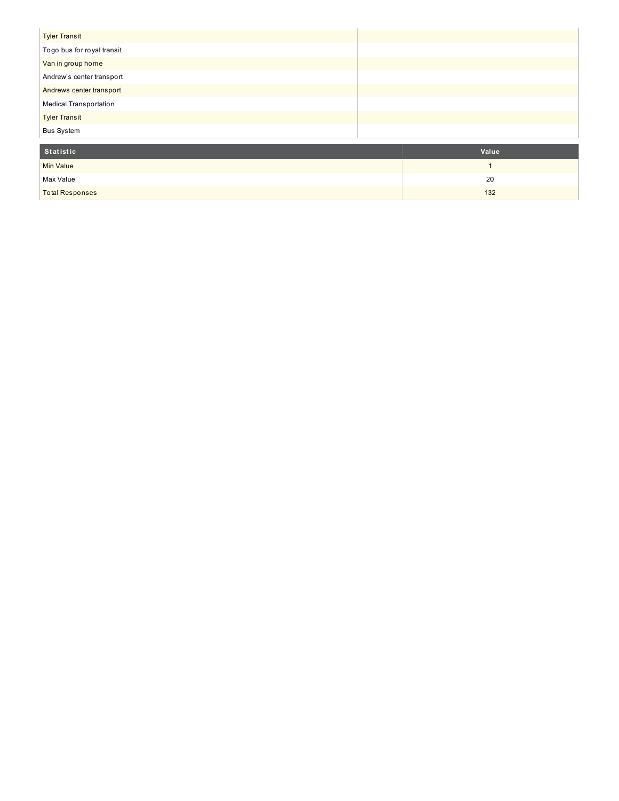| <b>Tyler Transit</b>       |  |
|----------------------------|--|
| Togo bus for royal transit |  |
| Van in group home          |  |
| Andrew's center transport  |  |
| Andrews center transport   |  |
| Medical Transportation     |  |
| <b>Tyler Transit</b>       |  |
| <b>Bus System</b>          |  |

| Statistic              | Value |
|------------------------|-------|
| <b>Min Value</b>       |       |
| Max Value              | 20    |
| <b>Total Responses</b> | 132   |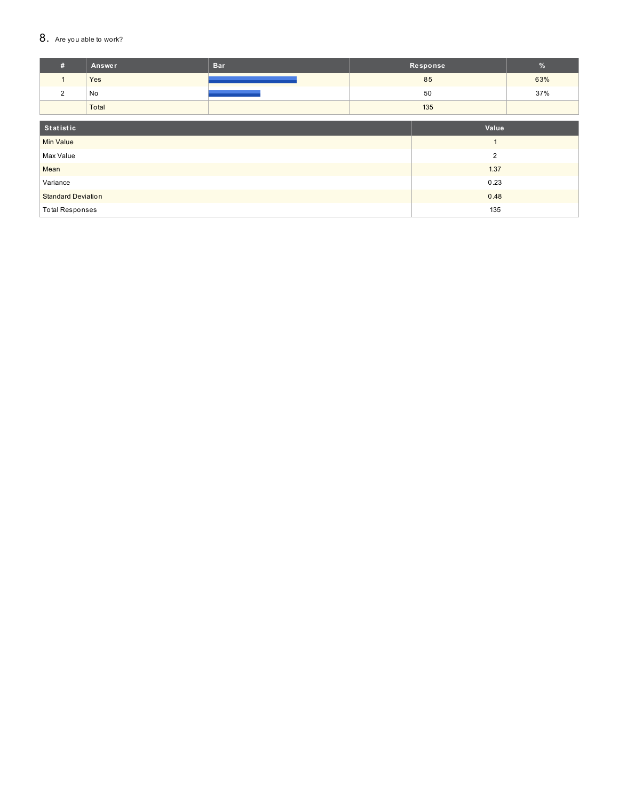#### 8. Are you able to work?

| #                         | <b>Answer</b> | <b>Bar</b>     |     | Response | $\frac{9}{6}$ |
|---------------------------|---------------|----------------|-----|----------|---------------|
| $\mathbf{1}$              | Yes           |                |     | 85       | 63%           |
| 2                         | No            |                |     | 50       | 37%           |
|                           | Total         |                | 135 |          |               |
|                           |               |                |     |          |               |
| Statistic                 |               |                |     | Value    |               |
| <b>Min Value</b>          |               |                |     |          |               |
| Max Value                 |               | $\overline{2}$ |     |          |               |
| Mean                      | 1.37          |                |     |          |               |
| Variance                  |               | 0.23           |     |          |               |
| <b>Standard Deviation</b> |               | 0.48           |     |          |               |
| <b>Total Responses</b>    |               | 135            |     |          |               |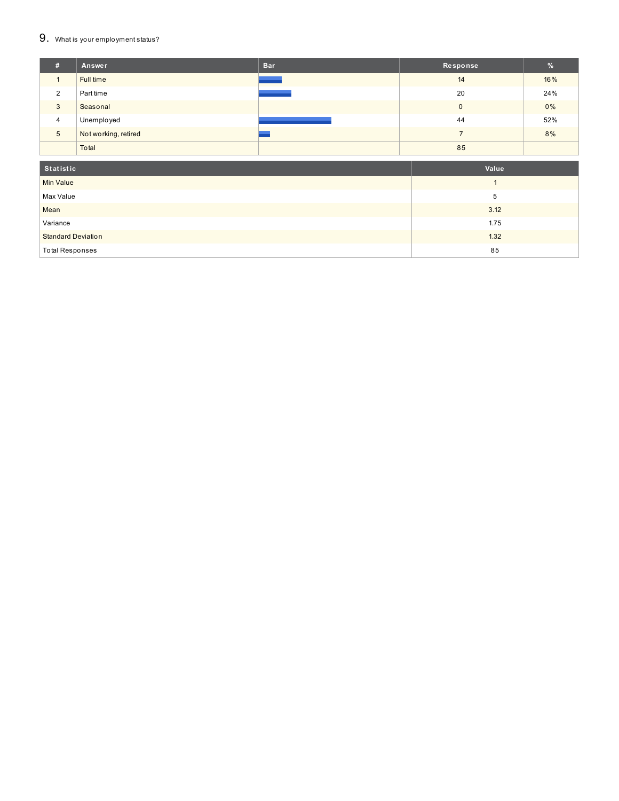#### $9.$  What is your employment status?

| #               | Answer               | <b>Bar</b> | Response       | %   |
|-----------------|----------------------|------------|----------------|-----|
|                 | Full time            |            | 14             | 16% |
| 2               | Part time            |            | 20             | 24% |
| 3               | Seasonal             |            | $\mathbf 0$    | 0%  |
| $\overline{4}$  | Unemployed           |            | 44             | 52% |
| $5\phantom{.0}$ | Not working, retired |            | $\overline{ }$ | 8%  |
|                 | Total                |            | 85             |     |
| Statistic       |                      | Value      |                |     |
| $\cdots$        |                      |            | $\sim$ $\sim$  |     |

| Min Value                 |      |
|---------------------------|------|
| Max Value                 |      |
| Mean                      | 3.12 |
| Variance                  | 1.75 |
| <b>Standard Deviation</b> | 1.32 |
| <b>Total Responses</b>    | 85   |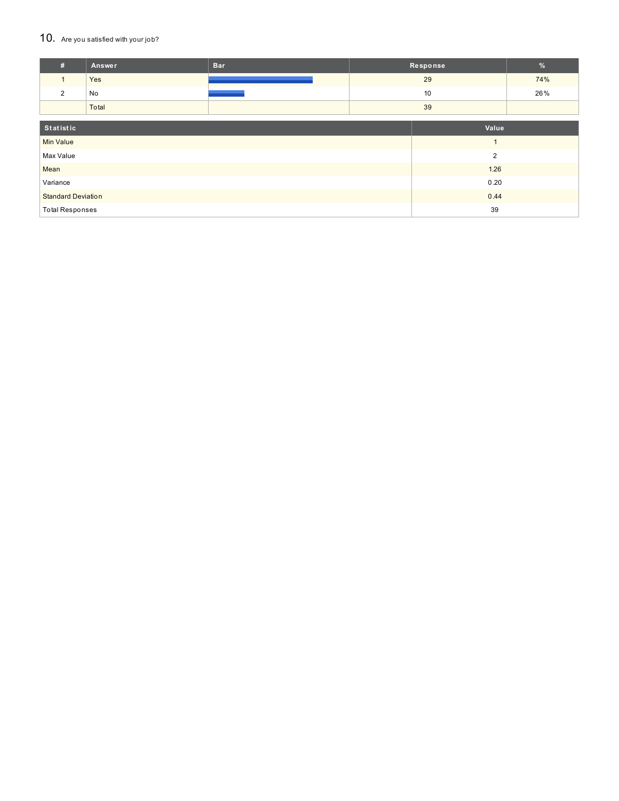#### 10. Are you satisfied with your job?

| #                           | <b>Answer</b> | <b>Bar</b> |  | Response | $\frac{9}{6}$ |
|-----------------------------|---------------|------------|--|----------|---------------|
| $\mathbf{1}$                | Yes           |            |  | 29       | 74%           |
| 2                           | No            |            |  | 10       | 26%           |
|                             | Total         |            |  | 39       |               |
|                             |               |            |  |          |               |
| Statistic                   |               |            |  | Value    |               |
| <b>Min Value</b>            |               |            |  |          |               |
| $\overline{2}$<br>Max Value |               |            |  |          |               |
| Mean                        | 1.26          |            |  |          |               |
| Variance                    | 0.20          |            |  |          |               |
| <b>Standard Deviation</b>   |               | 0.44       |  |          |               |
| <b>Total Responses</b>      |               | 39         |  |          |               |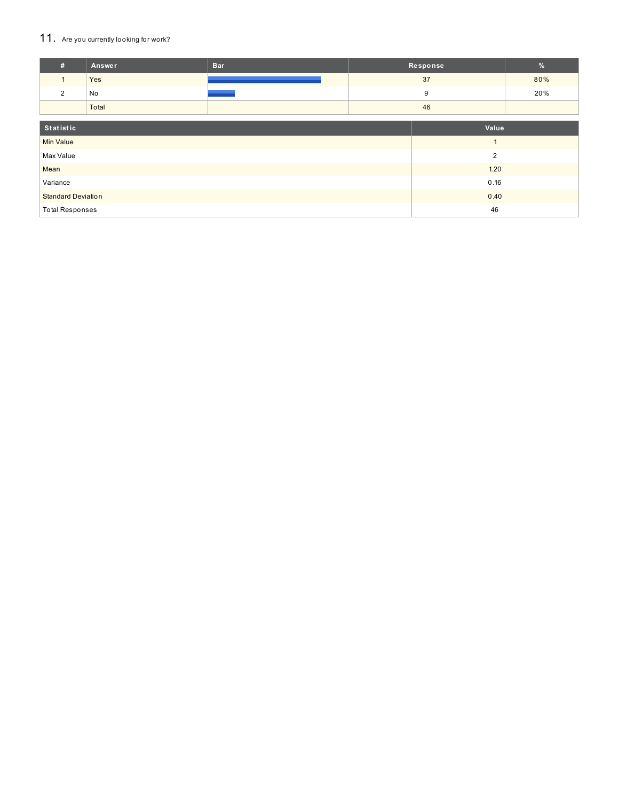## 11. Are you currently looking for work?

| #                                 | Answer         | <b>Bar</b> |    | Response       | $\frac{9}{6}$ |
|-----------------------------------|----------------|------------|----|----------------|---------------|
| $\mathbf{1}$                      | Yes            |            |    | 37             | 80%           |
| 2                                 | No             |            |    | 9              | 20%           |
|                                   | Total          |            | 46 |                |               |
|                                   |                |            |    |                |               |
| Statistic                         |                |            |    | Value          |               |
| <b>Min Value</b>                  |                |            |    | $\overline{ }$ |               |
| Max Value                         | $\overline{2}$ |            |    |                |               |
| Mean                              |                | 1.20       |    |                |               |
| Variance                          | 0.16           |            |    |                |               |
| <b>Standard Deviation</b><br>0.40 |                |            |    |                |               |
| <b>Total Responses</b><br>46      |                |            |    |                |               |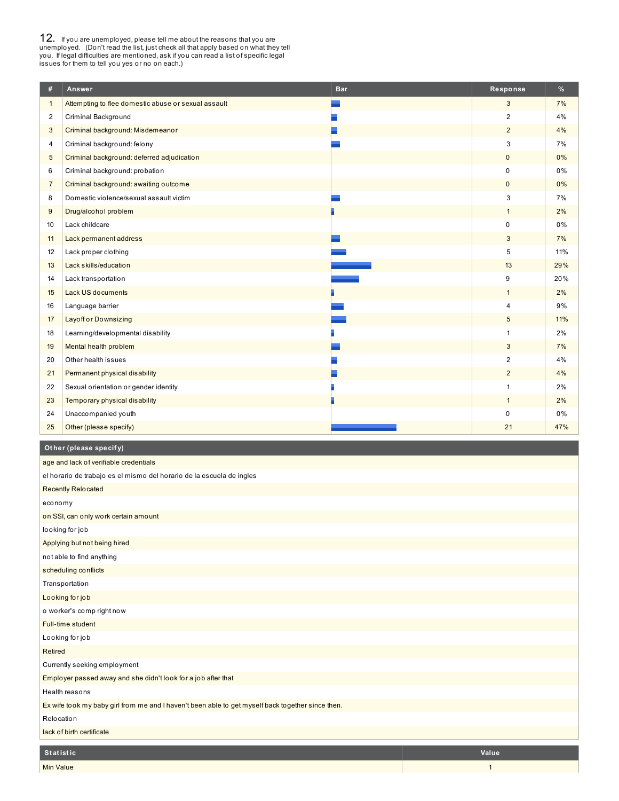**12.** If you are unemployed, please tell me about the reasons that you are unemployed. (Don't read the list, just check all that apply based on what they tell you. If legal difficulties are mentioned, ask if you can read a

| #                       | Answer                                              | <b>Bar</b> | Response       | %   |
|-------------------------|-----------------------------------------------------|------------|----------------|-----|
| $\mathbf{1}$            | Attempting to flee domestic abuse or sexual assault |            | 3              | 7%  |
| $\overline{\mathbf{c}}$ | Criminal Background                                 |            | 2              | 4%  |
| 3                       | Criminal background: Misdemeanor                    |            | 2              | 4%  |
| 4                       | Criminal background: felony                         |            | 3              | 7%  |
| 5                       | Criminal background: deferred adjudication          |            | $\mathbf{0}$   | 0%  |
| 6                       | Criminal background: probation                      |            | 0              | 0%  |
| $\overline{7}$          | Criminal background: awaiting outcome               |            | $\mathbf 0$    | 0%  |
| 8                       | Domestic violence/sexual assault victim             |            | 3              | 7%  |
| 9                       | Drug/alcohol problem                                |            | $\mathbf{1}$   | 2%  |
| 10                      | Lack childcare                                      |            | $\mathbf 0$    | 0%  |
| 11                      | Lack permanent address                              |            | 3              | 7%  |
| 12                      | Lack proper clothing                                |            | $\overline{5}$ | 11% |
| 13                      | Lack skills/education                               |            | 13             | 29% |
| 14                      | Lack transportation                                 |            | 9              | 20% |
| 15                      | <b>Lack US documents</b>                            |            | $\mathbf{1}$   | 2%  |
| 16                      | Language barrier                                    |            | $\overline{4}$ | 9%  |
| 17                      | <b>Layoff or Downsizing</b>                         |            | $\sqrt{5}$     | 11% |
| 18                      | Learning/developmental disability                   |            | $\mathbf{1}$   | 2%  |
| 19                      | Mental health problem                               |            | 3              | 7%  |
| 20                      | Other health issues                                 |            | 2              | 4%  |
| 21                      | Permanent physical disability                       |            | $\overline{2}$ | 4%  |
| 22                      | Sexual orientation or gender identity               |            | $\overline{1}$ | 2%  |
| 23                      | Temporary physical disability                       |            | $\mathbf{1}$   | 2%  |
| 24                      | Unaccompanied youth                                 |            | $\mathbf 0$    | 0%  |
| 25                      | Other (please specify)                              |            | 21             | 47% |

## **Ot her (please specif y)**

| age and lack of verifiable credentials                                                            |              |
|---------------------------------------------------------------------------------------------------|--------------|
| el horario de trabajo es el mismo del horario de la escuela de ingles                             |              |
| <b>Recently Relocated</b>                                                                         |              |
| economy                                                                                           |              |
| on SSI, can only work certain amount                                                              |              |
| looking for job                                                                                   |              |
| Applying but not being hired                                                                      |              |
| not able to find anything                                                                         |              |
| scheduling conflicts                                                                              |              |
| Transportation                                                                                    |              |
| Looking for job                                                                                   |              |
| o worker's comp right now                                                                         |              |
| Full-time student                                                                                 |              |
| Looking for job                                                                                   |              |
| <b>Retired</b>                                                                                    |              |
| Currently seeking employment                                                                      |              |
| Employer passed away and she didn't look for a job after that                                     |              |
| Health reasons                                                                                    |              |
| Ex wife took my baby girl from me and I haven't been able to get myself back together since then. |              |
| Relocation                                                                                        |              |
| lack of birth certificate                                                                         |              |
|                                                                                                   |              |
| <b>Statistic</b>                                                                                  | <b>Value</b> |
| <b>Min Value</b>                                                                                  | $\mathbf{1}$ |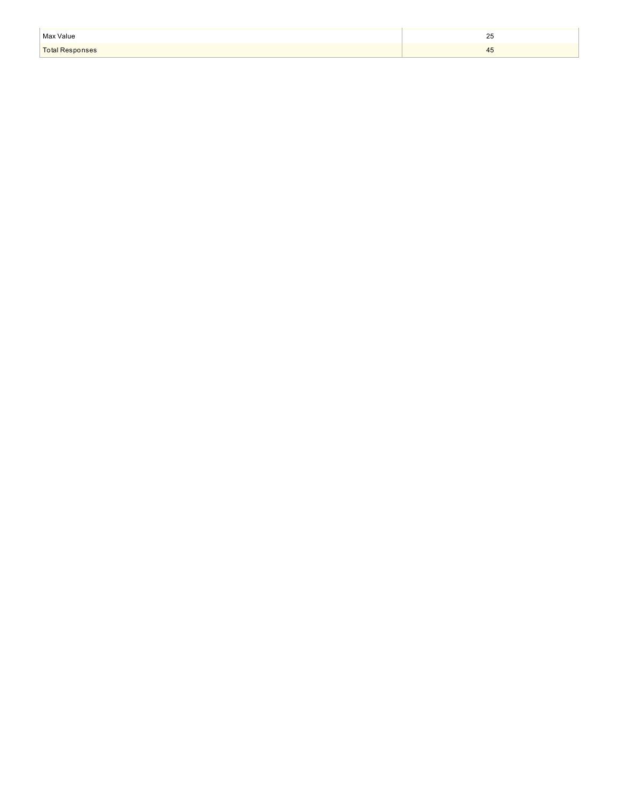| Max Value       | $\sim$     |
|-----------------|------------|
|                 | ںے         |
| Total Responses | $+$ $\sim$ |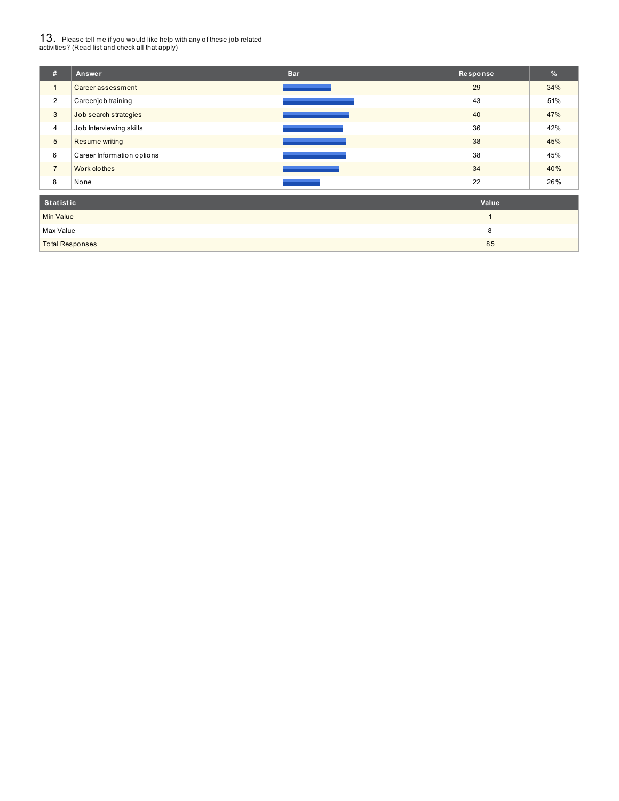# $13_\cdot$  Please tell me if you would like help with any of these job related<br>activities? (Read list and check all that apply)

| #                | Answer                     | <b>Bar</b> | Response | $\frac{9}{6}$ |
|------------------|----------------------------|------------|----------|---------------|
| $\mathbf{1}$     | Career assessment          |            | 29       | 34%           |
| $\overline{2}$   | Career/job training        |            | 43       | 51%           |
| 3                | Job search strategies      |            | 40       | 47%           |
| $\overline{4}$   | Job Interviewing skills    |            | 36       | 42%           |
| $5\phantom{.0}$  | Resume writing             |            | 38       | 45%           |
| 6                | Career Information options |            | 38       | 45%           |
| $\overline{7}$   | Work clothes               |            | 34       | 40%           |
| 8                | None                       |            | 22       | 26%           |
| <b>Statistic</b> |                            |            | Value    |               |
| <b>Min Value</b> |                            |            |          |               |

| Min Value       |    |
|-----------------|----|
| Max Value       |    |
| Total Responses | 85 |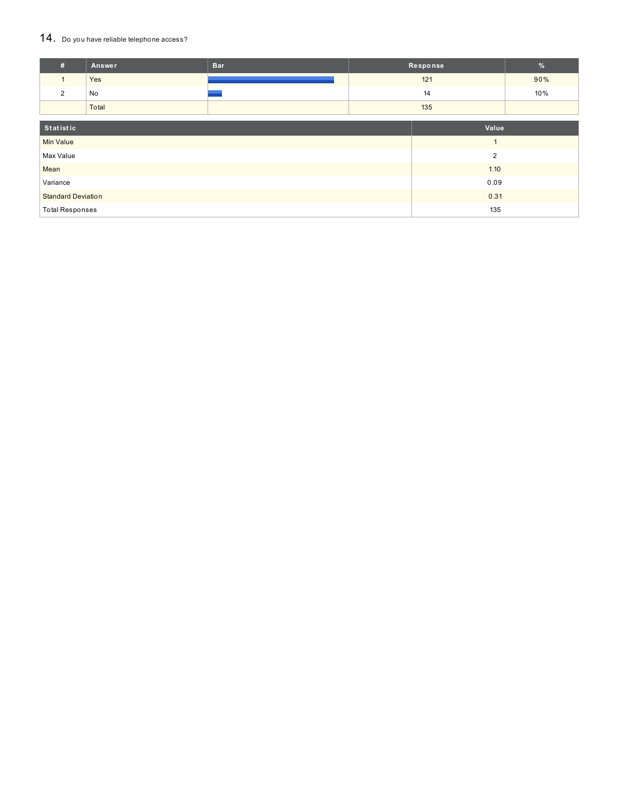#### 14. Do you have reliable telephone access?

| #                         | <b>Answer</b> | <b>Bar</b>     |     | Response | %   |
|---------------------------|---------------|----------------|-----|----------|-----|
| $\mathbf{1}$              | Yes           |                |     | 121      | 90% |
| $\overline{2}$            | No            |                |     | 14       | 10% |
|                           | Total         |                | 135 |          |     |
|                           |               |                |     |          |     |
| Statistic                 |               |                |     | Value    |     |
| <b>Min Value</b>          |               | ×              |     |          |     |
| Max Value                 |               | $\overline{2}$ |     |          |     |
| Mean                      |               | 1.10           |     |          |     |
| Variance                  |               | 0.09           |     |          |     |
| <b>Standard Deviation</b> |               | 0.31           |     |          |     |
| <b>Total Responses</b>    |               |                | 135 |          |     |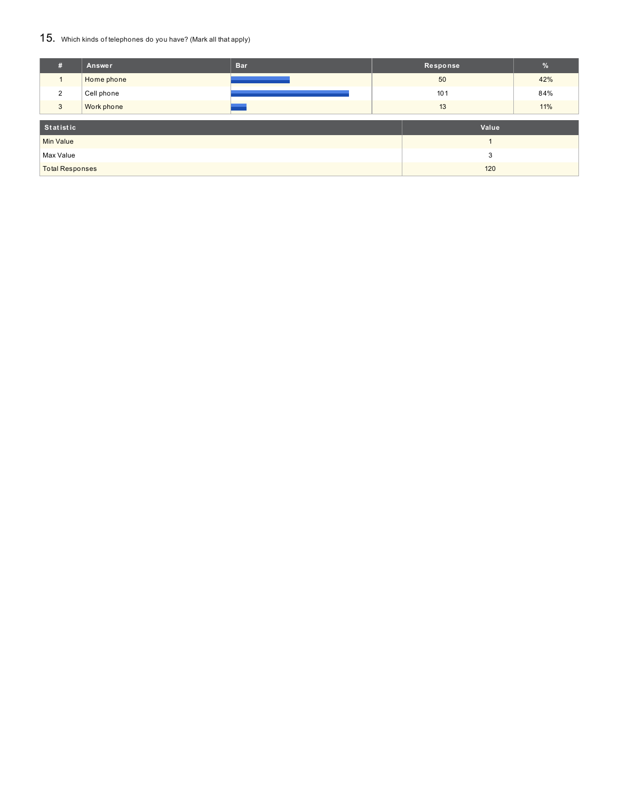#### 15. Which kinds of telephones do you have? (Mark all that apply)

| #                      | Answer     | <b>Bar</b> |     | Response | $\frac{9}{6}$ |
|------------------------|------------|------------|-----|----------|---------------|
|                        | Home phone |            | 50  |          | 42%           |
| 2                      | Cell phone |            | 101 |          | 84%           |
| 3                      | Work phone |            | 13  |          | 11%           |
| Statistic              |            | Value      |     |          |               |
| <b>Min Value</b>       |            |            |     |          |               |
| Max Value              |            | 3          |     |          |               |
| <b>Total Responses</b> |            | 120        |     |          |               |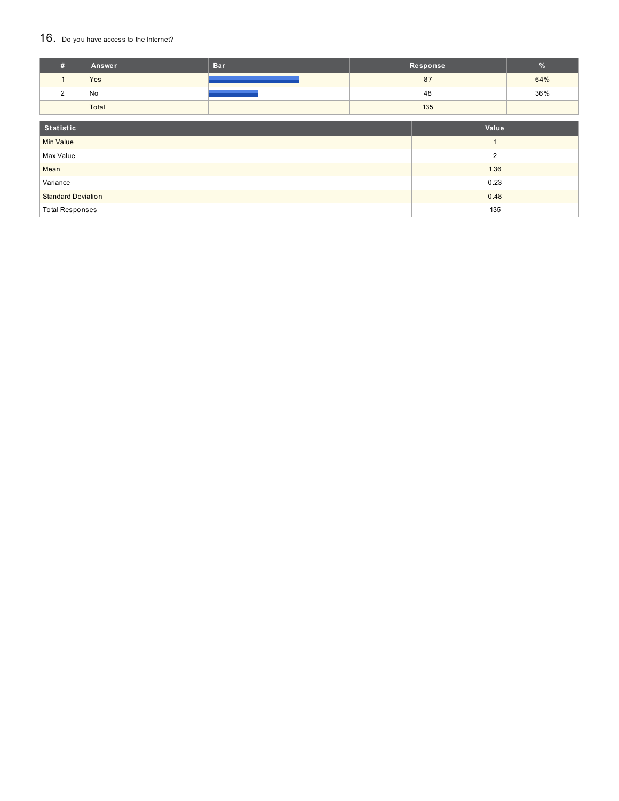#### 16. Do you have access to the Internet?

| #                         | <b>Answer</b> | <b>Bar</b>     |      | Response       | $\sqrt{2}$ |
|---------------------------|---------------|----------------|------|----------------|------------|
| $\mathbf{1}$              | Yes           |                |      | 87             | 64%        |
| 2                         | No            |                |      | 48             | 36%        |
|                           | Total         |                | 135  |                |            |
| Statistic                 |               |                |      | Value          |            |
| <b>Min Value</b>          |               |                |      | $\overline{ }$ |            |
| Max Value                 |               | $\overline{2}$ |      |                |            |
| Mean                      |               | 1.36           |      |                |            |
| Variance                  |               |                |      | 0.23           |            |
| <b>Standard Deviation</b> |               |                | 0.48 |                |            |
| <b>Total Responses</b>    |               |                | 135  |                |            |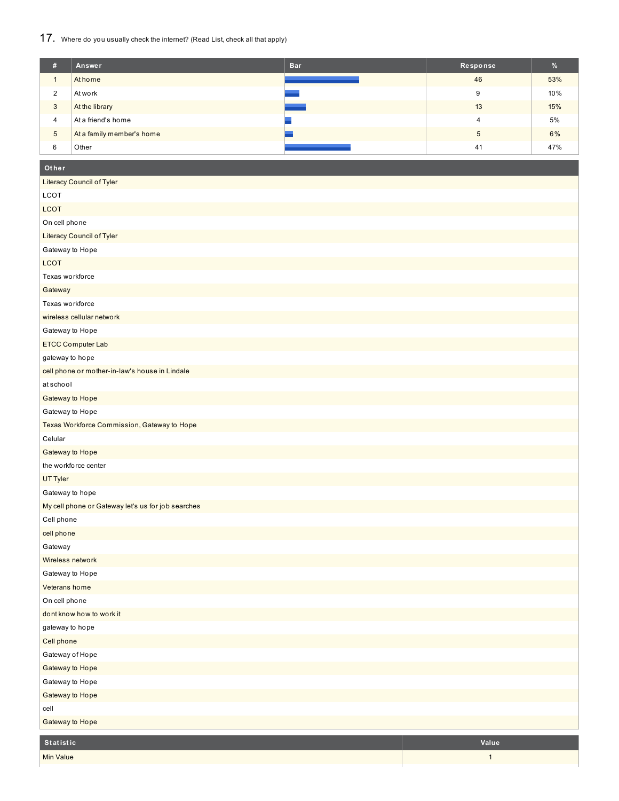## 17. Where do you usually check the internet? (Read List, check all that apply)

| #             | Answer                    | <b>Bar</b> | Response | %   |
|---------------|---------------------------|------------|----------|-----|
|               | At home                   |            | 46       | 53% |
| $\Omega$<br>∠ | At work                   |            | 9        | 10% |
| 3             | At the library            |            | 13       | 15% |
| 4             | At a friend's home        |            | 4        | 5%  |
| 5             | At a family member's home |            | 5        | 6%  |
| 6             | Other                     |            | 41       | 47% |

| Other                                              |
|----------------------------------------------------|
| Literacy Council of Tyler                          |
| <b>LCOT</b>                                        |
| <b>LCOT</b>                                        |
| On cell phone                                      |
| Literacy Council of Tyler                          |
| Gateway to Hope                                    |
| <b>LCOT</b>                                        |
| Texas workforce                                    |
| Gateway                                            |
| Texas workforce                                    |
| wireless cellular network                          |
| Gateway to Hope                                    |
| <b>ETCC Computer Lab</b>                           |
| gateway to hope                                    |
| cell phone or mother-in-law's house in Lindale     |
| atschool                                           |
| Gateway to Hope                                    |
| Gateway to Hope                                    |
| Texas Workforce Commission, Gateway to Hope        |
| Celular                                            |
| Gateway to Hope                                    |
| the workforce center                               |
| <b>UT Tyler</b>                                    |
| Gateway to hope                                    |
| My cell phone or Gateway let's us for job searches |
| Cell phone                                         |
| cell phone                                         |
| Gateway                                            |
| Wireless network                                   |
| Gateway to Hope                                    |
| Veterans home                                      |
| On cell phone                                      |
| dont know how to work it                           |
| gateway to hope                                    |
| Cell phone                                         |
| Gateway of Hope                                    |
| Gateway to Hope                                    |
| Gateway to Hope                                    |
| Gateway to Hope                                    |
| cell                                               |

Gateway to Hope

| Statistic | Value |
|-----------|-------|
| Min Value |       |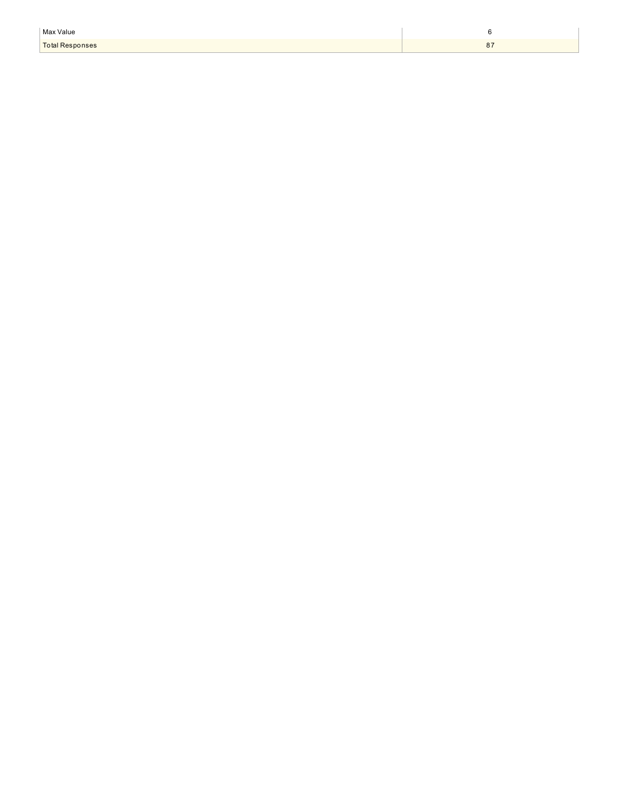| Max Value              |              |
|------------------------|--------------|
| <b>Total Responses</b> | $\mathbf{o}$ |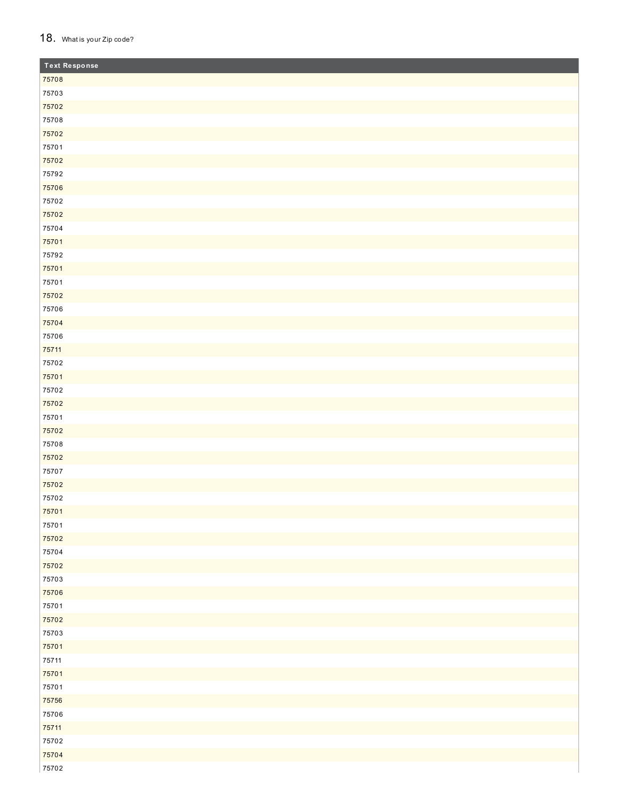#### 18. What is your Zip code?

| <b>Text Response</b> |
|----------------------|
| 75708                |
| 75703                |
| 75702                |
| 75708                |
| 75702                |
| 75701                |
| 75702                |
| 75792                |
| 75706                |
| 75702                |
| 75702                |
| 75704                |
| 75701                |
| 75792                |
| 75701                |
| 75701                |
| 75702                |
| 75706                |
| 75704                |
| 75706                |
| 75711                |
| 75702                |
| 75701                |
| 75702                |
| 75702                |
| 75701                |
| 75702                |
| 75708                |
| 75702                |
| 75707                |
| 75702                |
| 75702                |
| 75701                |
| 75701                |
| 75702                |
| 75704                |
| 75702                |
| 75703                |
| 75706                |
| 75701                |
| 75702                |
| 75703                |
| 75701                |
| 75711                |
| 75701                |
| 75701                |
| 75756                |
| 75706                |
| 75711                |
| 75702                |
| 75704                |
| 75702                |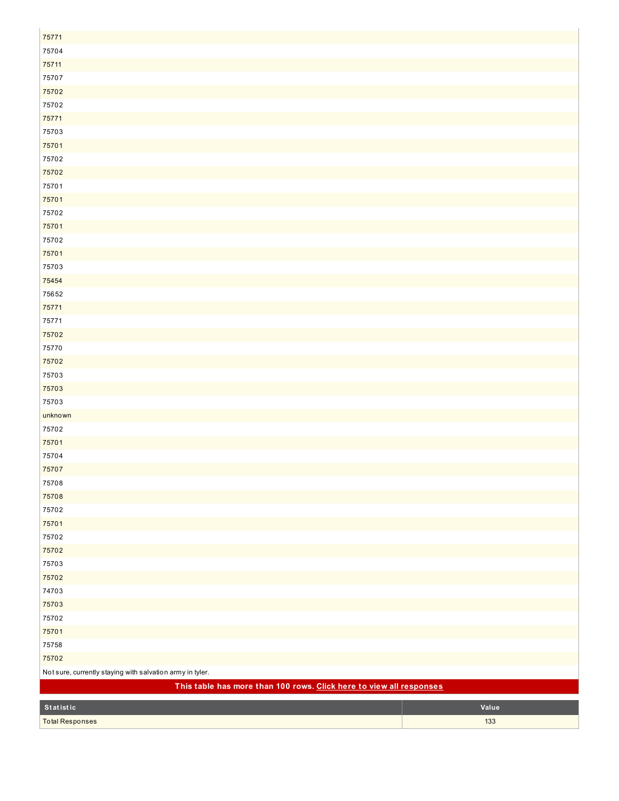| 75771                                                               |       |  |  |
|---------------------------------------------------------------------|-------|--|--|
| 75704                                                               |       |  |  |
| 75711                                                               |       |  |  |
| 75707                                                               |       |  |  |
| 75702                                                               |       |  |  |
| 75702                                                               |       |  |  |
| 75771                                                               |       |  |  |
| 75703                                                               |       |  |  |
| 75701                                                               |       |  |  |
| 75702                                                               |       |  |  |
| 75702                                                               |       |  |  |
| 75701                                                               |       |  |  |
| 75701                                                               |       |  |  |
| 75702                                                               |       |  |  |
| 75701                                                               |       |  |  |
| 75702                                                               |       |  |  |
| 75701                                                               |       |  |  |
| 75703                                                               |       |  |  |
| 75454                                                               |       |  |  |
| 75652                                                               |       |  |  |
| 75771                                                               |       |  |  |
| 75771                                                               |       |  |  |
| 75702                                                               |       |  |  |
| 75770                                                               |       |  |  |
| 75702                                                               |       |  |  |
| 75703                                                               |       |  |  |
| 75703                                                               |       |  |  |
| 75703                                                               |       |  |  |
| unknown                                                             |       |  |  |
| 75702                                                               |       |  |  |
| 75701                                                               |       |  |  |
| 75704                                                               |       |  |  |
| 75707                                                               |       |  |  |
| 75708                                                               |       |  |  |
| 75708                                                               |       |  |  |
| 75702                                                               |       |  |  |
| 75701<br>75702                                                      |       |  |  |
| 75702                                                               |       |  |  |
| 75703                                                               |       |  |  |
| 75702                                                               |       |  |  |
| 74703                                                               |       |  |  |
| 75703                                                               |       |  |  |
| 75702                                                               |       |  |  |
| 75701                                                               |       |  |  |
| 75758                                                               |       |  |  |
| 75702                                                               |       |  |  |
| Not sure, currently staying with salvation army in tyler.           |       |  |  |
| This table has more than 100 rows. Click here to view all responses |       |  |  |
|                                                                     |       |  |  |
| Statistic                                                           | Value |  |  |
| <b>Total Responses</b>                                              | 133   |  |  |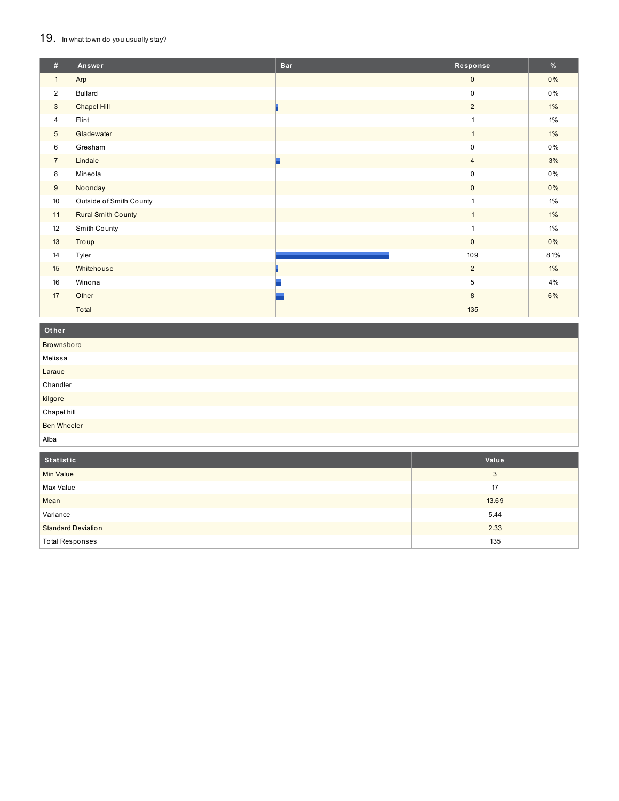## 19. In what town do you usually stay?

| #               | Answer                    | <b>Bar</b> | Response       | %     |
|-----------------|---------------------------|------------|----------------|-------|
| $\mathbf{1}$    | Arp                       |            | $\mathbf{0}$   | $0\%$ |
| $\overline{2}$  | <b>Bullard</b>            |            | 0              | $0\%$ |
| 3               | Chapel Hill               |            | $\overline{2}$ | $1\%$ |
| $\overline{4}$  | Flint                     |            | $\mathbf{1}$   | $1\%$ |
| $5\phantom{.0}$ | Gladewater                |            | $\mathbf{1}$   | $1\%$ |
| 6               | Gresham                   |            | 0              | $0\%$ |
| $\overline{7}$  | Lindale                   |            | $\overline{4}$ | 3%    |
| 8               | Mineola                   |            | 0              | 0%    |
| 9               | Noonday                   |            | $\mathbf{0}$   | 0%    |
| 10              | Outside of Smith County   |            | $\mathbf{1}$   | 1%    |
| 11              | <b>Rural Smith County</b> |            | $\mathbf{1}$   | $1\%$ |
| 12              | Smith County              |            | $\mathbf{1}$   | $1\%$ |
| 13              | Troup                     |            | $\mathbf 0$    | 0%    |
| 14              | Tyler                     |            | 109            | 81%   |
| 15              | Whitehouse                |            | $\overline{2}$ | $1\%$ |
| 16              | Winona                    |            | 5              | 4%    |
| 17              | Other                     |            | 8              | 6%    |
|                 | Total                     |            | 135            |       |

Other Brownsboro Melissa Laraue Chandler kilgore Chapel hill **Ben Wheeler** Alba

| Statistic                 | Value |
|---------------------------|-------|
| <b>Min Value</b>          | 3     |
| Max Value                 | 17    |
| Mean                      | 13.69 |
| Variance                  | 5.44  |
| <b>Standard Deviation</b> | 2.33  |
| <b>Total Responses</b>    | 135   |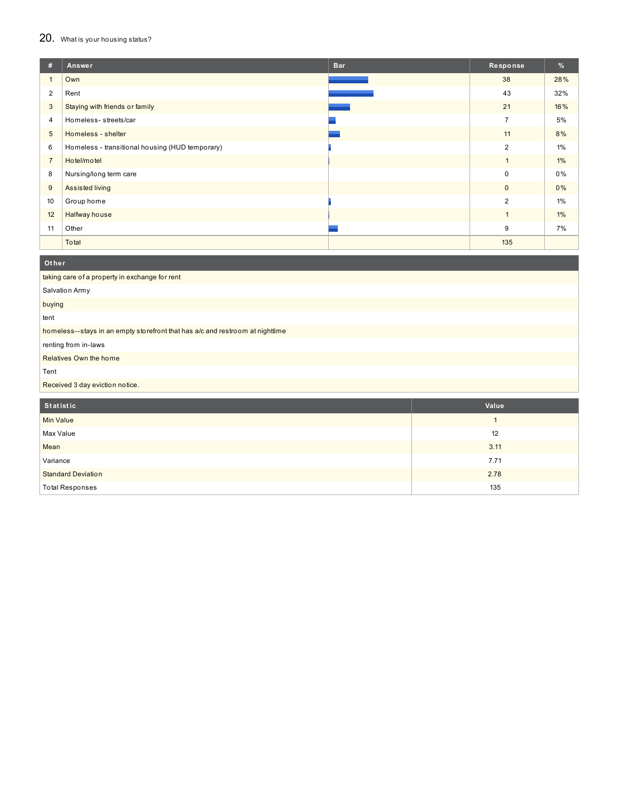## 20. What is your housing status?

| #              | Answer                                          | <b>Bar</b> | Response       | %     |
|----------------|-------------------------------------------------|------------|----------------|-------|
|                | Own                                             |            | 38             | 28%   |
| 2              | Rent                                            |            | 43             | 32%   |
| $\mathbf{3}$   | Staying with friends or family                  |            | 21             | 16%   |
| 4              | Homeless-streets/car                            |            | $\overline{7}$ | 5%    |
| 5              | Homeless - shelter                              |            | 11             | 8%    |
| 6              | Homeless - transitional housing (HUD temporary) |            | 2              | $1\%$ |
| $\overline{7}$ | Hotel/motel                                     |            | $\mathbf{1}$   | 1%    |
| 8              | Nursing/long term care                          |            | 0              | $0\%$ |
| 9              | Assisted living                                 |            | $\mathbf{0}$   | 0%    |
| 10             | Group home                                      |            | 2              | $1\%$ |
| 12             | Halfway house                                   |            | $\mathbf{1}$   | $1\%$ |
| 11             | Other                                           |            | 9              | 7%    |
|                | Total                                           |            | 135            |       |

| renting from in-laws |  |  |  |
|----------------------|--|--|--|
|                      |  |  |  |
|                      |  |  |  |
|                      |  |  |  |
| Value                |  |  |  |
|                      |  |  |  |
| 1                    |  |  |  |
| 12                   |  |  |  |
|                      |  |  |  |

| Mean                      | 3.11 |
|---------------------------|------|
| Variance                  | 7.71 |
| <b>Standard Deviation</b> | 2.78 |
| <b>Total Responses</b>    | 135  |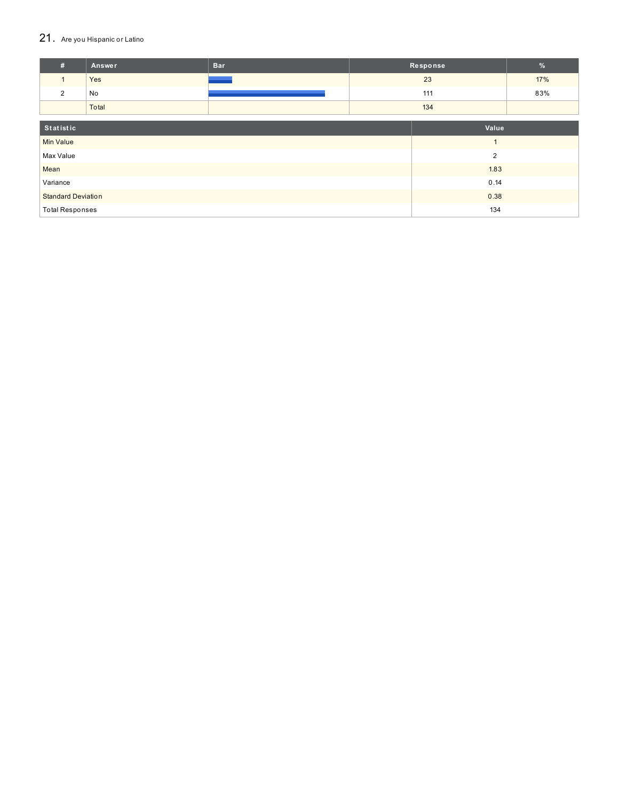## 21. Are you Hispanic or Latino

| #                         | <b>Answer</b> | <b>Bar</b> |                | Response | $\frac{9}{6}$ |
|---------------------------|---------------|------------|----------------|----------|---------------|
| $\mathbf{1}$              | Yes           |            |                | 23       | 17%           |
| 2                         | No            |            |                | 111      | 83%           |
|                           | Total         |            |                | 134      |               |
|                           |               |            |                |          |               |
| Statistic                 |               |            |                | Value    |               |
| <b>Min Value</b>          |               |            |                |          |               |
| Max Value                 |               |            | $\overline{2}$ |          |               |
| Mean                      |               |            | 1.83           |          |               |
| Variance                  |               |            | 0.14           |          |               |
| <b>Standard Deviation</b> |               |            | 0.38           |          |               |
| <b>Total Responses</b>    |               |            | 134            |          |               |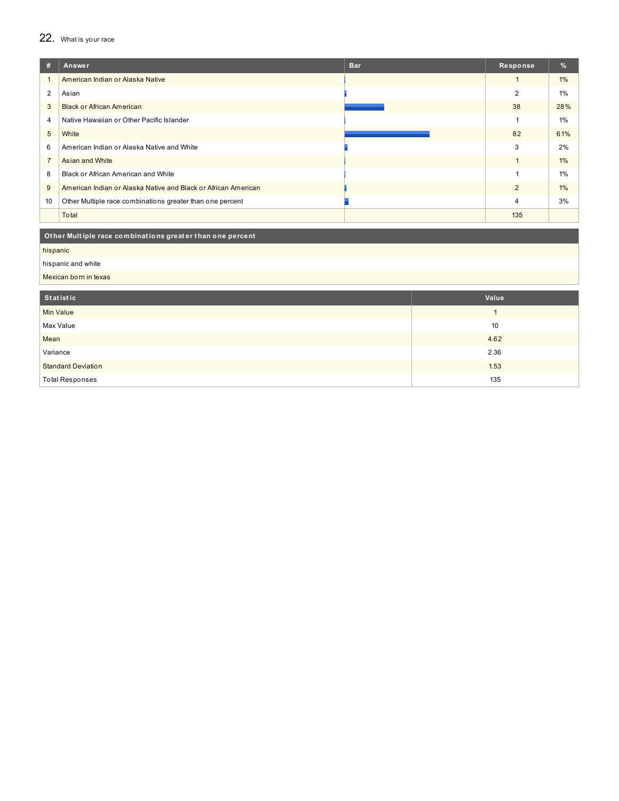## 22. What is your race

| #                | Answer                                                         | <b>Bar</b> | Response       | $\%$  |
|------------------|----------------------------------------------------------------|------------|----------------|-------|
|                  | American Indian or Alaska Native                               |            |                | $1\%$ |
| 2                | Asian                                                          |            | 2              | 1%    |
| 3                | <b>Black or African American</b>                               |            | 38             | 28%   |
| 4                | Native Hawaiian or Other Pacific Islander                      |            |                | $1\%$ |
| 5                | White                                                          |            | 82             | 61%   |
| 6                | American Indian or Alaska Native and White                     |            | 3              | 2%    |
| $\overline{7}$   | Asian and White                                                |            |                | $1\%$ |
| 8                | Black or African American and White                            |            |                | 1%    |
| 9                | American Indian or Alaska Native and Black or African American |            | $\overline{2}$ | $1\%$ |
| 10 <sup>10</sup> | Other Multiple race combinations greater than one percent      |            | 4              | 3%    |
|                  | Total                                                          |            | 135            |       |

#### Other Multiple race combinations greater than one percent

hispanic

#### hispanic and white

Mexican born in texas

| Statistic                 | Value |
|---------------------------|-------|
| Min Value                 |       |
| Max Value                 | 10    |
| Mean                      | 4.62  |
| Variance                  | 2.36  |
| <b>Standard Deviation</b> | 1.53  |
| <b>Total Responses</b>    | 135   |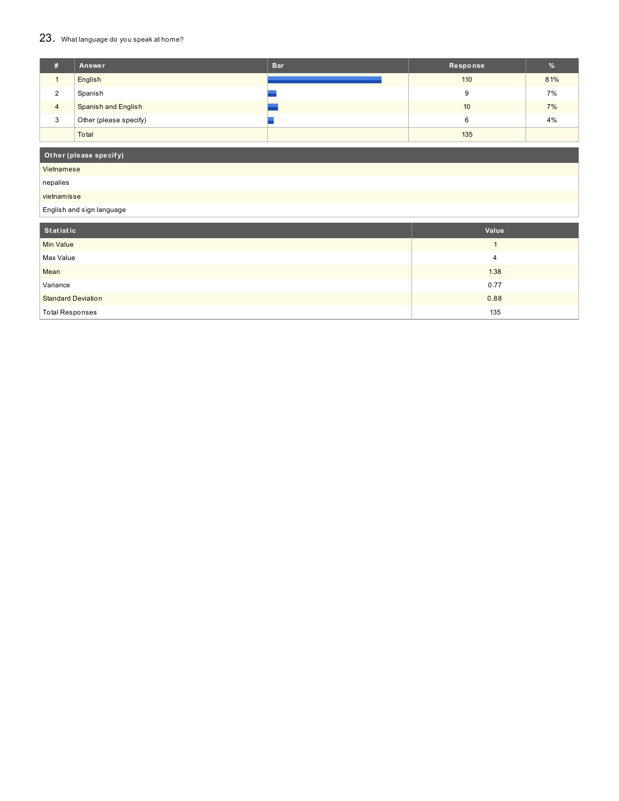## 23. What language do you speak at home?

| # | Answer                     | <b>Bar</b> | Response | %   |
|---|----------------------------|------------|----------|-----|
|   | English                    |            | 110      | 81% |
| 2 | Spanish                    |            |          | 7%  |
| 4 | <b>Spanish and English</b> |            | 10       | 7%  |
| 3 | Other (please specify)     |            | 6        | 4%  |
|   | Total                      |            | 135      |     |

## **Ot her (please specif y)**

Vietnamese

nepalies

vietnamisse

#### English and sign language

| Statistic                 | Value |
|---------------------------|-------|
| <b>Min Value</b>          |       |
| Max Value                 | 4     |
| Mean                      | 1.38  |
| Variance                  | 0.77  |
| <b>Standard Deviation</b> | 0.88  |
| <b>Total Responses</b>    | 135   |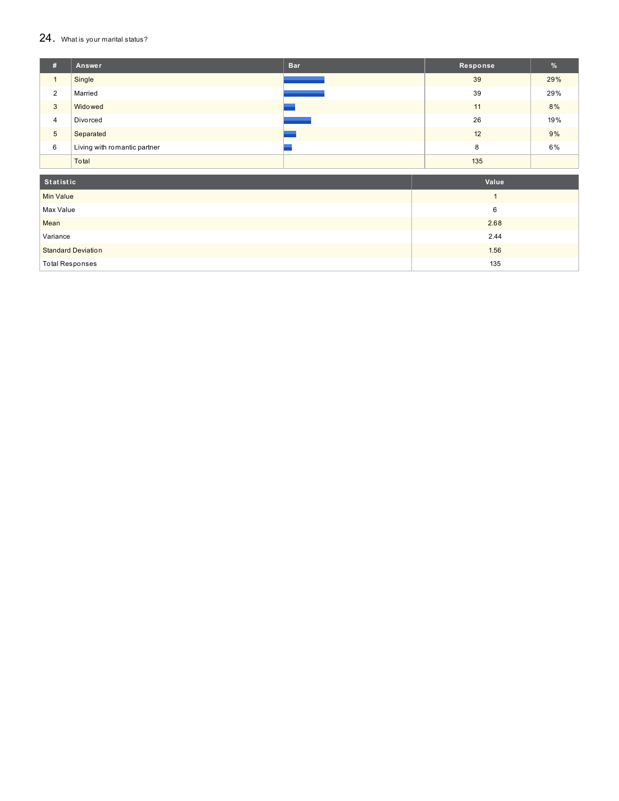#### $24.$  What is your marital status?

| #              | Answer                       | <b>Bar</b> | Response | $\frac{9}{6}$ |
|----------------|------------------------------|------------|----------|---------------|
|                | Single                       |            | 39       | 29%           |
| $\overline{2}$ | Married                      |            | 39       | 29%           |
| 3              | Widowed                      |            | 11       | 8%            |
| $\overline{4}$ | Divorced                     |            | 26       | 19%           |
| 5              | Separated                    |            | 12       | 9%            |
| 6              | Living with romantic partner |            | 8        | 6%            |
|                | Total                        |            | 135      |               |

| Statistic                 | Value |
|---------------------------|-------|
| <b>Min Value</b>          |       |
| Max Value                 | 6     |
| Mean                      | 2.68  |
| Variance                  | 2.44  |
| <b>Standard Deviation</b> | 1.56  |
| <b>Total Responses</b>    | 135   |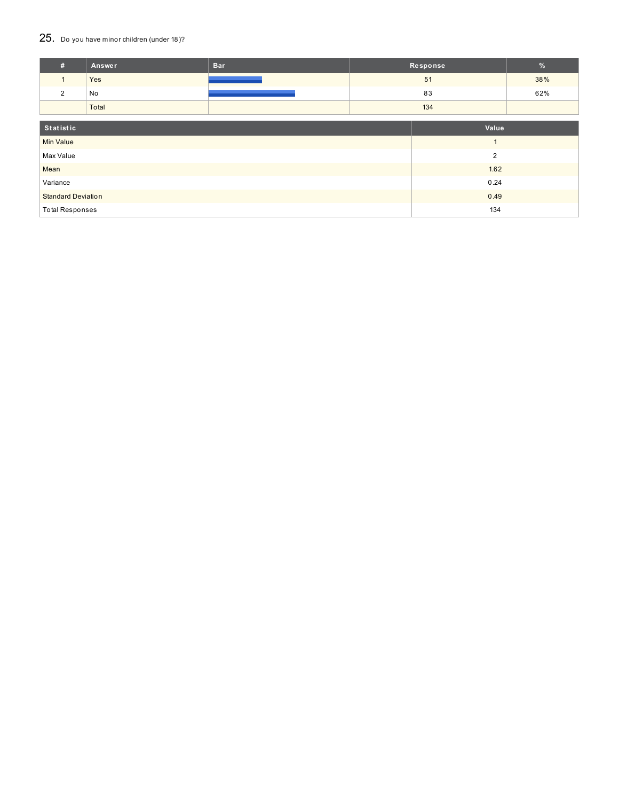## 25. Do you have minor children (under 18)?

| #                         | Answer | <b>Bar</b> | Response       |  | $\frac{9}{6}$ |
|---------------------------|--------|------------|----------------|--|---------------|
| $\mathbf{1}$              | Yes    |            | 51             |  | 38%           |
| 2                         | No     |            | 83             |  | 62%           |
|                           | Total  |            | 134            |  |               |
|                           |        |            |                |  |               |
| Statistic                 |        |            | Value          |  |               |
| <b>Min Value</b>          |        |            |                |  |               |
| Max Value                 |        |            | $\overline{2}$ |  |               |
| Mean                      |        |            | 1.62           |  |               |
| Variance                  |        |            | 0.24           |  |               |
| <b>Standard Deviation</b> |        |            | 0.49           |  |               |
| <b>Total Responses</b>    |        |            | 134            |  |               |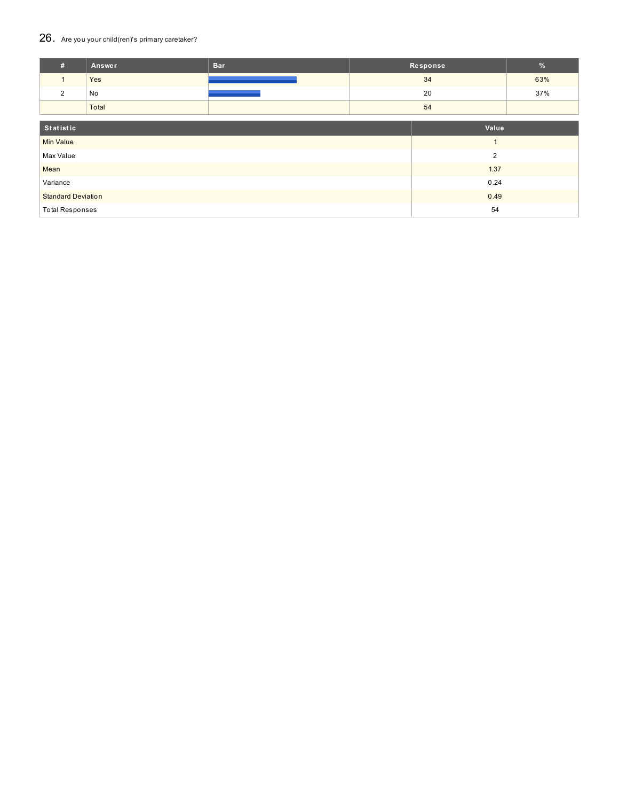## 26. Are you your child(ren)'s primary caretaker?

| #                         | Answer | <b>Bar</b> | Response       |     | $\%$ |
|---------------------------|--------|------------|----------------|-----|------|
| $\mathbf{1}$              | Yes    |            | 34             |     | 63%  |
| 2                         | No     |            |                | 37% |      |
|                           | Total  |            | 54             |     |      |
| Statistic                 |        |            | Value          |     |      |
| <b>Min Value</b>          |        |            | $\overline{A}$ |     |      |
| Max Value                 |        |            | $\overline{2}$ |     |      |
| Mean                      |        |            | 1.37           |     |      |
| Variance                  |        |            | 0.24           |     |      |
| <b>Standard Deviation</b> |        |            | 0.49           |     |      |
| <b>Total Responses</b>    |        |            |                | 54  |      |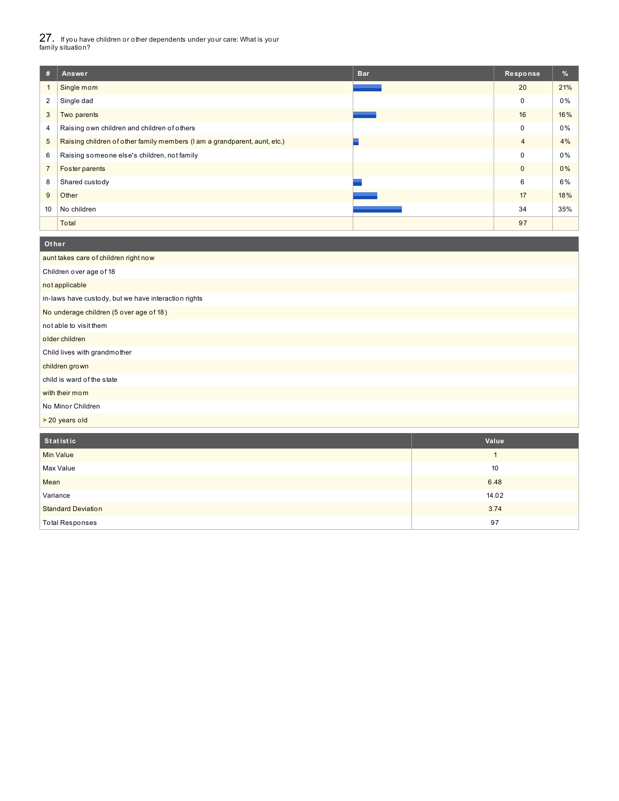27. If you have children or other dependents under your care: What is your family situation?

| #              | <b>Bar</b><br>Answer                                                      | Response       | %   |
|----------------|---------------------------------------------------------------------------|----------------|-----|
|                | Single mom                                                                | 20             | 21% |
| 2              | Single dad                                                                | 0              | 0%  |
| 3              | Two parents                                                               | 16             | 16% |
| 4              | Raising own children and children of others                               | 0              | 0%  |
| 5              | Raising children of other family members (I am a grandparent, aunt, etc.) | $\overline{4}$ | 4%  |
| 6              | Raising someone else's children, not family                               | $\Omega$       | 0%  |
| $\overline{7}$ | Foster parents                                                            | $\mathbf{0}$   | 0%  |
| 8              | Shared custody                                                            | 6              | 6%  |
| 9              | Other                                                                     | 17             | 18% |
| 10             | No children                                                               | 34             | 35% |
|                | Total                                                                     | 97             |     |

#### aunt takes care of children right now Children over age of 18 not applicable in-laws have custody, but we have interaction rights No underage children (5 over age of 18) not able to visit them older children Child lives with grandmother children grown child is ward of the state with their mom No Minor Children > 20 years old **Ot her**

| Statistic                 | Value |
|---------------------------|-------|
| <b>Min Value</b>          |       |
| Max Value                 | 10    |
| Mean                      | 6.48  |
| Variance                  | 14.02 |
| <b>Standard Deviation</b> | 3.74  |
| <b>Total Responses</b>    | 97    |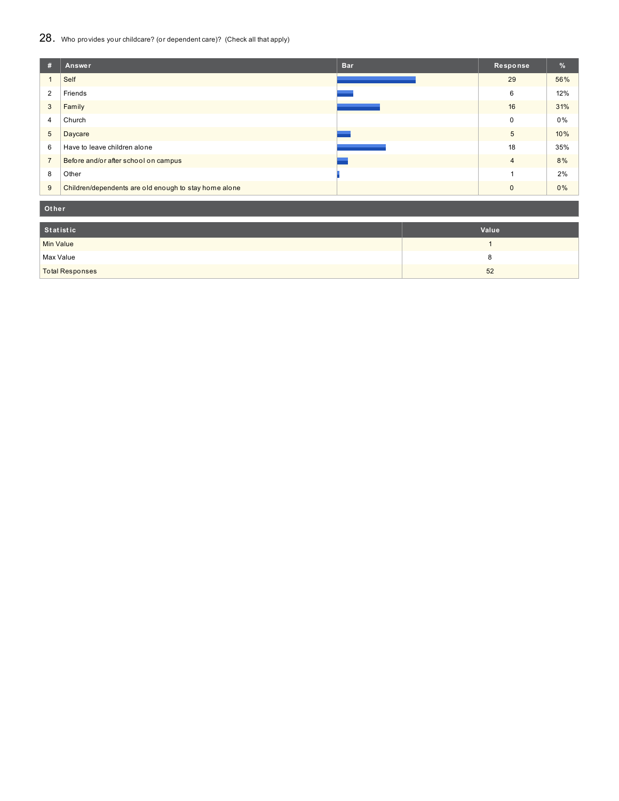## 28. Who provides your childcare? (or dependent care)? (Check all that apply)

| #              | <b>Bar</b><br>Answer                                  | Response       | $\frac{9}{6}$ |
|----------------|-------------------------------------------------------|----------------|---------------|
|                | Self                                                  | 29             | 56%           |
| 2              | Friends                                               | 6              | 12%           |
| 3              | Family                                                | 16             | 31%           |
| 4              | Church                                                | $\Omega$       | 0%            |
| 5              | Daycare                                               | 5              | 10%           |
| 6              | Have to leave children alone                          | 18             | 35%           |
| $\overline{7}$ | Before and/or after school on campus                  | $\overline{4}$ | 8%            |
| 8              | Other                                                 |                | 2%            |
| 9              | Children/dependents are old enough to stay home alone | $\Omega$       | 0%            |

**Ot her**

| Statistic              | Value |
|------------------------|-------|
| <b>Min Value</b>       |       |
| Max Value              |       |
| <b>Total Responses</b> | 52    |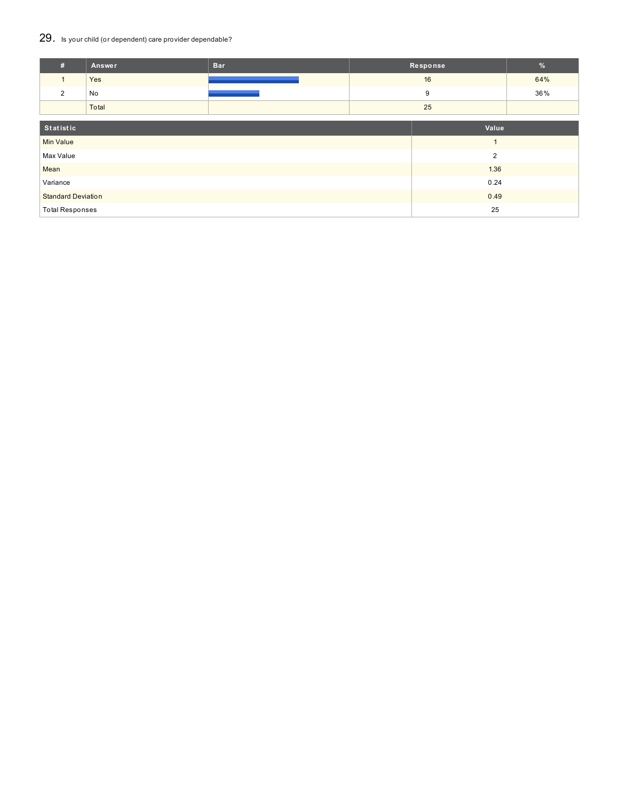## 29. Is your child (or dependent) care provider dependable?

| #                         | Answer | <b>Bar</b> | Response       |                | $\%$ |
|---------------------------|--------|------------|----------------|----------------|------|
| $\mathbf{1}$              | Yes    |            | 16             |                | 64%  |
| 2                         | No     |            | 9              |                | 36%  |
|                           | Total  |            | 25             |                |      |
| Statistic                 |        |            | Value          |                |      |
| <b>Min Value</b>          |        |            | $\overline{A}$ |                |      |
| Max Value                 |        |            |                | $\overline{2}$ |      |
| Mean                      |        |            | 1.36           |                |      |
| Variance                  |        |            | 0.24           |                |      |
| <b>Standard Deviation</b> |        |            | 0.49           |                |      |
| <b>Total Responses</b>    |        |            |                | 25             |      |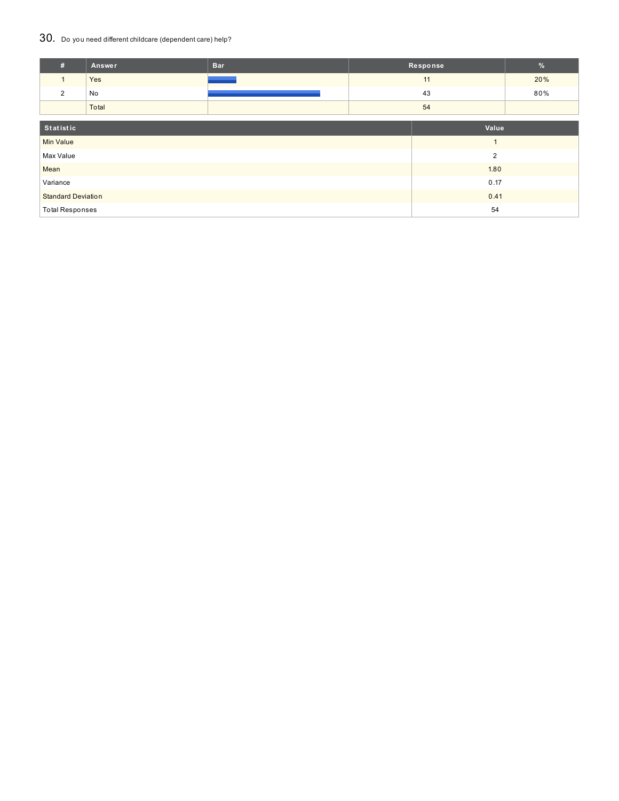## 30. Do you need different childcare (dependent care) help?

| #                         | Answer         | <b>Bar</b> |      | Response | $\%$ |  |
|---------------------------|----------------|------------|------|----------|------|--|
| $\mathbf{1}$              | Yes            |            |      | 11       | 20%  |  |
| $\overline{2}$            | No             |            |      | 43       | 80%  |  |
|                           | Total          |            |      |          |      |  |
|                           |                |            |      |          |      |  |
| Statistic                 |                |            |      | Value    |      |  |
| <b>Min Value</b>          |                |            |      |          |      |  |
| Max Value                 | $\overline{2}$ |            |      |          |      |  |
| Mean                      |                |            |      | 1.80     |      |  |
| Variance                  |                |            |      | 0.17     |      |  |
| <b>Standard Deviation</b> |                |            | 0.41 |          |      |  |
| <b>Total Responses</b>    |                |            |      | 54       |      |  |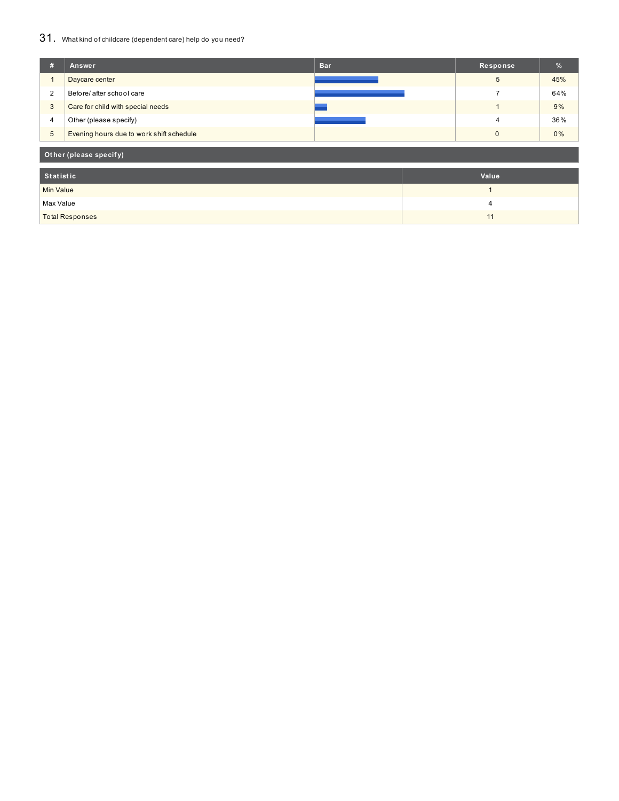## 31. What kind of childcare (dependent care) help do you need?

| #                | Answer                                   | <b>Bar</b> | Response       | $\frac{9}{6}$ |
|------------------|------------------------------------------|------------|----------------|---------------|
|                  | Daycare center                           |            | 5              | 45%           |
| $\overline{2}$   | Before/ after school care                |            | $\overline{ }$ | 64%           |
| 3                | Care for child with special needs        |            | 1              | 9%            |
| 4                | Other (please specify)                   |            | $\overline{4}$ | 36%           |
| $\overline{5}$   | Evening hours due to work shift schedule |            | $\mathbf{0}$   | 0%            |
|                  | Other (please specify)                   |            |                |               |
| <b>Statistic</b> |                                          |            | Value          |               |
| <b>Min Value</b> |                                          |            | и              |               |
| Max Value        |                                          |            | $\overline{4}$ |               |
|                  | <b>Total Responses</b>                   |            | 11             |               |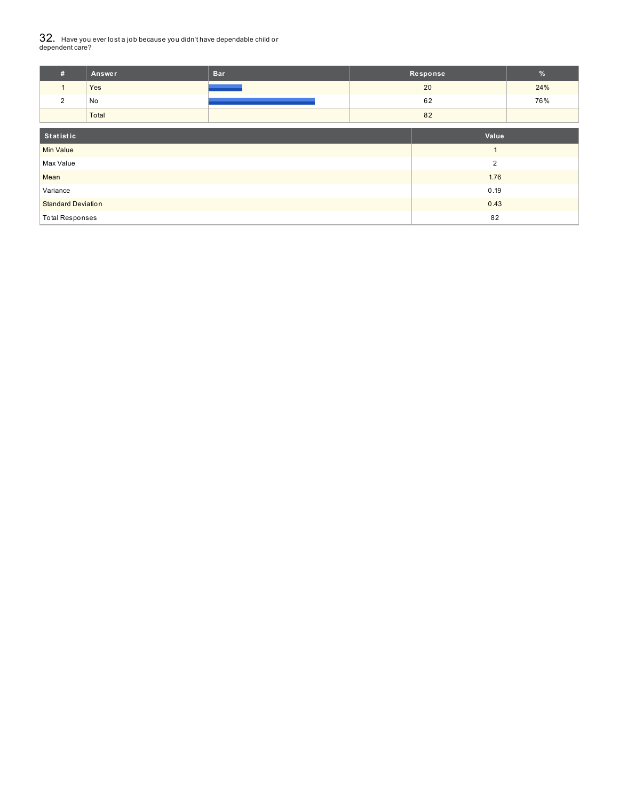# $32_\cdot\,$  Have you ever lost a job because you didn't have dependable child or<br>dependent care?

| #                         | Answer | <b>Bar</b> | Response | $\%$           |     |
|---------------------------|--------|------------|----------|----------------|-----|
| $\mathbf{1}$              | Yes    |            |          | 24%            |     |
| 2                         | No     |            | 62       |                | 76% |
|                           | Total  |            | 82       |                |     |
| Statistic                 |        | Value      |          |                |     |
| <b>Min Value</b>          |        |            |          |                |     |
| Max Value                 |        |            |          | $\overline{2}$ |     |
| Mean                      |        |            |          | 1.76           |     |
| Variance                  |        | 0.19       |          |                |     |
| <b>Standard Deviation</b> |        |            |          | 0.43           |     |
| <b>Total Responses</b>    |        |            |          | 82             |     |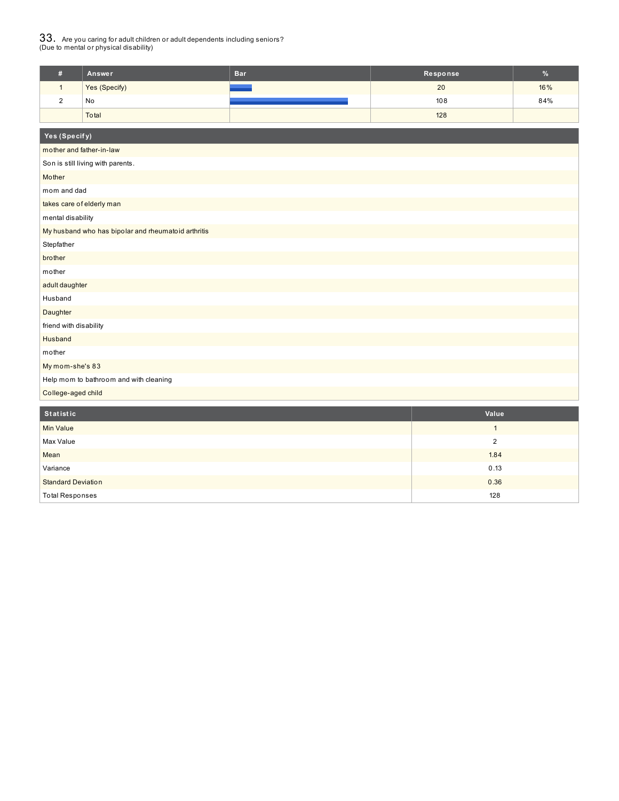# $33_\cdot$  Are you caring for adult children or adult dependents including seniors?<br>(Due to mental or physical disability)

|                    | Answer        | <b>Bar</b> | Response | $\%$ |
|--------------------|---------------|------------|----------|------|
|                    | Yes (Specify) |            | 20       | 16%  |
| $\sim$<br><u>_</u> | No            |            | 108      | 84%  |
|                    | Total         |            | 128      |      |

| Yes (Specify)                                       |                |  |  |  |  |  |
|-----------------------------------------------------|----------------|--|--|--|--|--|
| mother and father-in-law                            |                |  |  |  |  |  |
| Son is still living with parents.                   |                |  |  |  |  |  |
| Mother                                              |                |  |  |  |  |  |
| mom and dad                                         |                |  |  |  |  |  |
| takes care of elderly man                           |                |  |  |  |  |  |
| mental disability                                   |                |  |  |  |  |  |
| My husband who has bipolar and rheumatoid arthritis |                |  |  |  |  |  |
| Stepfather                                          |                |  |  |  |  |  |
| brother                                             |                |  |  |  |  |  |
| mother                                              |                |  |  |  |  |  |
| adult daughter                                      |                |  |  |  |  |  |
| Husband                                             |                |  |  |  |  |  |
| Daughter                                            |                |  |  |  |  |  |
| friend with disability                              |                |  |  |  |  |  |
| Husband                                             |                |  |  |  |  |  |
| mother                                              |                |  |  |  |  |  |
| My mom-she's 83                                     |                |  |  |  |  |  |
| Help mom to bathroom and with cleaning              |                |  |  |  |  |  |
| College-aged child                                  |                |  |  |  |  |  |
| Statistic                                           | Value          |  |  |  |  |  |
| <b>Min Value</b>                                    | $\mathbf{1}$   |  |  |  |  |  |
| Max Value                                           | $\overline{2}$ |  |  |  |  |  |
| Mean                                                | 1.84           |  |  |  |  |  |
| Variance                                            | 0.13           |  |  |  |  |  |
| <b>Standard Deviation</b>                           | 0.36           |  |  |  |  |  |
| <b>Total Responses</b>                              | 128            |  |  |  |  |  |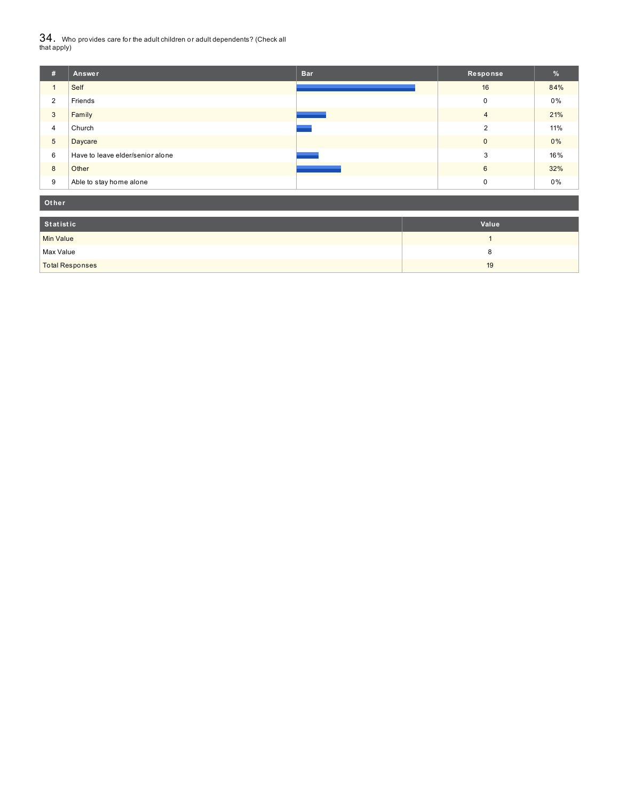${\bf 34}$  . Who provides care for the adult children or adult dependents? (Check all<br>that apply)

| #               | Answer                           | <b>Bar</b> | Response       | %   |
|-----------------|----------------------------------|------------|----------------|-----|
|                 | Self                             |            | 16             | 84% |
| $\overline{2}$  | Friends                          |            | 0              | 0%  |
| 3               | Family                           |            | $\overline{4}$ | 21% |
| 4               | Church                           |            | 2              | 11% |
| $5\phantom{.0}$ | Daycare                          |            | $\mathbf{0}$   | 0%  |
| 6               | Have to leave elder/senior alone |            | 3              | 16% |
| 8               | Other                            |            | 6              | 32% |
| 9               | Able to stay home alone          |            | 0              | 0%  |

| Other                  |       |
|------------------------|-------|
| Statistic              | Value |
| Min Value              |       |
| Max Value              | o     |
| <b>Total Responses</b> | 19    |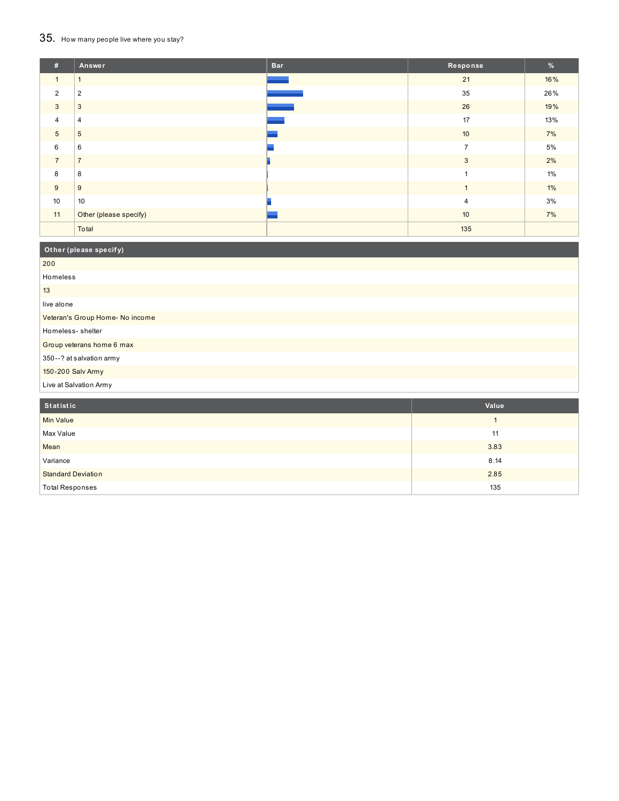## 35. How many people live where you stay?

| #              | <b>Answer</b>          | <b>Bar</b> | Response       | $\frac{9}{6}$ |
|----------------|------------------------|------------|----------------|---------------|
| $\mathbf{1}$   | $\mathbf{1}$           |            | 21             | 16%           |
| $\overline{2}$ | $\overline{2}$         |            | 35             | 26%           |
| 3              | 3                      |            | 26             | 19%           |
| $\overline{4}$ | 4                      |            | 17             | 13%           |
| $\overline{5}$ | 5                      |            | 10             | 7%            |
| 6              | 6                      |            | $\overline{7}$ | 5%            |
| $\overline{7}$ | $\overline{7}$         |            | $\mathbf{3}$   | 2%            |
| 8              | 8                      |            |                | 1%            |
| 9              | 9                      |            |                | $1\%$         |
| 10             | 10                     |            | $\overline{4}$ | 3%            |
| 11             | Other (please specify) |            | 10             | 7%            |
|                | Total                  |            | 135            |               |

| Other (please specify)          |
|---------------------------------|
| 200                             |
| Homeless                        |
| 13                              |
| live alone                      |
| Veteran's Group Home- No income |
| Homeless-shelter                |
| Group veterans home 6 max       |
| 350--? at salvation army        |
| 150-200 Salv Army               |
| Live at Salvation Army          |

| Statistic                 | Value |
|---------------------------|-------|
| Min Value                 |       |
| Max Value                 | 11    |
| Mean                      | 3.83  |
| Variance                  | 8.14  |
| <b>Standard Deviation</b> | 2.85  |
| <b>Total Responses</b>    | 135   |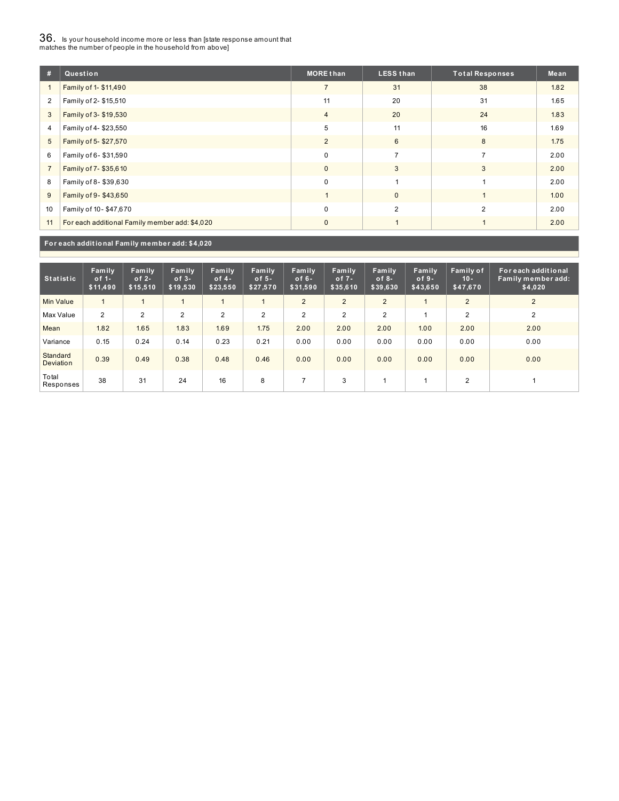# $36_\cdot$  is your household income more or less than [state response amount that<br>matches the number of people in the household from above]

| #              | Question                                       | <b>MORE than</b> | <b>LESS than</b> | <b>Total Responses</b> | Mean |
|----------------|------------------------------------------------|------------------|------------------|------------------------|------|
|                | Family of 1- \$11,490                          | $\overline{7}$   | 31               | 38                     | 1.82 |
| $\overline{2}$ | Family of 2- \$15,510                          | 11               | 20               | 31                     | 1.65 |
| 3              | Family of 3- \$19,530                          | $\overline{4}$   | 20               | 24                     | 1.83 |
| 4              | Family of 4-\$23,550                           | 5                | 11               | 16                     | 1.69 |
| 5              | Family of 5-\$27,570                           | 2                | 6                | 8                      | 1.75 |
| 6              | Family of 6-\$31,590                           | 0                | $\overline{ }$   | $\overline{ }$         | 2.00 |
| $\overline{7}$ | Family of 7-\$35,610                           | $\mathbf{0}$     | 3                | 3                      | 2.00 |
| 8              | Family of 8-\$39,630                           | $\Omega$         |                  |                        | 2.00 |
| 9              | Family of 9-\$43,650                           |                  | $\mathbf{0}$     |                        | 1.00 |
| 10             | Family of 10-\$47,670                          | 0                | $\overline{2}$   | $\overline{2}$         | 2.00 |
| 11             | For each additional Family member add: \$4,020 | $\mathbf{0}$     |                  |                        | 2.00 |

**For each addit ional Family member add: \$4,020**

| <b>Statistic</b>             | Family<br>of $1-$<br>\$11,490 | Family<br>of $2 -$<br>\$15,510 | Family<br>$of 3-$<br>\$19,530 | Family<br>of $4-$<br>\$23,550 | Family<br>of $5-$<br>\$27,570 | Family<br>of $6-$<br>\$31,590 | <b>Family</b><br>of $7-$<br>\$35,610 | Family<br>of $8-$<br>\$39,630 | Family<br>of $9-$<br>\$43,650 | Family of<br>$10 -$<br>\$47,670 | For each additional<br>Family member add:<br>\$4,020 |
|------------------------------|-------------------------------|--------------------------------|-------------------------------|-------------------------------|-------------------------------|-------------------------------|--------------------------------------|-------------------------------|-------------------------------|---------------------------------|------------------------------------------------------|
| <b>Min Value</b>             |                               | 1                              |                               |                               |                               | $\overline{2}$                | $\overline{2}$                       | $\overline{2}$                |                               | $\overline{2}$                  | 2                                                    |
| Max Value                    | 2                             | 2                              | $\overline{2}$                | $\overline{2}$                | $\overline{2}$                | $\overline{2}$                | $\overline{2}$                       | 2                             |                               | $\overline{2}$                  | 2                                                    |
| Mean                         | 1.82                          | 1.65                           | 1.83                          | 1.69                          | 1.75                          | 2.00                          | 2.00                                 | 2.00                          | 1.00                          | 2.00                            | 2.00                                                 |
| Variance                     | 0.15                          | 0.24                           | 0.14                          | 0.23                          | 0.21                          | 0.00                          | 0.00                                 | 0.00                          | 0.00                          | 0.00                            | 0.00                                                 |
| Standard<br><b>Deviation</b> | 0.39                          | 0.49                           | 0.38                          | 0.48                          | 0.46                          | 0.00                          | 0.00                                 | 0.00                          | 0.00                          | 0.00                            | 0.00                                                 |
| Total<br>Responses           | 38                            | 31                             | 24                            | 16                            | 8                             |                               | 3                                    |                               |                               | 2                               |                                                      |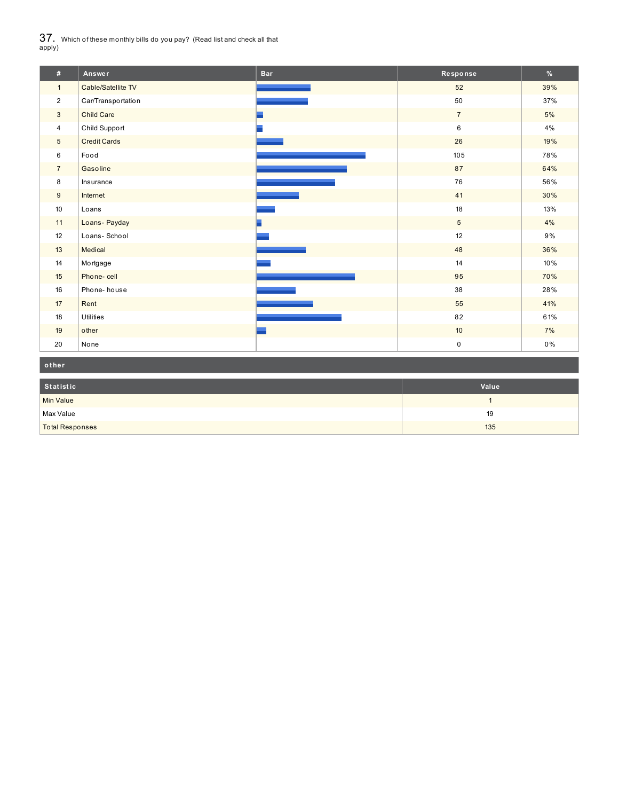$37_\cdot$  Which of these monthly bills do you pay? (Read list and check all that apply)

| #               | Answer              | <b>Bar</b> | Response        | %     |
|-----------------|---------------------|------------|-----------------|-------|
| $\mathbf{1}$    | Cable/Satellite TV  |            | 52              | 39%   |
| $\overline{2}$  | Car/Transportation  |            | 50              | 37%   |
| $\mathbf{3}$    | <b>Child Care</b>   |            | $\overline{7}$  | 5%    |
| $\overline{4}$  | Child Support       |            | 6               | 4%    |
| $5\phantom{.0}$ | <b>Credit Cards</b> |            | 26              | 19%   |
| 6               | Food                |            | $105$           | 78%   |
| $\overline{7}$  | Gasoline            |            | 87              | 64%   |
| 8               | Insurance           |            | 76              | 56%   |
| 9               | Internet            |            | 41              | 30%   |
| 10 <sup>1</sup> | Loans               |            | 18              | 13%   |
| 11              | Loans-Payday        |            | 5               | 4%    |
| 12              | Loans-School        |            | 12              | 9%    |
| 13              | Medical             |            | 48              | 36%   |
| 14              | Mortgage            |            | 14              | 10%   |
| 15              | Phone-cell          |            | 95              | 70%   |
| 16              | Phone-house         |            | 38              | 28%   |
| 17              | Rent                |            | 55              | 41%   |
| 18              | <b>Utilities</b>    |            | 82              | 61%   |
| 19              | other               |            | 10 <sup>°</sup> | 7%    |
| 20              | None                |            | 0               | $0\%$ |

| other                  |       |
|------------------------|-------|
| Statistic              | Value |
| Min Value              |       |
| Max Value              | 19    |
| <b>Total Responses</b> | 135   |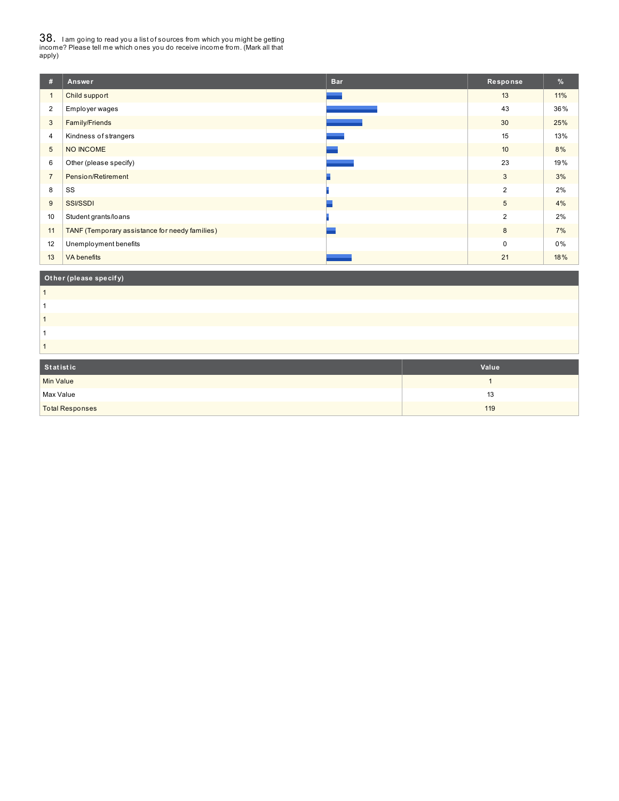38. <sup>I</sup> am going to read you <sup>a</sup> list of sources from which you might be getting income? Please tell me which ones you do receive income from. (Mark all that apply)

| #              | Answer                                         | <b>Bar</b> | Response       | %   |
|----------------|------------------------------------------------|------------|----------------|-----|
| $\mathbf{1}$   | Child support                                  |            | 13             | 11% |
| 2              | Employer wages                                 |            | 43             | 36% |
| 3              | Family/Friends                                 |            | 30             | 25% |
| 4              | Kindness of strangers                          |            | 15             | 13% |
| 5              | NO INCOME                                      |            | 10             | 8%  |
| 6              | Other (please specify)                         |            | 23             | 19% |
| $\overline{7}$ | Pension/Retirement                             |            | 3              | 3%  |
| 8              | SS                                             |            | $\overline{2}$ | 2%  |
| 9              | <b>SSI/SSDI</b>                                |            | 5              | 4%  |
| 10             | Student grants/loans                           |            | $\overline{2}$ | 2%  |
| 11             | TANF (Temporary assistance for needy families) |            | 8              | 7%  |
| 12             | Unemployment benefits                          |            | $\Omega$       | 0%  |
| 13             | <b>VA</b> benefits                             |            | 21             | 18% |
|                |                                                |            |                |     |

## **Ot her (please specif y)**

| Statistic              | Value |
|------------------------|-------|
| <b>Min Value</b>       |       |
| Max Value              | 13    |
| <b>Total Responses</b> | 119   |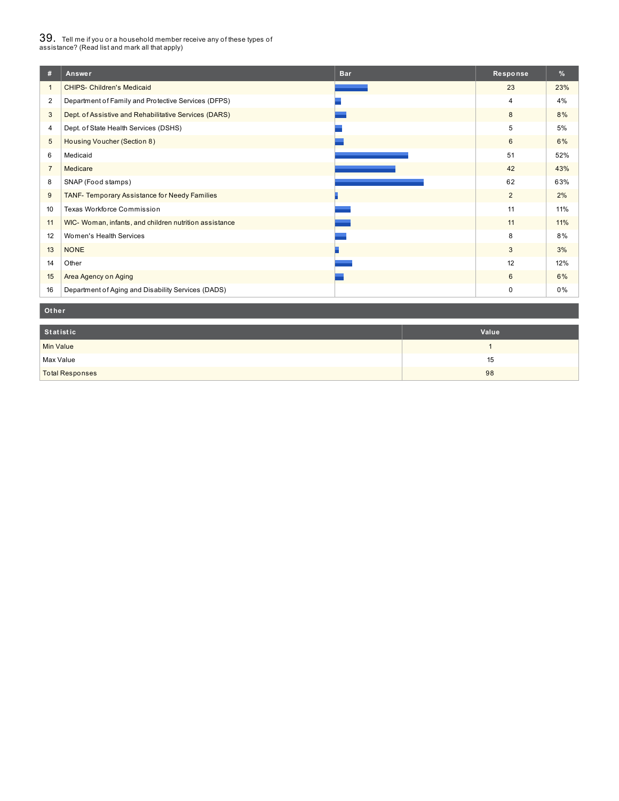# $39_\cdot$  Tell me if you or a household member receive any of these types of<br>assistance? (Read list and mark all that apply)

| #              | <b>Bar</b><br>Answer                                   | Response       | $\frac{9}{6}$ |
|----------------|--------------------------------------------------------|----------------|---------------|
|                | <b>CHIPS- Children's Medicaid</b>                      | 23             | 23%           |
| $\overline{2}$ | Department of Family and Protective Services (DFPS)    | $\overline{4}$ | 4%            |
| 3              | Dept. of Assistive and Rehabilitative Services (DARS)  | 8              | 8%            |
| 4              | Dept. of State Health Services (DSHS)                  | 5              | 5%            |
| 5              | Housing Voucher (Section 8)                            | 6              | 6%            |
| 6              | Medicaid                                               | 51             | 52%           |
| $\overline{7}$ | Medicare                                               | 42             | 43%           |
| 8              | SNAP (Food stamps)                                     | 62             | 63%           |
| 9              | TANF- Temporary Assistance for Needy Families          | $\overline{2}$ | 2%            |
| 10             | Texas Workforce Commission                             | 11             | 11%           |
| 11             | WIC- Woman, infants, and children nutrition assistance | 11             | 11%           |
| 12             | Women's Health Services                                | 8              | 8%            |
| 13             | <b>NONE</b>                                            | 3              | 3%            |
| 14             | Other                                                  | 12             | 12%           |
| 15             | Area Agency on Aging                                   | $6\phantom{1}$ | 6%            |
| 16             | Department of Aging and Disability Services (DADS)     | 0              | 0%            |

#### **Ot her**

| Statistic              | Value |
|------------------------|-------|
| <b>Min Value</b>       |       |
| Max Value              | 15    |
| <b>Total Responses</b> | 98    |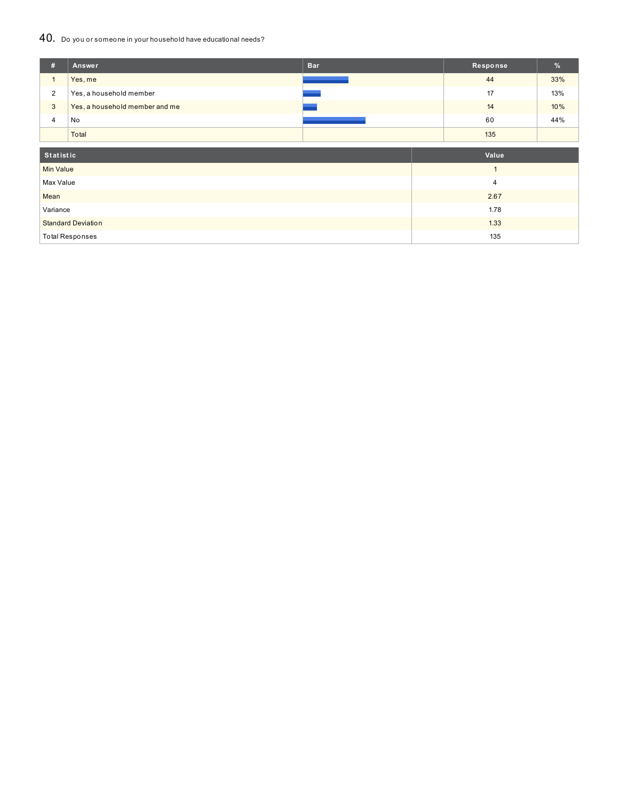### 40. Do you or someone in your household have educational needs?

| #                         | Answer                         | <b>Bar</b> | Response     | %   |
|---------------------------|--------------------------------|------------|--------------|-----|
| $\mathbf{1}$              | Yes, me                        |            | 44           | 33% |
| $\overline{2}$            | Yes, a household member        |            | 17           | 13% |
| $\mathbf{3}$              | Yes, a household member and me |            | 14           | 10% |
| 4                         | No                             |            | 60           | 44% |
|                           | Total                          |            | 135          |     |
|                           |                                |            |              |     |
| <b>Statistic</b>          |                                |            | Value        |     |
| <b>Min Value</b>          |                                |            | $\mathbf{1}$ |     |
| Max Value                 |                                |            | 4            |     |
| Mean                      |                                |            | 2.67         |     |
| Variance                  |                                |            | 1.78         |     |
| <b>Standard Deviation</b> |                                |            | 1.33         |     |
| <b>Total Responses</b>    |                                |            | 135          |     |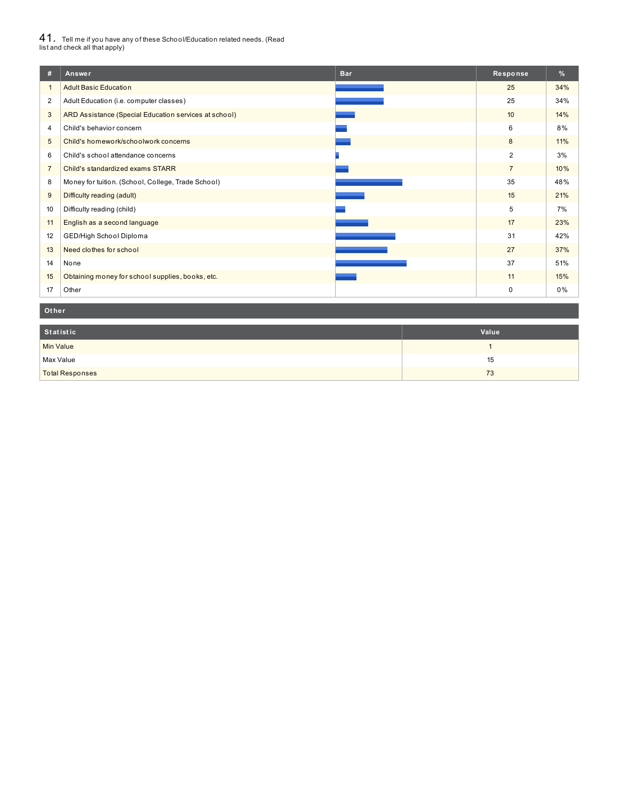# $41_\cdot$  Tell me if you have any of these School/Education related needs. (Read<br>list and check all that apply)

| #              | Answer<br><b>Bar</b>                                  | Response       | $\%$ |
|----------------|-------------------------------------------------------|----------------|------|
|                | <b>Adult Basic Education</b>                          | 25             | 34%  |
| $\overline{2}$ | Adult Education (i.e. computer classes)               | 25             | 34%  |
| 3              | ARD Assistance (Special Education services at school) | 10             | 14%  |
| 4              | Child's behavior concern                              | 6              | 8%   |
| 5              | Child's homework/schoolwork concerns                  | 8              | 11%  |
| 6              | Child's school attendance concerns                    | $\overline{2}$ | 3%   |
| $\overline{7}$ | Child's standardized exams STARR                      | $\overline{7}$ | 10%  |
| 8              | Money for tuition. (School, College, Trade School)    | 35             | 48%  |
| 9              | Difficulty reading (adult)                            | 15             | 21%  |
| 10             | Difficulty reading (child)                            | 5              | 7%   |
| 11             | English as a second language                          | 17             | 23%  |
| 12             | GED/High School Diploma                               | 31             | 42%  |
| 13             | Need clothes for school                               | 27             | 37%  |
| 14             | None                                                  | 37             | 51%  |
| 15             | Obtaining money for school supplies, books, etc.      | 11             | 15%  |
| 17             | Other                                                 | 0              | 0%   |

#### **Ot her**

| Statistic              | Value |
|------------------------|-------|
| <b>Min Value</b>       |       |
| Max Value              | 15    |
| <b>Total Responses</b> | 73    |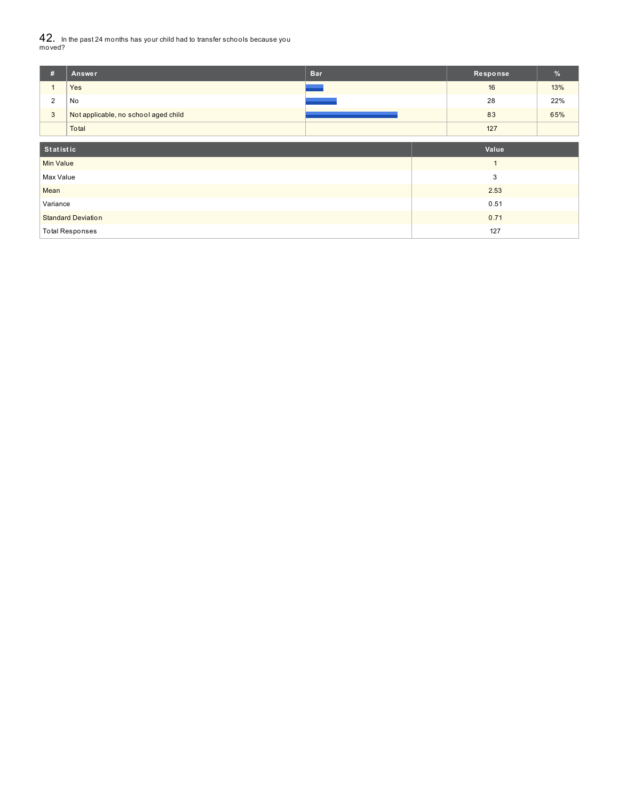42. In the past 24 months has your child had to transfer schools because you moved?

| #                         | Answer                               | <b>Bar</b> | Response | %   |
|---------------------------|--------------------------------------|------------|----------|-----|
|                           | Yes                                  |            | 16       | 13% |
| $\overline{2}$            | No                                   |            | 28       | 22% |
| 3                         | Not applicable, no school aged child |            | 83       | 65% |
|                           | Total                                |            | 127      |     |
|                           |                                      |            |          |     |
| <b>Statistic</b>          |                                      |            | Value    |     |
| <b>Min Value</b>          |                                      |            |          |     |
| Max Value                 |                                      |            | 3        |     |
| Mean                      |                                      |            | 2.53     |     |
| Variance                  |                                      |            | 0.51     |     |
| <b>Standard Deviation</b> |                                      |            | 0.71     |     |
| <b>Total Responses</b>    |                                      |            | 127      |     |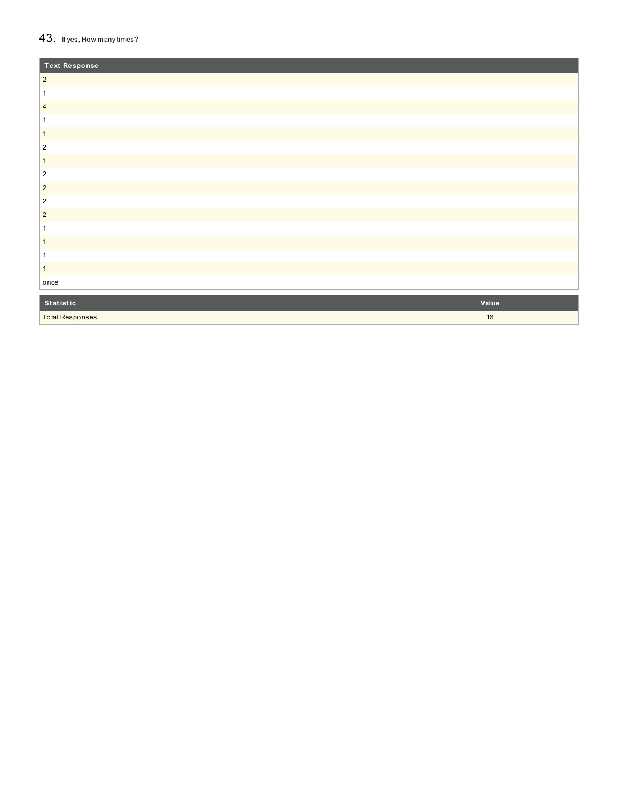#### $43.$  If yes, How many times?

Total Responses

| Text Response  |       |
|----------------|-------|
| $\sqrt{2}$     |       |
| 1              |       |
| $\overline{4}$ |       |
|                |       |
| $\mathbf{1}$   |       |
| $\overline{2}$ |       |
| $\overline{1}$ |       |
| $\overline{2}$ |       |
| $\sqrt{2}$     |       |
| $\sqrt{2}$     |       |
| $\overline{2}$ |       |
| 1              |       |
| $\mathbf{1}$   |       |
| 1              |       |
| $\mathbf{1}$   |       |
| once           |       |
| Statistic      | Value |

1 6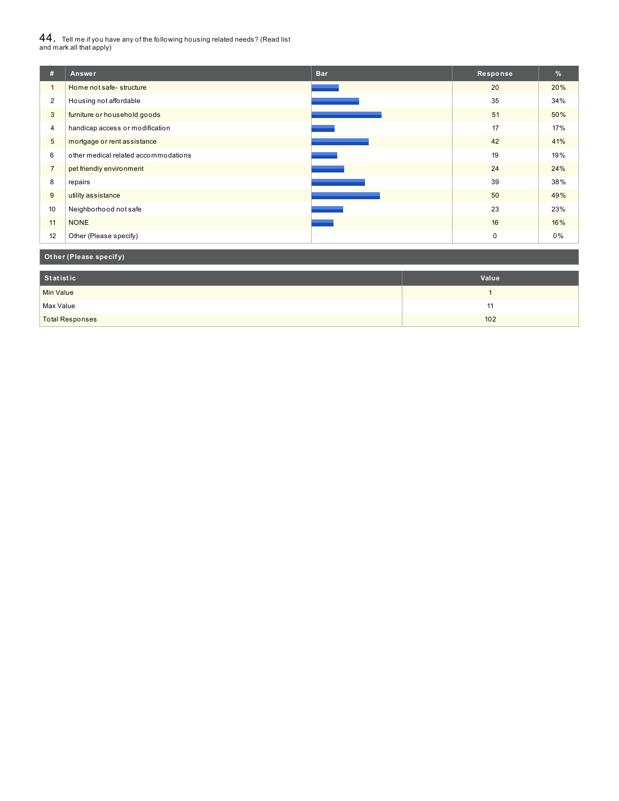# $44_\cdot$  Tell me if you have any of the following housing related needs? (Read list<br>and mark all that apply)

| 森              | Answer                               | <b>Bar</b> | Response    | %   |
|----------------|--------------------------------------|------------|-------------|-----|
| $\mathbf{1}$   | Home not safe-structure              |            | 20          | 20% |
| $\overline{2}$ | Housing not affordable               |            | 35          | 34% |
| 3              | furniture or household goods         |            | 51          | 50% |
| 4              | handicap access or modification      |            | 17          | 17% |
| 5              | mortgage or rent assistance          |            | 42          | 41% |
| 6              | other medical related accommodations |            | 19          | 19% |
| $\overline{7}$ | pet friendly environment             |            | 24          | 24% |
| 8              | repairs                              |            | 39          | 38% |
| 9              | utility assistance                   |            | 50          | 49% |
| 10             | Neighborhood not safe                |            | 23          | 23% |
| 11             | <b>NONE</b>                          |            | 16          | 16% |
| 12             | Other (Please specify)               |            | $\mathbf 0$ | 0%  |

## **Ot her (Please specif y)**

| Statistic              | Value |
|------------------------|-------|
| <b>Min Value</b>       |       |
| Max Value              | . .   |
| <b>Total Responses</b> | 102   |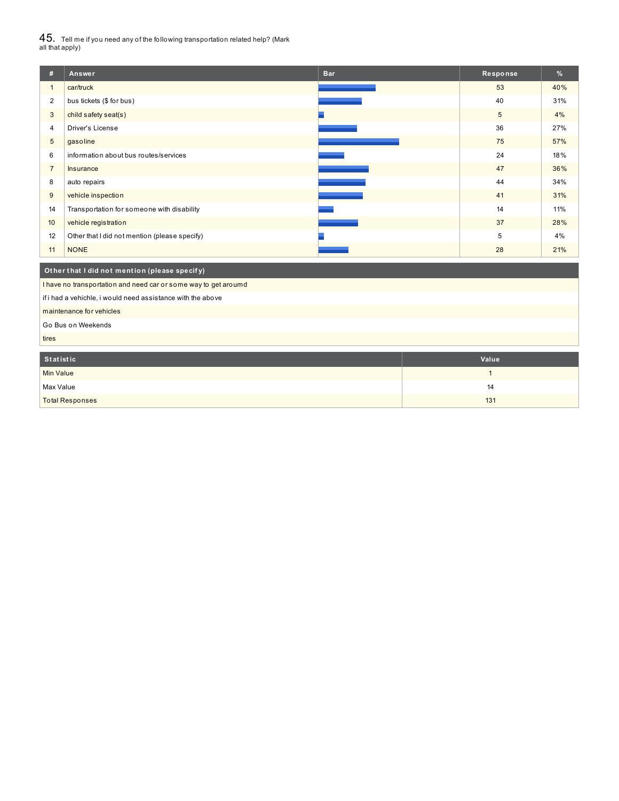$45_\cdot$  Tell me if you need any of the following transportation related help? (Mark<br>all that apply)

| #                                                           | Answer                                                          | <b>Bar</b> | Response | %   |  |  |  |
|-------------------------------------------------------------|-----------------------------------------------------------------|------------|----------|-----|--|--|--|
| $\mathbf{1}$                                                | car/truck                                                       |            | 53       | 40% |  |  |  |
| $\overline{2}$                                              | bus tickets (\$ for bus)                                        |            | 40       | 31% |  |  |  |
| 3                                                           | child safety seat(s)                                            |            | 5        | 4%  |  |  |  |
| $\overline{4}$                                              | Driver's License                                                |            | 36       | 27% |  |  |  |
| 5                                                           | gasoline                                                        |            | 75       | 57% |  |  |  |
| 6                                                           | information about bus routes/services                           |            | 24       | 18% |  |  |  |
| $\overline{7}$                                              | Insurance                                                       |            | 47       | 36% |  |  |  |
| 8                                                           | auto repairs                                                    |            | 44       | 34% |  |  |  |
| 9                                                           | vehicle inspection                                              |            | 41       | 31% |  |  |  |
| 14                                                          | Transportation for someone with disability                      |            | 14       | 11% |  |  |  |
| 10                                                          | vehicle registration                                            |            | 37       | 28% |  |  |  |
| 12                                                          | Other that I did not mention (please specify)                   |            | 5        | 4%  |  |  |  |
| 11                                                          | <b>NONE</b>                                                     |            | 28       | 21% |  |  |  |
|                                                             | Other that I did not mention (please specify)                   |            |          |     |  |  |  |
|                                                             | I have no transportation and need car or some way to get aroumd |            |          |     |  |  |  |
| if i had a vehichle, i would need assistance with the above |                                                                 |            |          |     |  |  |  |
| maintenance for vehicles                                    |                                                                 |            |          |     |  |  |  |
|                                                             | Go Bus on Weekends                                              |            |          |     |  |  |  |
| tires                                                       |                                                                 |            |          |     |  |  |  |

| Statistic              | Value |
|------------------------|-------|
| <b>Min Value</b>       |       |
| Max Value              | 14    |
| <b>Total Responses</b> | 131   |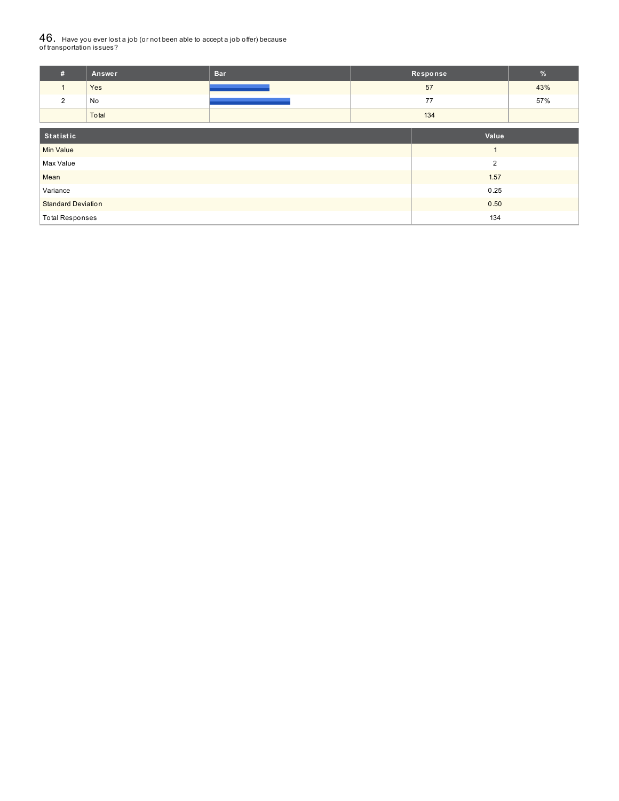# ${\bf 46}_{\cdot}$  Have you ever lost a job (or not been able to accept a job offer) because<br>of transportation issues?

| #                         | Answer | <b>Bar</b>     | Response |      | %   |
|---------------------------|--------|----------------|----------|------|-----|
| $\mathbf{1}$              | Yes    |                | 57       |      | 43% |
| $\overline{2}$            | No     |                |          | 77   | 57% |
|                           | Total  |                | 134      |      |     |
| Statistic                 |        |                | Value    |      |     |
| <b>Min Value</b>          |        |                |          |      |     |
| Max Value                 |        | $\overline{2}$ |          |      |     |
| Mean                      |        |                |          | 1.57 |     |
| Variance                  |        | 0.25           |          |      |     |
| <b>Standard Deviation</b> |        | 0.50           |          |      |     |
| <b>Total Responses</b>    |        |                | 134      |      |     |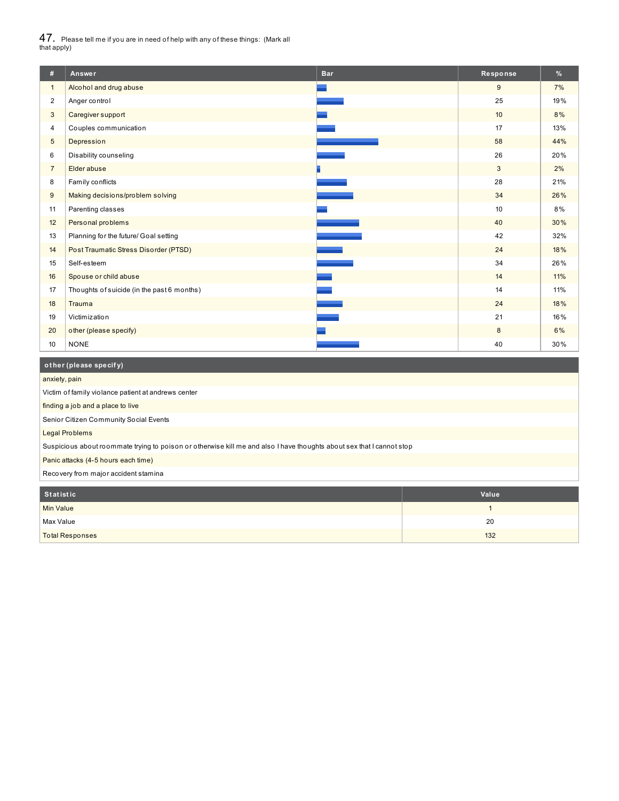$47_\cdot$  Please tell me if you are in need of help with any of these things: (Mark all<br>that apply)

| #              | Answer                                     | <b>Bar</b> | Response        | %   |
|----------------|--------------------------------------------|------------|-----------------|-----|
| $\mathbf{1}$   | Alcohol and drug abuse                     |            | 9               | 7%  |
| 2              | Anger control                              |            | 25              | 19% |
| 3              | Caregiver support                          |            | 10 <sup>°</sup> | 8%  |
| 4              | Couples communication                      |            | 17              | 13% |
| 5              | Depression                                 |            | 58              | 44% |
| 6              | Disability counseling                      |            | 26              | 20% |
| $\overline{7}$ | Elder abuse                                |            | 3               | 2%  |
| 8              | Family conflicts                           |            | 28              | 21% |
| 9              | Making decisions/problem solving           |            | 34              | 26% |
| 11             | Parenting classes                          |            | 10              | 8%  |
| 12             | Personal problems                          |            | 40              | 30% |
| 13             | Planning for the future/ Goal setting      |            | 42              | 32% |
| 14             | Post Traumatic Stress Disorder (PTSD)      |            | 24              | 18% |
| 15             | Self-esteem                                |            | 34              | 26% |
| 16             | Spouse or child abuse                      |            | 14              | 11% |
| 17             | Thoughts of suicide (in the past 6 months) |            | 14              | 11% |
| 18             | Trauma                                     |            | 24              | 18% |
| 19             | Victimization                              |            | 21              | 16% |
| 20             | other (please specify)                     |            | 8               | 6%  |
| 10             | <b>NONE</b>                                |            | 40              | 30% |

### **ot her (please specif y)**

I

| anxiety, pain                                                                                                         |       |  |  |  |  |
|-----------------------------------------------------------------------------------------------------------------------|-------|--|--|--|--|
| Victim of family violance patient at andrews center                                                                   |       |  |  |  |  |
| finding a job and a place to live                                                                                     |       |  |  |  |  |
| Senior Citizen Community Social Events                                                                                |       |  |  |  |  |
| <b>Legal Problems</b>                                                                                                 |       |  |  |  |  |
| Suspicious about roommate trying to poison or otherwise kill me and also I have thoughts about sex that I cannot stop |       |  |  |  |  |
| Panic attacks (4-5 hours each time)                                                                                   |       |  |  |  |  |
| Recovery from major accident stamina                                                                                  |       |  |  |  |  |
|                                                                                                                       |       |  |  |  |  |
| <b>Statistic</b>                                                                                                      | Value |  |  |  |  |
| <b>Min Value</b>                                                                                                      |       |  |  |  |  |
| 20<br>Max Value                                                                                                       |       |  |  |  |  |
| 132<br><b>Total Responses</b>                                                                                         |       |  |  |  |  |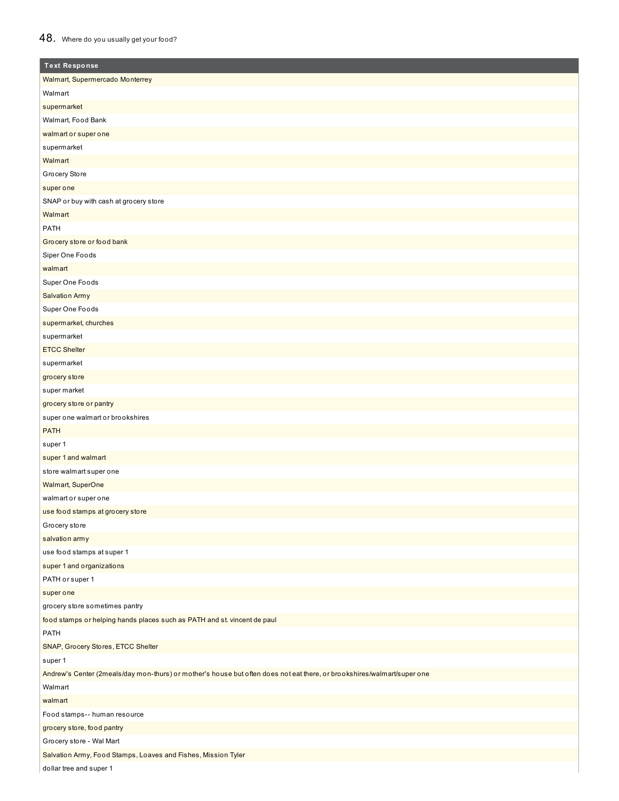## 48. Where do you usually get your food?

| <b>Text Response</b>                                                                                                    |
|-------------------------------------------------------------------------------------------------------------------------|
| Walmart, Supermercado Monterrey                                                                                         |
| Walmart                                                                                                                 |
| supermarket                                                                                                             |
| Walmart, Food Bank                                                                                                      |
| walmart or super one                                                                                                    |
| supermarket                                                                                                             |
| Walmart                                                                                                                 |
| Grocery Store                                                                                                           |
| super one                                                                                                               |
| SNAP or buy with cash at grocery store                                                                                  |
| Walmart                                                                                                                 |
| <b>PATH</b>                                                                                                             |
| Grocery store or food bank                                                                                              |
| Siper One Foods                                                                                                         |
| walmart                                                                                                                 |
| Super One Foods                                                                                                         |
| <b>Salvation Army</b>                                                                                                   |
| Super One Foods                                                                                                         |
| supermarket, churches                                                                                                   |
| supermarket                                                                                                             |
| <b>ETCC Shelter</b>                                                                                                     |
| supermarket                                                                                                             |
| grocery store                                                                                                           |
| super market                                                                                                            |
| grocery store or pantry                                                                                                 |
| super one walmart or brookshires                                                                                        |
| <b>PATH</b>                                                                                                             |
| super 1                                                                                                                 |
| super 1 and walmart                                                                                                     |
| store walmart super one                                                                                                 |
| Walmart, SuperOne                                                                                                       |
| walmart or super one                                                                                                    |
| use food stamps at grocery store                                                                                        |
| Grocery store                                                                                                           |
| salvation army                                                                                                          |
| use food stamps at super 1                                                                                              |
| super 1 and organizations                                                                                               |
| PATH or super 1                                                                                                         |
| super one                                                                                                               |
| grocery store sometimes pantry                                                                                          |
| food stamps or helping hands places such as PATH and st. vincent de paul                                                |
| PATH                                                                                                                    |
| SNAP, Grocery Stores, ETCC Shelter                                                                                      |
| super 1                                                                                                                 |
| Andrew's Center (2meals/day mon-thurs) or mother's house but often does not eat there, or brookshires/walmart/super one |
| Walmart                                                                                                                 |
| walmart                                                                                                                 |
| Food stamps-- human resource                                                                                            |
| grocery store, food pantry                                                                                              |
| Grocery store - Wal Mart                                                                                                |
| Salvation Army, Food Stamps, Loaves and Fishes, Mission Tyler                                                           |
|                                                                                                                         |

dollar tree and super 1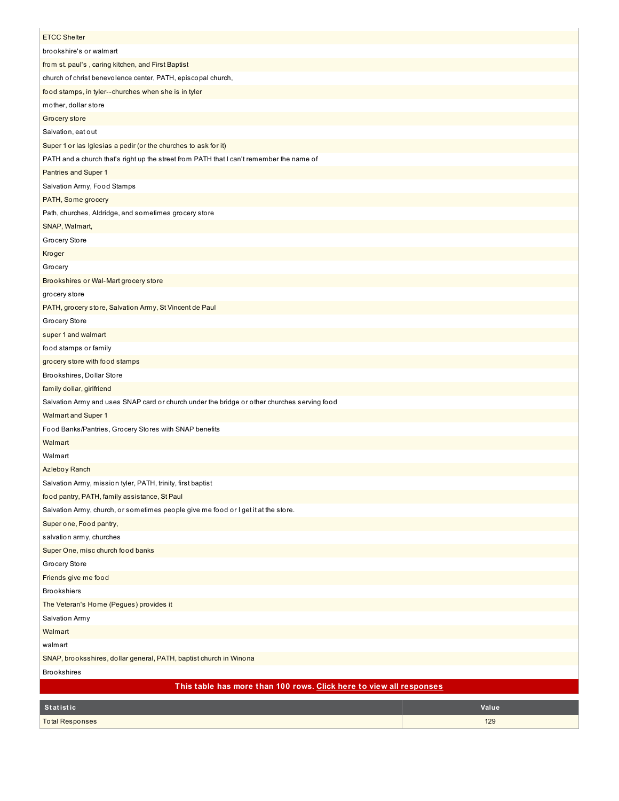| <b>ETCC Shelter</b>                                                                         |       |
|---------------------------------------------------------------------------------------------|-------|
| brookshire's or walmart                                                                     |       |
| from st. paul's, caring kitchen, and First Baptist                                          |       |
| church of christ benevolence center, PATH, episcopal church,                                |       |
| food stamps, in tyler--churches when she is in tyler                                        |       |
| mother, dollar store                                                                        |       |
|                                                                                             |       |
| Grocery store                                                                               |       |
| Salvation, eat out                                                                          |       |
| Super 1 or las Iglesias a pedir (or the churches to ask for it)                             |       |
| PATH and a church that's right up the street from PATH that I can't remember the name of    |       |
| Pantries and Super 1                                                                        |       |
| Salvation Army, Food Stamps                                                                 |       |
| PATH, Some grocery                                                                          |       |
| Path, churches, Aldridge, and sometimes grocery store                                       |       |
| SNAP, Walmart,                                                                              |       |
| Grocery Store                                                                               |       |
| Kroger                                                                                      |       |
| Grocery                                                                                     |       |
| Brookshires or Wal-Mart grocery store                                                       |       |
| grocery store                                                                               |       |
| PATH, grocery store, Salvation Army, St Vincent de Paul                                     |       |
| Grocery Store                                                                               |       |
| super 1 and walmart                                                                         |       |
| food stamps or family                                                                       |       |
| grocery store with food stamps                                                              |       |
| Brookshires, Dollar Store                                                                   |       |
| family dollar, girlfriend                                                                   |       |
| Salvation Army and uses SNAP card or church under the bridge or other churches serving food |       |
| <b>Walmart and Super 1</b>                                                                  |       |
| Food Banks/Pantries, Grocery Stores with SNAP benefits                                      |       |
| Walmart                                                                                     |       |
| Walmart                                                                                     |       |
| <b>Azleboy Ranch</b>                                                                        |       |
| Salvation Army, mission tyler, PATH, trinity, first baptist                                 |       |
| food pantry, PATH, family assistance, St Paul                                               |       |
| Salvation Army, church, or sometimes people give me food or I get it at the store.          |       |
| Super one, Food pantry,                                                                     |       |
| salvation army, churches                                                                    |       |
| Super One, misc church food banks                                                           |       |
| Grocery Store                                                                               |       |
| Friends give me food                                                                        |       |
| <b>Brookshiers</b>                                                                          |       |
| The Veteran's Home (Pegues) provides it                                                     |       |
| Salvation Army                                                                              |       |
| Walmart                                                                                     |       |
| walmart                                                                                     |       |
| SNAP, brooksshires, dollar general, PATH, baptist church in Winona                          |       |
| <b>Brookshires</b>                                                                          |       |
| This table has more than 100 rows. Click here to view all responses                         |       |
| Statistic                                                                                   | Value |
| <b>Total Responses</b>                                                                      | 129   |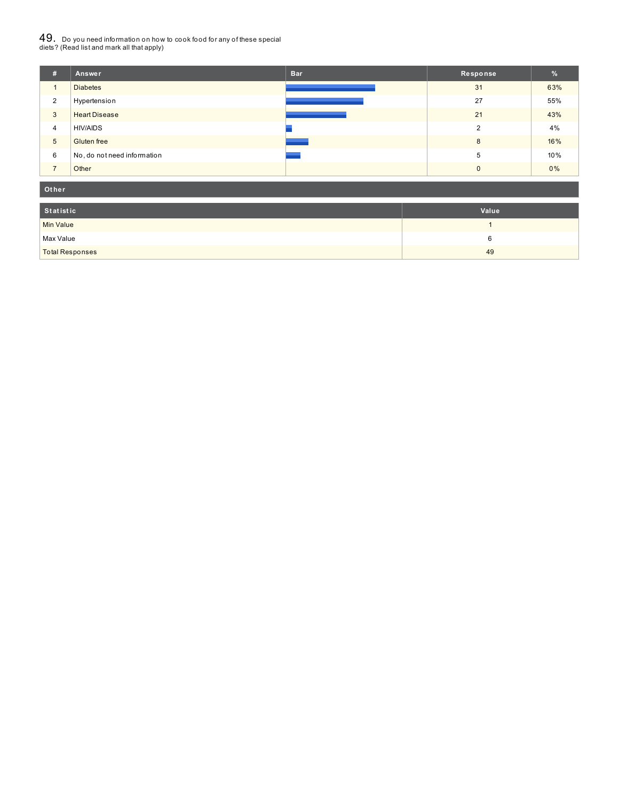# $49_\cdot$  Do you need information on how to cook food for any of these special<br>diets? (Read list and mark all that apply)

| #              | Answer                      | <b>Bar</b> | Response | %     |
|----------------|-----------------------------|------------|----------|-------|
| 1              | <b>Diabetes</b>             |            | 31       | 63%   |
| 2              | Hypertension                |            | 27       | 55%   |
| 3              | <b>Heart Disease</b>        |            | 21       | 43%   |
| $\overline{4}$ | <b>HIV/AIDS</b>             |            | C        | 4%    |
| 5              | Gluten free                 |            | 8        | 16%   |
| 6              | No, do not need information |            | 5        | 10%   |
| $\overline{ }$ | Other                       |            | $\Omega$ | $0\%$ |

#### **Ot her**

| Statistic              | Value |
|------------------------|-------|
| Min Value              |       |
| Max Value              |       |
| <b>Total Responses</b> | 49    |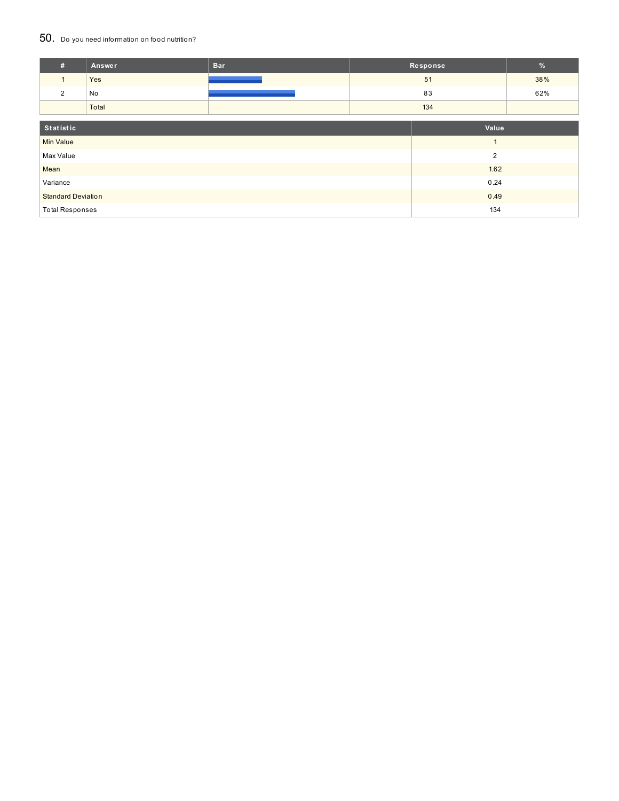### 50. Do you need information on food nutrition?

| #                         | Answer | <b>Bar</b> |                | Response       | %   |
|---------------------------|--------|------------|----------------|----------------|-----|
| $\mathbf{1}$              | Yes    |            |                | 51             | 38% |
| 2                         | No     |            |                | 83             | 62% |
|                           | Total  |            | 134            |                |     |
| Statistic<br>Value        |        |            |                |                |     |
|                           |        |            |                |                |     |
| <b>Min Value</b>          |        |            |                | $\overline{1}$ |     |
| Max Value                 |        |            | $\overline{2}$ |                |     |
| Mean                      |        |            |                | 1.62           |     |
| Variance                  |        | 0.24       |                |                |     |
| <b>Standard Deviation</b> |        | 0.49       |                |                |     |
| <b>Total Responses</b>    |        |            | 134            |                |     |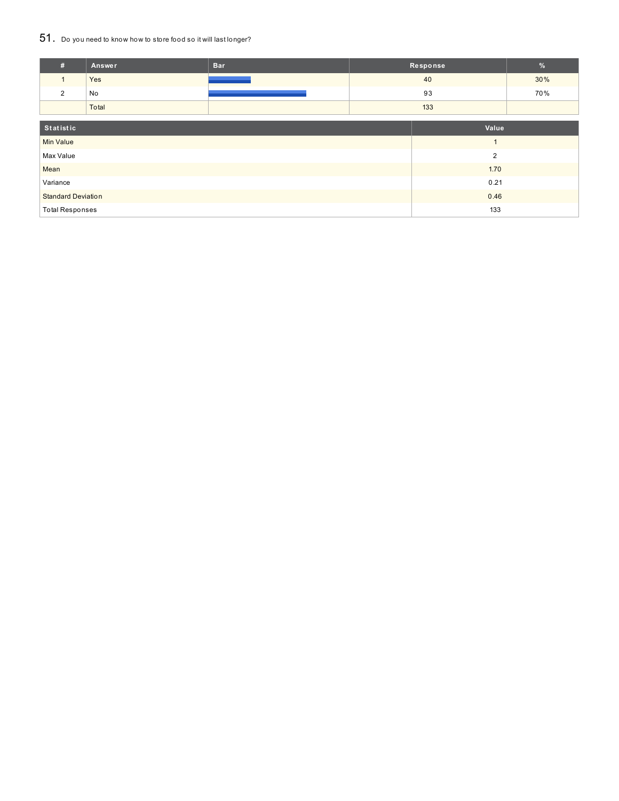## 51. Do you need to know how to store food so it will last longer?

| #                         | <b>Answer</b> | <b>Bar</b>     | Response |       | $\%$ |
|---------------------------|---------------|----------------|----------|-------|------|
|                           | Yes           |                | 40       |       | 30%  |
| $\overline{2}$            | No            |                |          | 93    | 70%  |
|                           | Total         |                |          | 133   |      |
| Statistic                 |               |                |          | Value |      |
| <b>Min Value</b>          |               | $\overline{A}$ |          |       |      |
| Max Value                 |               | $\overline{2}$ |          |       |      |
| Mean                      |               |                |          | 1.70  |      |
| Variance                  |               | 0.21           |          |       |      |
| <b>Standard Deviation</b> |               |                | 0.46     |       |      |
| <b>Total Responses</b>    |               |                | 133      |       |      |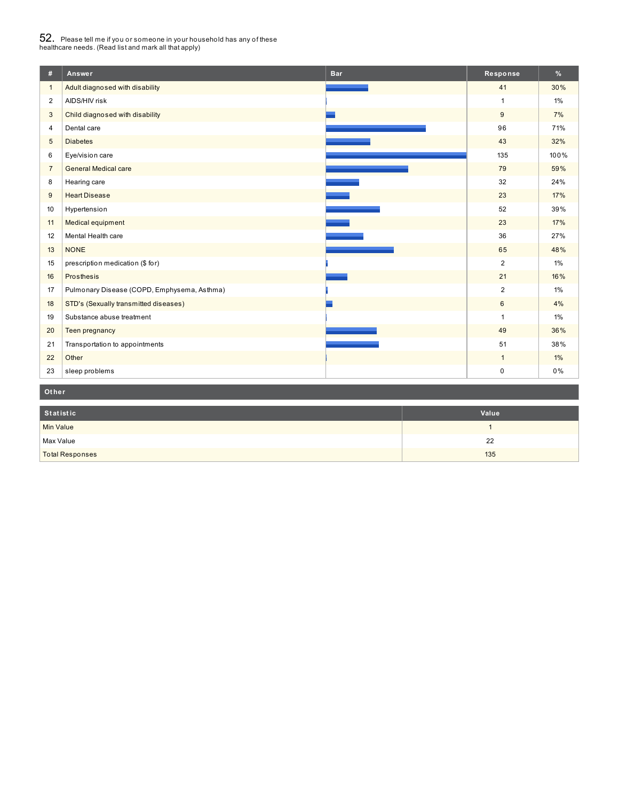# $52_\cdot$  Please tell me if you or someone in your household has any of these<br>healthcare needs. (Read list and mark all that apply)

| #               | Answer                                      | <b>Bar</b> | Response       | %     |  |  |  |  |
|-----------------|---------------------------------------------|------------|----------------|-------|--|--|--|--|
| $\mathbf{1}$    | Adult diagnosed with disability             |            | 41             | 30%   |  |  |  |  |
| 2               | AIDS/HIV risk                               |            | $\mathbf{1}$   | $1\%$ |  |  |  |  |
| 3               | Child diagnosed with disability             |            | 9              | 7%    |  |  |  |  |
| 4               | Dental care                                 |            | 96             | 71%   |  |  |  |  |
| $5\phantom{.0}$ | <b>Diabetes</b>                             |            | 43             | 32%   |  |  |  |  |
| 6               | Eye/vision care                             |            | 135            | 100%  |  |  |  |  |
| $\overline{7}$  | <b>General Medical care</b>                 |            | 79             | 59%   |  |  |  |  |
| 8               | Hearing care                                |            | 32             | 24%   |  |  |  |  |
| 9               | <b>Heart Disease</b>                        |            | 23             | 17%   |  |  |  |  |
| 10              | Hypertension                                |            | 52             | 39%   |  |  |  |  |
| 11              | Medical equipment                           |            | 23             | 17%   |  |  |  |  |
| 12              | Mental Health care                          |            | 36             | 27%   |  |  |  |  |
| 13              | <b>NONE</b>                                 |            | 65             | 48%   |  |  |  |  |
| 15              | prescription medication (\$ for)            |            | 2              | $1\%$ |  |  |  |  |
| 16              | Prosthesis                                  |            | 21             | 16%   |  |  |  |  |
| 17              | Pulmonary Disease (COPD, Emphysema, Asthma) |            | $\overline{2}$ | $1\%$ |  |  |  |  |
| 18              | STD's (Sexually transmitted diseases)       |            | $6\phantom{1}$ | 4%    |  |  |  |  |
| 19              | Substance abuse treatment                   |            | $\mathbf{1}$   | $1\%$ |  |  |  |  |
| 20              | Teen pregnancy                              |            | 49             | 36%   |  |  |  |  |
| 21              | Transportation to appointments              |            | 51             | 38%   |  |  |  |  |
| 22              | Other                                       |            | $\mathbf{1}$   | $1\%$ |  |  |  |  |
| 23              | sleep problems                              |            | $\pmb{0}$      | 0%    |  |  |  |  |
|                 | Other                                       |            |                |       |  |  |  |  |

| Statistic              | Value |
|------------------------|-------|
| <b>Min Value</b>       |       |
| Max Value              | 22    |
| <b>Total Responses</b> | 135   |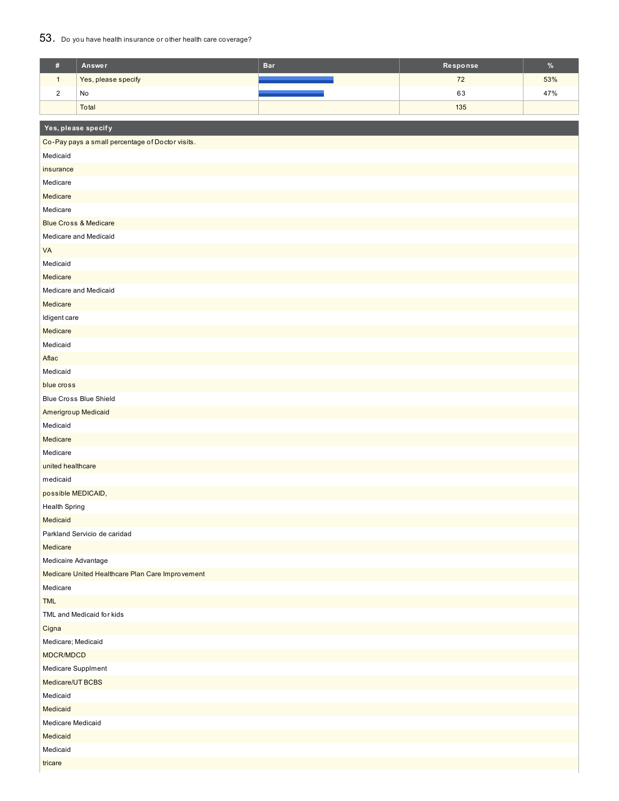### 53. Do you have health insurance or other health care coverage?

| $\#$                 | Answer                                           | <b>Bar</b> | Response | $\%$ |  |  |  |
|----------------------|--------------------------------------------------|------------|----------|------|--|--|--|
| $\mathbf{1}$         | Yes, please specify                              |            | 72       | 53%  |  |  |  |
| $\sqrt{2}$           | No                                               |            | 63       | 47%  |  |  |  |
|                      | Total                                            |            | 135      |      |  |  |  |
|                      |                                                  |            |          |      |  |  |  |
|                      | Yes, please specify                              |            |          |      |  |  |  |
|                      | Co-Pay pays a small percentage of Doctor visits. |            |          |      |  |  |  |
| Medicaid             |                                                  |            |          |      |  |  |  |
| insurance            |                                                  |            |          |      |  |  |  |
| Medicare             |                                                  |            |          |      |  |  |  |
| Medicare             |                                                  |            |          |      |  |  |  |
| Medicare             |                                                  |            |          |      |  |  |  |
|                      | <b>Blue Cross &amp; Medicare</b>                 |            |          |      |  |  |  |
|                      | Medicare and Medicaid                            |            |          |      |  |  |  |
| VA                   |                                                  |            |          |      |  |  |  |
| Medicaid             |                                                  |            |          |      |  |  |  |
| Medicare             |                                                  |            |          |      |  |  |  |
|                      | Medicare and Medicaid                            |            |          |      |  |  |  |
| Medicare             |                                                  |            |          |      |  |  |  |
| Idigent care         |                                                  |            |          |      |  |  |  |
| Medicare             |                                                  |            |          |      |  |  |  |
| Medicaid             |                                                  |            |          |      |  |  |  |
| Aflac                |                                                  |            |          |      |  |  |  |
| Medicaid             |                                                  |            |          |      |  |  |  |
| blue cross           |                                                  |            |          |      |  |  |  |
|                      | <b>Blue Cross Blue Shield</b>                    |            |          |      |  |  |  |
| Amerigroup Medicaid  |                                                  |            |          |      |  |  |  |
| Medicaid             |                                                  |            |          |      |  |  |  |
| Medicare             |                                                  |            |          |      |  |  |  |
| Medicare             |                                                  |            |          |      |  |  |  |
| united healthcare    |                                                  |            |          |      |  |  |  |
| medicaid             |                                                  |            |          |      |  |  |  |
| possible MEDICAID,   |                                                  |            |          |      |  |  |  |
| <b>Health Spring</b> |                                                  |            |          |      |  |  |  |
| Medicaid             |                                                  |            |          |      |  |  |  |
|                      | Parkland Servicio de caridad                     |            |          |      |  |  |  |
| Medicare             |                                                  |            |          |      |  |  |  |
| Medicaire Advantage  |                                                  |            |          |      |  |  |  |
| Medicare             | Medicare United Healthcare Plan Care Improvement |            |          |      |  |  |  |
|                      |                                                  |            |          |      |  |  |  |
| <b>TML</b>           |                                                  |            |          |      |  |  |  |
|                      | TML and Medicaid for kids                        |            |          |      |  |  |  |
|                      | Cigna                                            |            |          |      |  |  |  |
|                      | Medicare; Medicaid                               |            |          |      |  |  |  |
|                      | MDCR/MDCD                                        |            |          |      |  |  |  |
|                      | Medicare Supplment                               |            |          |      |  |  |  |
| Medicaid             | Medicare/UT BCBS                                 |            |          |      |  |  |  |
| Medicaid             |                                                  |            |          |      |  |  |  |
| Medicare Medicaid    |                                                  |            |          |      |  |  |  |
| Medicaid             |                                                  |            |          |      |  |  |  |
| Medicaid             |                                                  |            |          |      |  |  |  |
| tricare              |                                                  |            |          |      |  |  |  |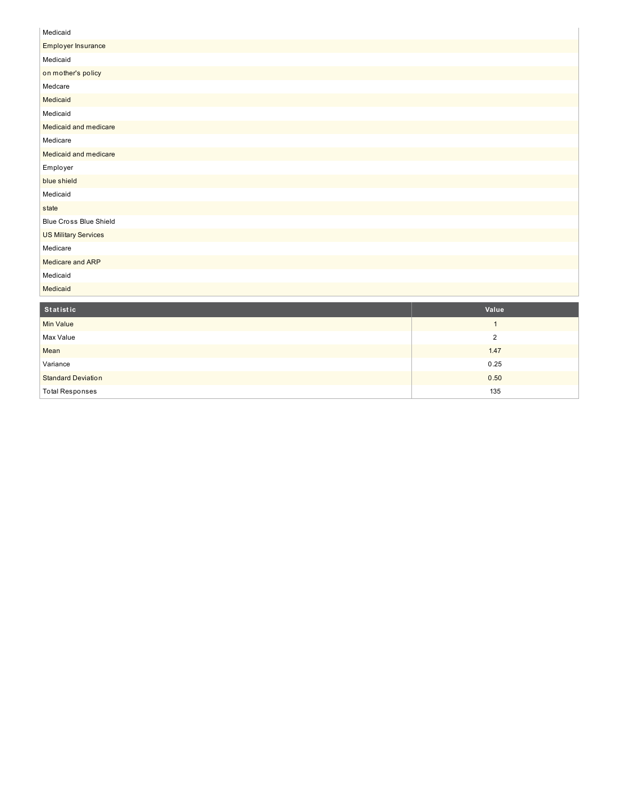| Medicaid                      |
|-------------------------------|
| Employer Insurance            |
| Medicaid                      |
| on mother's policy            |
| Medcare                       |
| Medicaid                      |
| Medicaid                      |
| Medicaid and medicare         |
| Medicare                      |
| Medicaid and medicare         |
| Employer                      |
| blue shield                   |
| Medicaid                      |
| state                         |
| <b>Blue Cross Blue Shield</b> |
| <b>US Military Services</b>   |
| Medicare                      |
| Medicare and ARP              |
| Medicaid                      |
| Medicaid                      |
|                               |

| Statistic                 | Value |
|---------------------------|-------|
| <b>Min Value</b>          |       |
| Max Value                 | റ     |
| Mean                      | 1.47  |
| Variance                  | 0.25  |
| <b>Standard Deviation</b> | 0.50  |
| <b>Total Responses</b>    | 135   |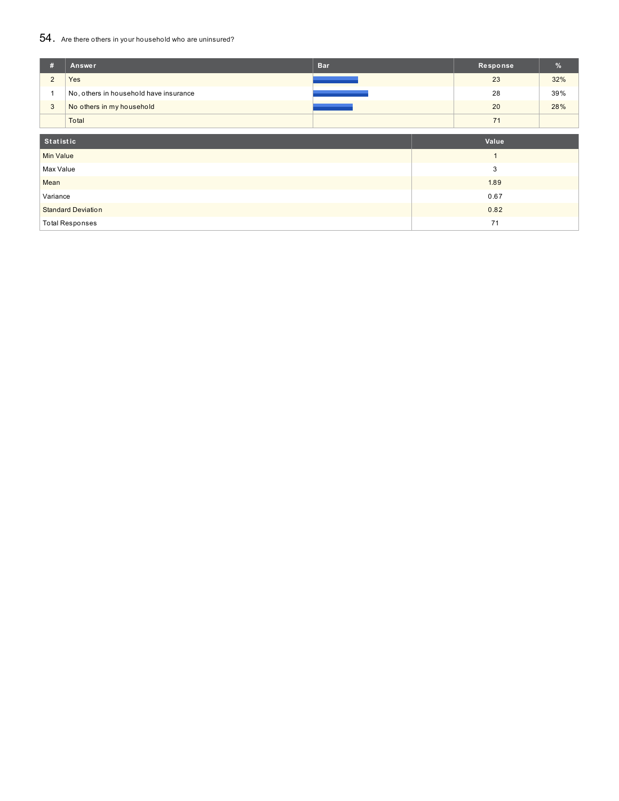## 54. Are there others in your household who are uninsured?

| #                         | Answer                                 | <b>Bar</b> | Response | %   |  |
|---------------------------|----------------------------------------|------------|----------|-----|--|
| $\overline{2}$            | Yes                                    |            | 23       | 32% |  |
|                           | No, others in household have insurance |            | 28       | 39% |  |
| $\mathbf{3}$              | No others in my household              |            | 20       | 28% |  |
|                           | Total                                  |            | 71       |     |  |
| Statistic                 |                                        |            |          |     |  |
| <b>Min Value</b>          |                                        |            |          |     |  |
| Max Value                 |                                        |            | 3        |     |  |
| Mean                      |                                        |            | 1.89     |     |  |
| Variance                  |                                        |            | 0.67     |     |  |
| <b>Standard Deviation</b> |                                        |            | 0.82     |     |  |
|                           | <b>Total Responses</b>                 |            | 71       |     |  |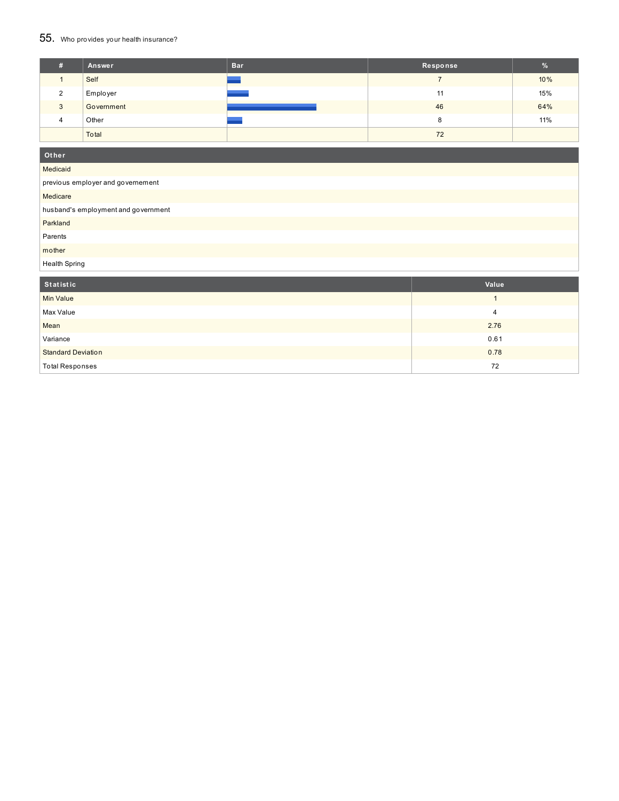## 55. Who provides your health insurance?

| Ŧ. | Answer     | <b>Bar</b> | Response | $\%$ |
|----|------------|------------|----------|------|
|    | Self       |            |          | 10%  |
|    | Employer   |            | 11       | 15%  |
| 3  | Government |            | 46       | 64%  |
| 4  | Other      |            | о<br>Ö   | 11%  |
|    | Total      |            | 72       |      |

| Other                               |              |  |  |
|-------------------------------------|--------------|--|--|
| Medicaid                            |              |  |  |
| previous employer and governement   |              |  |  |
| Medicare                            |              |  |  |
| husband's employment and government |              |  |  |
| Parkland                            |              |  |  |
| Parents                             |              |  |  |
| mother                              |              |  |  |
| <b>Health Spring</b>                |              |  |  |
| Statistic                           | Value        |  |  |
|                                     |              |  |  |
| <b>Min Value</b>                    | $\mathbf{1}$ |  |  |
| Max Value                           | 4            |  |  |
| Mean                                | 2.76         |  |  |
| Variance                            | 0.61         |  |  |
| <b>Standard Deviation</b>           | 0.78         |  |  |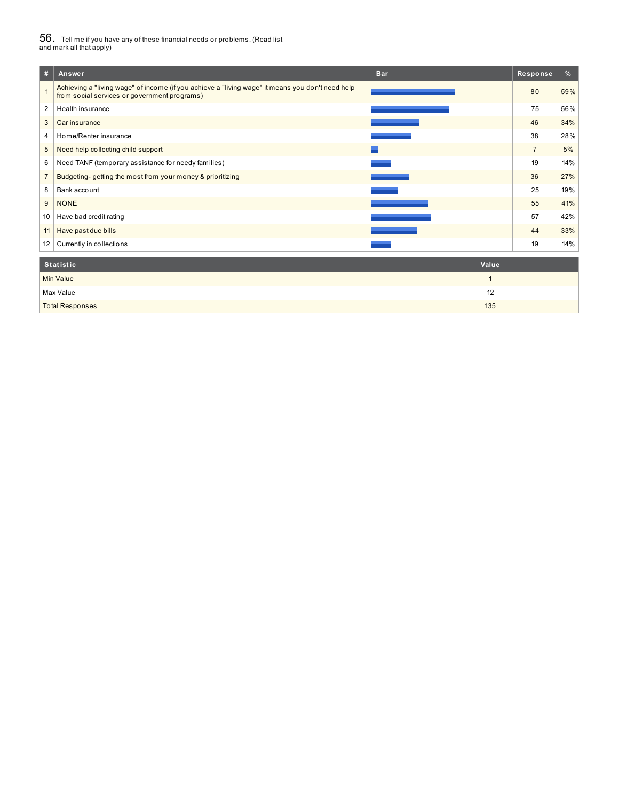# $56_\cdot$  Tell me if you have any of these financial needs or problems. (Read list<br>and mark all that apply)

| #               | Answer                                                                                                                                           | <b>Bar</b> | Response       | %   |
|-----------------|--------------------------------------------------------------------------------------------------------------------------------------------------|------------|----------------|-----|
|                 | Achieving a "living wage" of income (if you achieve a "living wage" it means you don't need help<br>from social services or government programs) |            | 80             | 59% |
| 2               | Health insurance                                                                                                                                 |            | 75             | 56% |
| 3               | Car insurance                                                                                                                                    |            | 46             | 34% |
| $\overline{4}$  | Home/Renter insurance                                                                                                                            |            | 38             | 28% |
| 5               | Need help collecting child support                                                                                                               |            | $\overline{7}$ | 5%  |
| 6               | Need TANF (temporary assistance for needy families)                                                                                              |            | 19             | 14% |
|                 | Budgeting-getting the most from your money & prioritizing                                                                                        |            | 36             | 27% |
| 8               | Bank account                                                                                                                                     |            | 25             | 19% |
| 9               | <b>NONE</b>                                                                                                                                      |            | 55             | 41% |
| 10              | Have bad credit rating                                                                                                                           |            | 57             | 42% |
| 11 <sup>1</sup> | Have past due bills                                                                                                                              |            | 44             | 33% |
| 12              | Currently in collections                                                                                                                         |            | 19             | 14% |
|                 |                                                                                                                                                  |            |                |     |

| Statistic              | Value |
|------------------------|-------|
| <b>Min Value</b>       |       |
| Max Value              | 12    |
| <b>Total Responses</b> | 135   |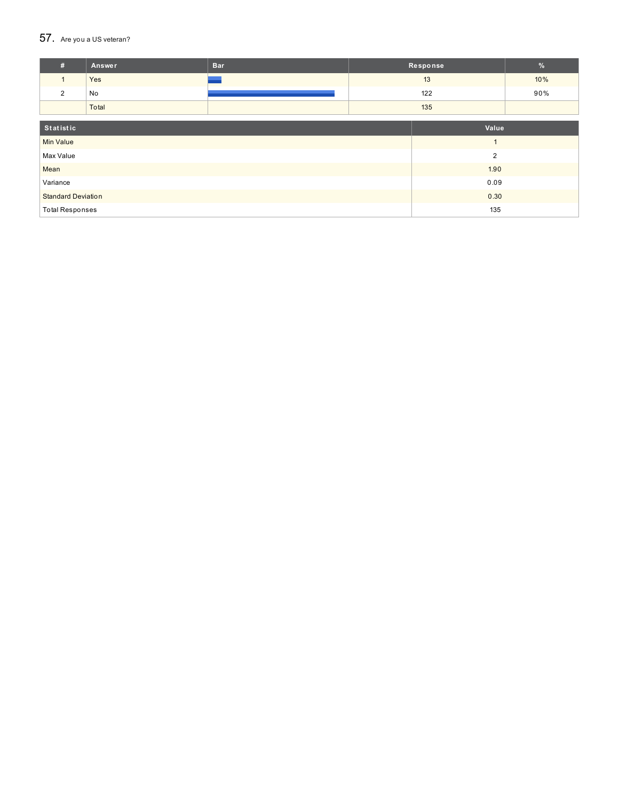### $57.$  Are you a US veteran?

| #                         | Answer | <b>Bar</b> | Response | $\%$ |
|---------------------------|--------|------------|----------|------|
| $\mathbf{1}$              | Yes    |            | 13       | 10%  |
| 2                         | No     |            | 122      | 90%  |
|                           | Total  |            | 135      |      |
|                           |        |            |          |      |
| Statistic<br>Value        |        |            |          |      |
| <b>Min Value</b>          |        |            | и        |      |
| Max Value                 |        |            | 2        |      |
| Mean                      |        |            | 1.90     |      |
| Variance                  |        |            | 0.09     |      |
| <b>Standard Deviation</b> |        |            | 0.30     |      |
| <b>Total Responses</b>    |        |            | 135      |      |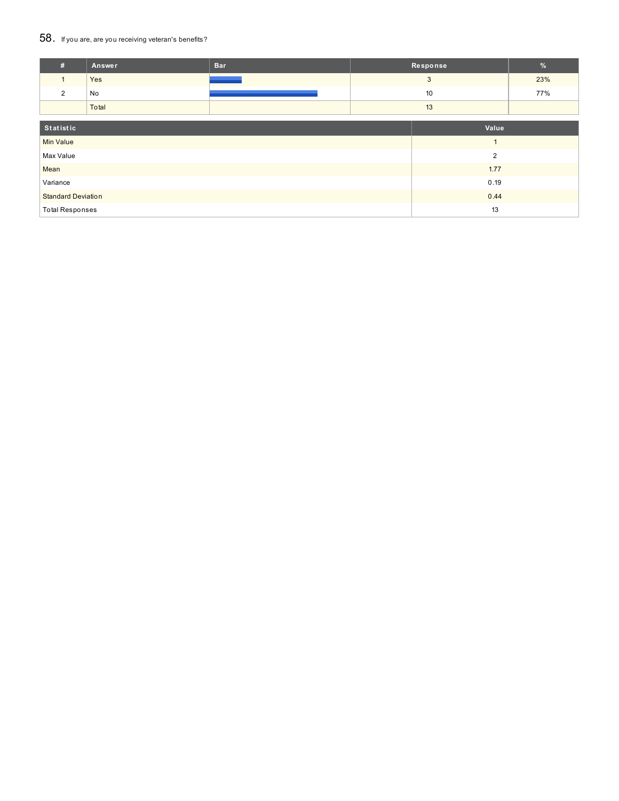### 58. If you are, are you receiving veteran's benefits?

| #                         | Answer | <b>Bar</b> |      | Response       | $\%$ |
|---------------------------|--------|------------|------|----------------|------|
|                           | Yes    |            |      | 3              | 23%  |
| $\overline{2}$            | No     |            | 10   |                | 77%  |
|                           | Total  |            |      | 13             |      |
| Statistic<br>Value        |        |            |      |                |      |
| <b>Min Value</b>          |        |            |      | $\overline{A}$ |      |
| Max Value                 |        |            |      | $\overline{2}$ |      |
| Mean                      |        |            | 1.77 |                |      |
| Variance                  |        |            | 0.19 |                |      |
| <b>Standard Deviation</b> |        |            | 0.44 |                |      |
| <b>Total Responses</b>    |        |            |      | 13             |      |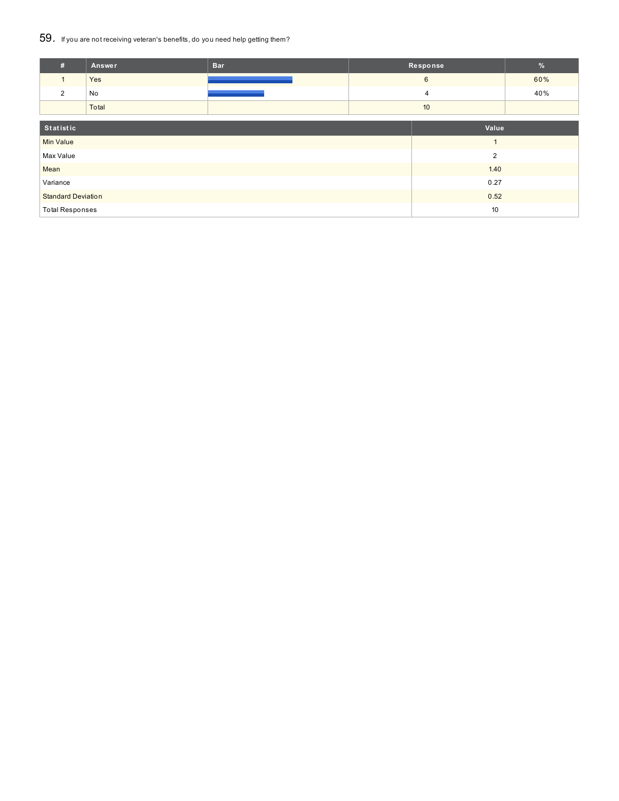### 59. If you are not receiving veteran's benefits, do you need help getting them?

| #                         | <b>Answer</b> | <b>Bar</b> | Response        |       | $\%$ |
|---------------------------|---------------|------------|-----------------|-------|------|
|                           | Yes           |            | $6\phantom{1}6$ |       | 60%  |
| 2                         | No            |            | 4               |       | 40%  |
|                           | Total         |            | 10              |       |      |
| Statistic                 |               |            |                 | Value |      |
|                           |               |            |                 |       |      |
| <b>Min Value</b>          |               |            |                 |       |      |
| Max Value                 |               |            | $\overline{2}$  |       |      |
| Mean                      |               |            | 1.40            |       |      |
| Variance                  |               |            | 0.27            |       |      |
| <b>Standard Deviation</b> |               |            | 0.52            |       |      |
| <b>Total Responses</b>    |               |            | 10              |       |      |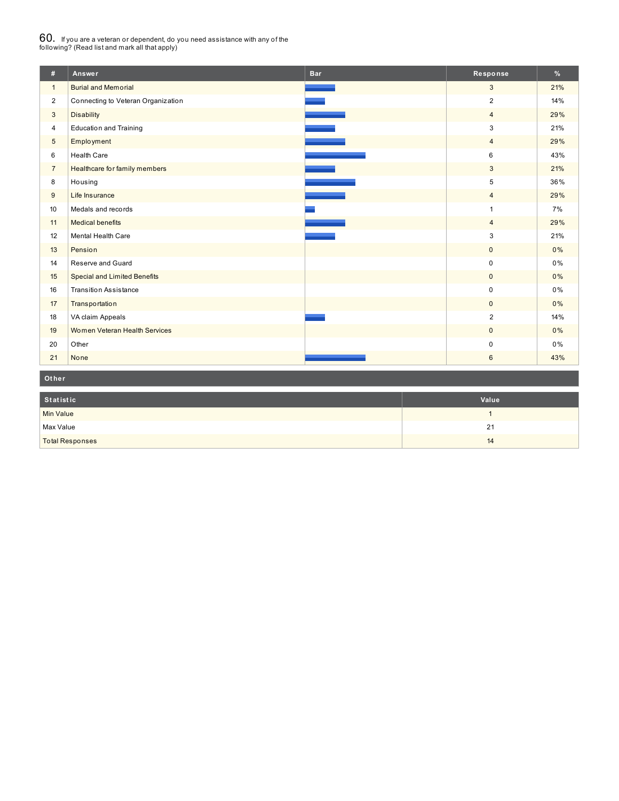# $60_\cdot$  If you are a veteran or dependent, do you need assistance with any of the<br>following? (Read list and mark all that apply)

| #              | Answer                              | <b>Bar</b> | Response       | $\frac{9}{6}$ |
|----------------|-------------------------------------|------------|----------------|---------------|
| $\mathbf{1}$   | <b>Burial and Memorial</b>          |            | 3              | 21%           |
| $\overline{2}$ | Connecting to Veteran Organization  |            | $\overline{2}$ | 14%           |
| 3              | <b>Disability</b>                   |            | $\overline{4}$ | 29%           |
| $\overline{4}$ | <b>Education and Training</b>       |            | 3              | 21%           |
| $\sqrt{5}$     | Employment                          |            | $\overline{4}$ | 29%           |
| 6              | <b>Health Care</b>                  |            | 6              | 43%           |
| $\overline{7}$ | Healthcare for family members       |            | 3              | 21%           |
| 8              | Housing                             |            | 5              | 36%           |
| 9              | Life Insurance                      |            | $\overline{4}$ | 29%           |
| 10             | Medals and records                  |            | $\overline{1}$ | 7%            |
| 11             | <b>Medical benefits</b>             |            | $\overline{4}$ | 29%           |
| 12             | Mental Health Care                  |            | 3              | 21%           |
| 13             | Pension                             |            | $\mathbf{0}$   | 0%            |
| 14             | Reserve and Guard                   |            | $\mathbf 0$    | 0%            |
| 15             | <b>Special and Limited Benefits</b> |            | $\mathbf{0}$   | 0%            |
| 16             | <b>Transition Assistance</b>        |            | $\pmb{0}$      | 0%            |
| 17             | Transportation                      |            | $\mathbf 0$    | 0%            |
| 18             | VA claim Appeals                    |            | $\overline{2}$ | 14%           |
| 19             | Women Veteran Health Services       |            | $\mathbf 0$    | $0\%$         |
| 20             | Other                               |            | $\mathbf 0$    | 0%            |
| 21             | None                                |            | $\,6\,$        | 43%           |

**Ot her**

| Statistic              | Value |
|------------------------|-------|
| <b>Min Value</b>       |       |
| Max Value              | 21    |
| <b>Total Responses</b> | 14    |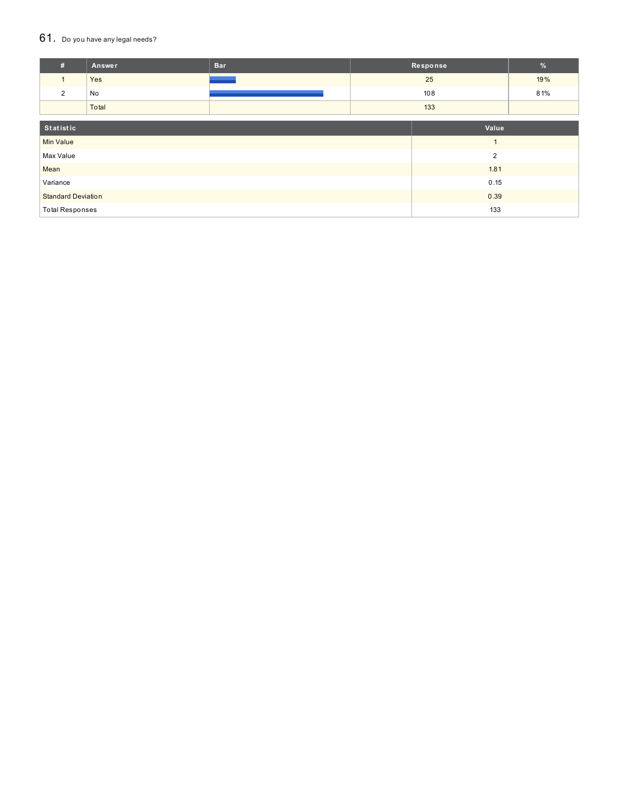#### $61.$  Do you have any legal needs?

| #                         | Answer | <b>Bar</b> | Response       |  | $\%$ |
|---------------------------|--------|------------|----------------|--|------|
| $\mathbf{1}$              | Yes    |            | 25             |  | 19%  |
| $\overline{2}$            | No     |            | 108            |  | 81%  |
|                           | Total  |            | 133            |  |      |
|                           |        |            |                |  |      |
| Statistic                 |        |            | Value          |  |      |
| <b>Min Value</b>          |        |            |                |  |      |
| Max Value                 |        |            | $\overline{2}$ |  |      |
| Mean                      |        |            | 1.81           |  |      |
| Variance                  |        |            | 0.15           |  |      |
| <b>Standard Deviation</b> |        |            | 0.39           |  |      |
| <b>Total Responses</b>    |        |            | 133            |  |      |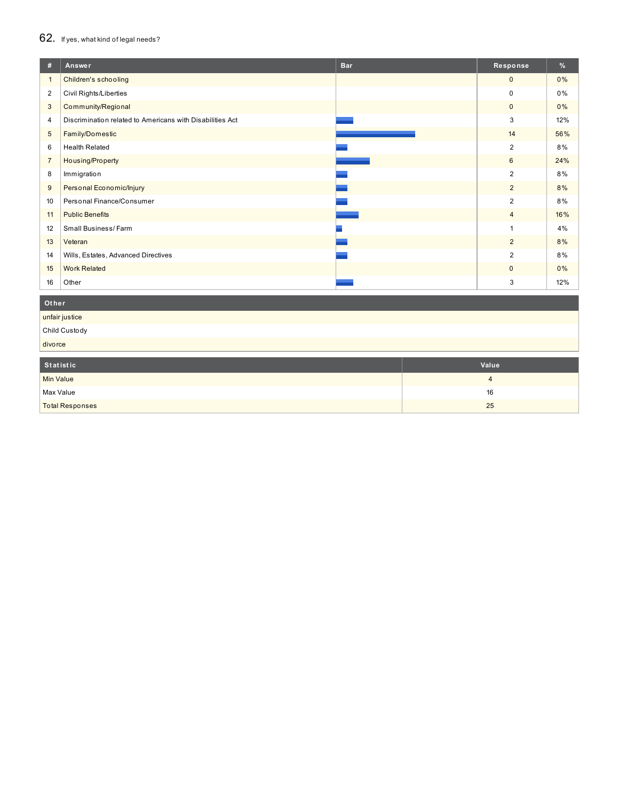## 62. If yes, what kind of legal needs?

| #              | Answer                                                    | <b>Bar</b> | Response       | %     |
|----------------|-----------------------------------------------------------|------------|----------------|-------|
| $\mathbf{1}$   | Children's schooling                                      |            | $\mathbf{0}$   | $0\%$ |
| $\overline{2}$ | Civil Rights/Liberties                                    |            | 0              | 0%    |
| 3              | Community/Regional                                        |            | $\mathbf 0$    | 0%    |
| 4              | Discrimination related to Americans with Disabilities Act |            | 3              | 12%   |
| 5              | Family/Domestic                                           |            | 14             | 56%   |
| 6              | <b>Health Related</b>                                     |            | 2              | 8%    |
| $\overline{7}$ | Housing/Property                                          |            | 6              | 24%   |
| 8              | Immigration                                               |            | 2              | 8%    |
| 9              | Personal Economic/Injury                                  |            | $\overline{2}$ | 8%    |
| 10             | Personal Finance/Consumer                                 |            | 2              | 8%    |
| 11             | <b>Public Benefits</b>                                    |            | $\overline{4}$ | 16%   |
| 12             | Small Business/Farm                                       |            |                | 4%    |
| 13             | Veteran                                                   |            | $\overline{2}$ | 8%    |
| 14             | Wills, Estates, Advanced Directives                       |            | 2              | 8%    |
| 15             | <b>Work Related</b>                                       |            | $\mathbf{0}$   | 0%    |
| 16             | Other                                                     |            | 3              | 12%   |

### **Ot her**

unfair justice Child Custody

divorce

| Statistic | Value |
|-----------|-------|
| Min Value |       |

| Max Value              | 16              |
|------------------------|-----------------|
|                        |                 |
| <b>Total Responses</b> | 25<br><u>Lu</u> |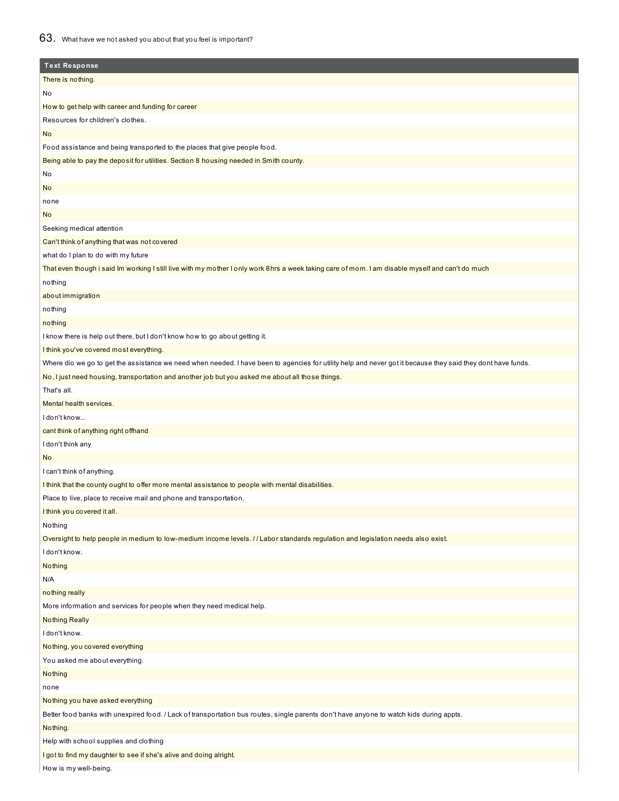## 63. What have we not asked you about that you feel is important?

| <b>Text Response</b>                                                                                                                                         |
|--------------------------------------------------------------------------------------------------------------------------------------------------------------|
| There is nothing.                                                                                                                                            |
| No                                                                                                                                                           |
| How to get help with career and funding for career                                                                                                           |
| Resources for children's clothes.                                                                                                                            |
| <b>No</b>                                                                                                                                                    |
| Food assistance and being transported to the places that give people food.                                                                                   |
| Being able to pay the deposit for utilities. Section 8 housing needed in Smith county.                                                                       |
| No                                                                                                                                                           |
| <b>No</b>                                                                                                                                                    |
| none                                                                                                                                                         |
| <b>No</b>                                                                                                                                                    |
| Seeking medical attention                                                                                                                                    |
| Can't think of anything that was not covered                                                                                                                 |
| what do I plan to do with my future                                                                                                                          |
| That even though i said Im working I still live with my mother I only work 8hrs a week taking care of mom. I am disable myself and can't do much             |
| nothing                                                                                                                                                      |
| about immigration                                                                                                                                            |
| nothing                                                                                                                                                      |
| nothing                                                                                                                                                      |
| I know there is help out there, but I don't know how to go about getting it.                                                                                 |
| I think you've covered most everything.                                                                                                                      |
| Where dio we go to get the assistance we need when needed. I have been to agencies for utility help and never got it because they said they dont have funds. |
| No, I just need housing, transportation and another job but you asked me about all those things.                                                             |
| That's all.                                                                                                                                                  |
| Mental health services.                                                                                                                                      |
| I don't know                                                                                                                                                 |
| cant think of anything right offhand                                                                                                                         |
| I don't think any                                                                                                                                            |
| <b>No</b>                                                                                                                                                    |
| I can't think of anything.                                                                                                                                   |
| I think that the county ought to offer more mental assistance to people with mental disabilities.                                                            |
| Place to live, place to receive mail and phone and transportation.                                                                                           |
| I think you covered it all.                                                                                                                                  |
| Nothing                                                                                                                                                      |
| Oversight to help people in medium to low-medium income levels. //Labor standards regulation and legislation needs also exist.                               |
| I don't know.                                                                                                                                                |
| Nothing                                                                                                                                                      |
| N/A                                                                                                                                                          |
| nothing really                                                                                                                                               |
| More information and services for people when they need medical help.                                                                                        |
| <b>Nothing Really</b>                                                                                                                                        |
| I don't know.                                                                                                                                                |
| Nothing, you covered everything                                                                                                                              |
| You asked me about everything.                                                                                                                               |
| Nothing                                                                                                                                                      |
| none                                                                                                                                                         |
| Nothing you have asked everything                                                                                                                            |
| Better food banks with unexpired food. / Lack of transportation bus routes, single parents don't have anyone to watch kids during appts.                     |
| Nothing.                                                                                                                                                     |
| Help with school supplies and clothing                                                                                                                       |
| I got to find my daughter to see if she's alive and doing alright.                                                                                           |
| How is my well-being.                                                                                                                                        |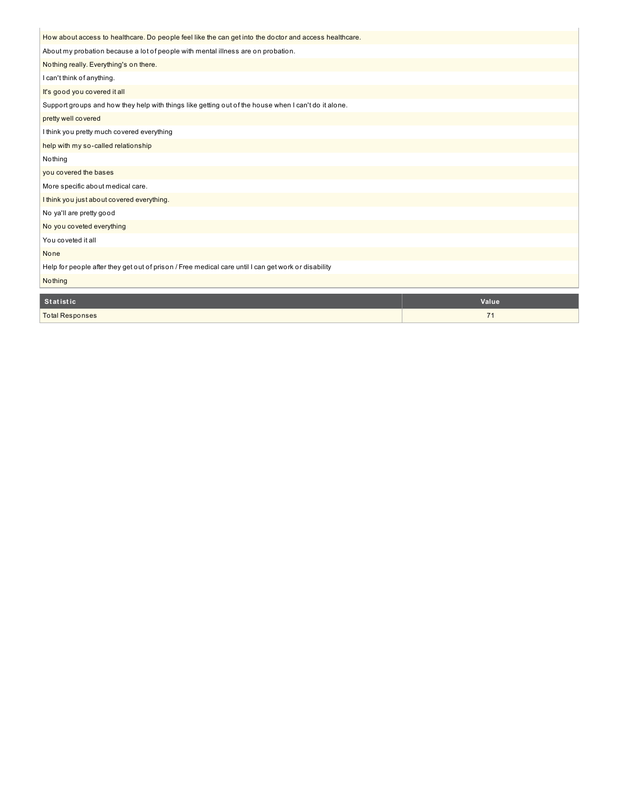| How about access to healthcare. Do people feel like the can get into the doctor and access healthcare. |       |
|--------------------------------------------------------------------------------------------------------|-------|
| About my probation because a lot of people with mental illness are on probation.                       |       |
| Nothing really. Everything's on there.                                                                 |       |
| I can't think of anything.                                                                             |       |
| It's good you covered it all                                                                           |       |
| Support groups and how they help with things like getting out of the house when I can't do it alone.   |       |
| pretty well covered                                                                                    |       |
| I think you pretty much covered everything                                                             |       |
| help with my so-called relationship                                                                    |       |
| Nothing                                                                                                |       |
| you covered the bases                                                                                  |       |
| More specific about medical care.                                                                      |       |
| I think you just about covered everything.                                                             |       |
| No ya'll are pretty good                                                                               |       |
| No you coveted everything                                                                              |       |
| You coveted it all                                                                                     |       |
| None                                                                                                   |       |
| Help for people after they get out of prison / Free medical care until I can get work or disability    |       |
| Nothing                                                                                                |       |
| <b>Statistic</b>                                                                                       | Value |

÷

**Total Responses 71 Total Responses 71**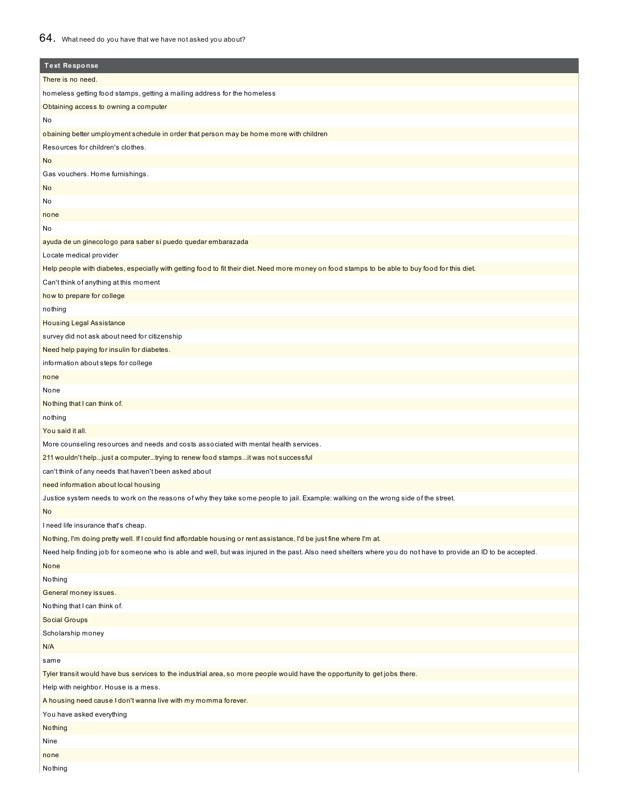## 64. What need do you have that we have not asked you about?

| <b>Text Response</b>                                                                                                                                           |
|----------------------------------------------------------------------------------------------------------------------------------------------------------------|
| There is no need.                                                                                                                                              |
| homeless getting food stamps, getting a mailing address for the homeless                                                                                       |
| Obtaining access to owning a computer                                                                                                                          |
| No                                                                                                                                                             |
| obaining better umployment schedule in order that person may be home more with children                                                                        |
| Resources for children's clothes.                                                                                                                              |
| <b>No</b>                                                                                                                                                      |
| Gas vouchers. Home furnishings.                                                                                                                                |
| No                                                                                                                                                             |
| No                                                                                                                                                             |
| none                                                                                                                                                           |
| No                                                                                                                                                             |
| ayuda de un ginecologo para saber si puedo quedar embarazada                                                                                                   |
| Locate medical provider                                                                                                                                        |
| Help people with diabetes, especially with getting food to fit their diet. Need more money on food stamps to be able to buy food for this diet.                |
| Can't think of anything at this moment                                                                                                                         |
| how to prepare for college                                                                                                                                     |
| nothing                                                                                                                                                        |
| <b>Housing Legal Assistance</b>                                                                                                                                |
| survey did not ask about need for citizenship                                                                                                                  |
| Need help paying for insulin for diabetes.                                                                                                                     |
| information about steps for college                                                                                                                            |
| none                                                                                                                                                           |
| None                                                                                                                                                           |
| Nothing that I can think of.                                                                                                                                   |
| nothing                                                                                                                                                        |
| You said it all.                                                                                                                                               |
| More counseling resources and needs and costs associated with mental health services.                                                                          |
| 211 wouldn't helpjust a computertrying to renew food stampsit was not successful                                                                               |
| can't think of any needs that haven't been asked about                                                                                                         |
| need information about local housing                                                                                                                           |
| Justice system needs to work on the reasons of why they take some people to jail. Example: walking on the wrong side of the street.                            |
| No                                                                                                                                                             |
| I need life insurance that's cheap.                                                                                                                            |
| Nothing, I'm doing pretty well. If I could find affordable housing or rent assistance, I'd be just fine where I'm at.                                          |
| Need help finding job for someone who is able and well, but was injured in the past. Also need shelters where you do not have to provide an ID to be accepted. |
| None                                                                                                                                                           |
| Nothing                                                                                                                                                        |
| General money issues.                                                                                                                                          |
| Nothing that I can think of.                                                                                                                                   |
| Social Groups                                                                                                                                                  |
| Scholarship money                                                                                                                                              |
| N/A                                                                                                                                                            |
| same                                                                                                                                                           |
| Tyler transit would have bus services to the industrial area, so more people would have the opportunity to get jobs there.                                     |
| Help with neighbor. House is a mess.                                                                                                                           |
| A housing need cause I don't wanna live with my momma forever.                                                                                                 |
| You have asked everything                                                                                                                                      |
| Nothing                                                                                                                                                        |
| Nine                                                                                                                                                           |
| none                                                                                                                                                           |
|                                                                                                                                                                |

Nothing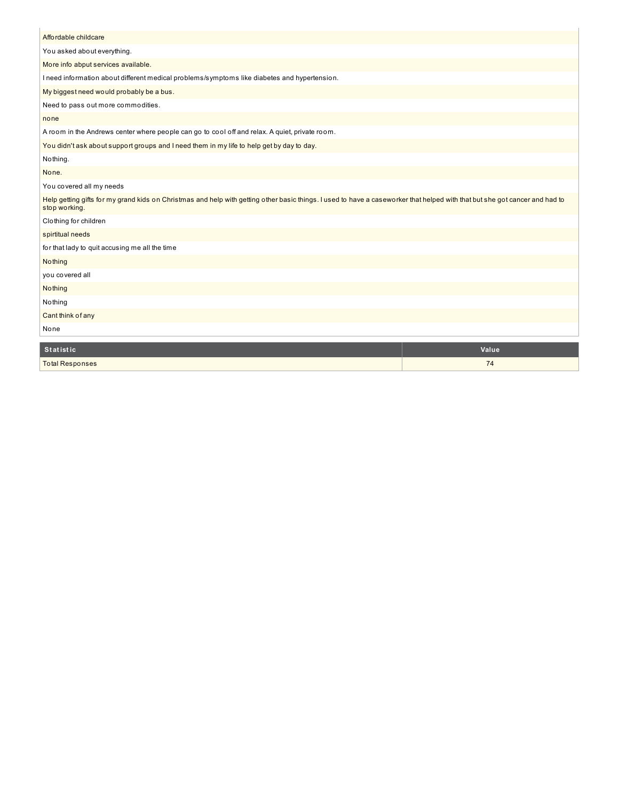| Affordable childcare                                                                                                                                                                         |       |
|----------------------------------------------------------------------------------------------------------------------------------------------------------------------------------------------|-------|
| You asked about everything.                                                                                                                                                                  |       |
| More info abput services available.                                                                                                                                                          |       |
| I need information about different medical problems/symptoms like diabetes and hypertension.                                                                                                 |       |
| My biggest need would probably be a bus.                                                                                                                                                     |       |
| Need to pass out more commodities.                                                                                                                                                           |       |
| none                                                                                                                                                                                         |       |
| A room in the Andrews center where people can go to cool off and relax. A quiet, private room.                                                                                               |       |
| You didn't ask about support groups and I need them in my life to help get by day to day.                                                                                                    |       |
| Nothing.                                                                                                                                                                                     |       |
| None.                                                                                                                                                                                        |       |
| You covered all my needs                                                                                                                                                                     |       |
| Help getting gifts for my grand kids on Christmas and help with getting other basic things. I used to have a caseworker that helped with that but she got cancer and had to<br>stop working. |       |
| Clothing for children                                                                                                                                                                        |       |
| spirtitual needs                                                                                                                                                                             |       |
| for that lady to quit accusing me all the time                                                                                                                                               |       |
| Nothing                                                                                                                                                                                      |       |
| you covered all                                                                                                                                                                              |       |
| Nothing                                                                                                                                                                                      |       |
| Nothing                                                                                                                                                                                      |       |
| Cant think of any                                                                                                                                                                            |       |
| None                                                                                                                                                                                         |       |
|                                                                                                                                                                                              |       |
| <b>Statistic</b>                                                                                                                                                                             | Value |

| <b>Statistic</b>       | Value |
|------------------------|-------|
| <b>Total Responses</b> | -     |